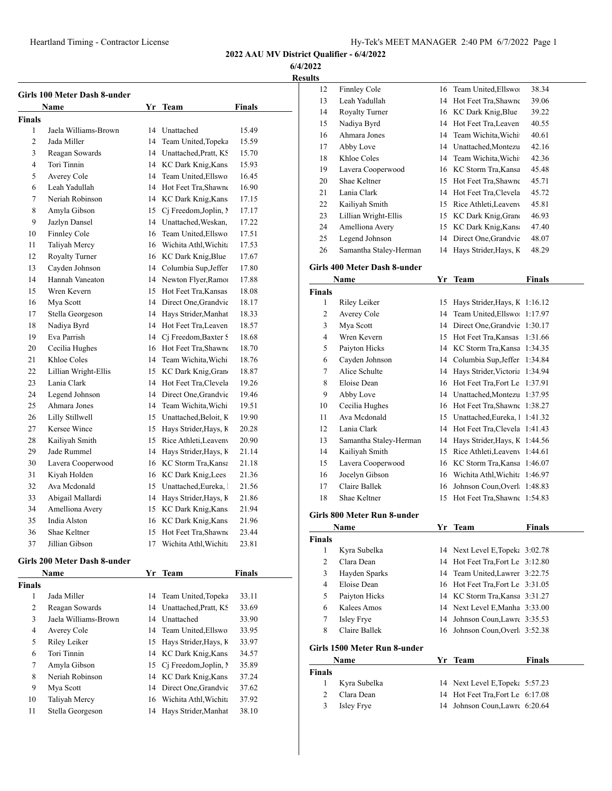**6/4/2022**

**Results**

|                | Girls 100 Meter Dash 8-under |    |                       |               |
|----------------|------------------------------|----|-----------------------|---------------|
|                | <b>Name</b>                  |    | Yr Team               | <b>Finals</b> |
| Finals         |                              |    |                       |               |
| 1              | Jaela Williams-Brown         | 14 | Unattached            | 15.49         |
| $\mathfrak{D}$ | Jada Miller                  | 14 | Team United, Topeka   | 15.59         |
| 3              | Reagan Sowards               | 14 | Unattached, Pratt, KS | 15.70         |
| 4              | Tori Tinnin                  | 14 | KC Dark Knig, Kans    | 15.93         |
| 5              | Averey Cole                  | 14 | Team United, Ellswo   | 16.45         |
| 6              | Leah Yadullah                | 14 | Hot Feet Tra, Shawne  | 16.90         |
| 7              | Neriah Robinson              | 14 | KC Dark Knig, Kans    | 17.15         |
| 8              | Amyla Gibson                 | 15 | Cj Freedom, Joplin, N | 17.17         |
| 9              | Jazlyn Dansel                | 14 | Unattached, Weskan,   | 17.22         |
| 10             | Finnley Cole                 | 16 | Team United, Ellswo   | 17.51         |
| 11             | Taliyah Mercy                | 16 | Wichita Athl. Wichita | 17.53         |
| 12             | Royalty Turner               | 16 | KC Dark Knig, Blue    | 17.67         |
| 13             | Cayden Johnson               | 14 | Columbia Sup, Jeffer  | 17.80         |
| 14             | Hannah Vaneaton              | 14 | Newton Flyer, Ramor   | 17.88         |
| 15             | Wren Kevern                  | 15 | Hot Feet Tra. Kansas  | 18.08         |
| 16             | Mya Scott                    | 14 | Direct One, Grandvie  | 18.17         |
| 17             | Stella Georgeson             | 14 | Hays Strider, Manhat  | 18.33         |
| 18             | Nadiya Byrd                  | 14 | Hot Feet Tra.Leaven   | 18.57         |
| 19             | Eva Parrish                  | 14 | Cj Freedom, Baxter S  | 18.68         |
| 20             | Cecilia Hughes               | 16 | Hot Feet Tra.Shawne   | 18.70         |
| 21             | Khloe Coles                  | 14 | Team Wichita, Wichi   | 18.76         |
| 22             | Lillian Wright-Ellis         | 15 | KC Dark Knig, Grano   | 18.87         |
| 23             | Lania Clark                  | 14 | Hot Feet Tra, Clevela | 19.26         |
| 24             | Legend Johnson               | 14 | Direct One, Grandvie  | 19.46         |
| 25             | Ahmara Jones                 | 14 | Team Wichita, Wichi   | 19.51         |
| 26             | Lilly Stillwell              | 15 | Unattached, Beloit, K | 19.90         |
| 27             | Kersee Wince                 | 15 | Hays Strider, Hays, K | 20.28         |
| 28             | Kailiyah Smith               | 15 | Rice Athleti, Leaveny | 20.90         |
| 29             | Jade Rummel                  | 14 | Hays Strider, Hays, K | 21.14         |
| 30             | Lavera Cooperwood            | 16 | KC Storm Tra, Kansa   | 21.18         |
| 31             | Kiyah Holden                 | 16 | KC Dark Knig, Lees    | 21.36         |
| 32             | Ava Mcdonald                 | 15 | Unattached, Eureka, 1 | 21.56         |
| 33             | Abigail Mallardi             | 14 | Hays Strider, Hays, K | 21.86         |
| 34             | Amelliona Avery              | 15 | KC Dark Knig, Kans    | 21.94         |
| 35             | India Alston                 | 16 | KC Dark Knig, Kans    | 21.96         |
| 36             | Shae Keltner                 | 15 | Hot Feet Tra.Shawne   | 23.44         |
| 37             | Jillian Gibson               | 17 | Wichita Athl, Wichita | 23.81         |
|                |                              |    |                       |               |

#### **Girls 200 Meter Dash 8-under**

|               | <b>Name</b>          |    | Yr Team                  | <b>Finals</b> |
|---------------|----------------------|----|--------------------------|---------------|
| <b>Finals</b> |                      |    |                          |               |
| 1             | Jada Miller          |    | 14 Team United, Topeka   | 33.11         |
| 2             | Reagan Sowards       |    | 14 Unattached, Pratt, KS | 33.69         |
| 3             | Jaela Williams-Brown | 14 | Unattached               | 33.90         |
| 4             | Averey Cole          |    | 14 Team United, Ellswo   | 33.95         |
| 5             | Riley Leiker         | 15 | Hays Strider, Hays, K    | 33.97         |
| 6             | Tori Tinnin          |    | 14 KC Dark Knig, Kans    | 34.57         |
| 7             | Amyla Gibson         |    | 15 Ci Freedom, Joplin, N | 35.89         |
| 8             | Neriah Robinson      |    | 14 KC Dark Knig, Kans    | 37.24         |
| 9             | Mya Scott            |    | 14 Direct One, Grandvie  | 37.62         |
| 10            | Taliyah Mercy        |    | 16 Wichita Athl, Wichita | 37.92         |
| 11            | Stella Georgeson     | 14 | Hays Strider, Manhat     | 38.10         |

| S  |                        |    |                       |       |  |
|----|------------------------|----|-----------------------|-------|--|
| 12 | Finnley Cole           | 16 | Team United, Ellswo   | 38.34 |  |
| 13 | Leah Yadullah          | 14 | Hot Feet Tra, Shawne  | 39.06 |  |
| 14 | <b>Royalty Turner</b>  | 16 | KC Dark Knig, Blue    | 39.22 |  |
| 15 | Nadiya Byrd            | 14 | Hot Feet Tra, Leaven  | 40.55 |  |
| 16 | Ahmara Jones           | 14 | Team Wichita, Wichi   | 40.61 |  |
| 17 | Abby Love              | 14 | Unattached, Montezu   | 42.16 |  |
| 18 | Khloe Coles            | 14 | Team Wichita, Wichi   | 42.36 |  |
| 19 | Lavera Cooperwood      | 16 | KC Storm Tra, Kansa   | 45.48 |  |
| 20 | Shae Keltner           | 15 | Hot Feet Tra, Shawne  | 45.71 |  |
| 21 | Lania Clark            | 14 | Hot Feet Tra, Clevela | 45.72 |  |
| 22 | Kailiyah Smith         | 15 | Rice Athleti, Leaveny | 45.81 |  |
| 23 | Lillian Wright-Ellis   | 15 | KC Dark Knig, Grand   | 46.93 |  |
| 24 | Amelliona Avery        | 15 | KC Dark Knig, Kans    | 47.40 |  |
| 25 | Legend Johnson         | 14 | Direct One Grandvie   | 48.07 |  |
| 26 | Samantha Staley-Herman | 14 | Hays Strider, Hays, K | 48.29 |  |

#### **Girls 400 Meter Dash 8-under**

|        | Name                   | Yr | <b>Team</b>                   | Finals  |
|--------|------------------------|----|-------------------------------|---------|
| Finals |                        |    |                               |         |
| 1      | Riley Leiker           | 15 | Hays Strider, Hays, K 1:16.12 |         |
| 2      | Averey Cole            | 14 | Team United, Ellswo 1:17.97   |         |
| 3      | Mya Scott              | 14 | Direct One, Grandvie 1:30.17  |         |
| 4      | Wren Kevern            | 15 | Hot Feet Tra, Kansas          | 1:31.66 |
| 5      | Paiyton Hicks          | 14 | KC Storm Tra, Kansa           | 1:34.35 |
| 6      | Cayden Johnson         | 14 | Columbia Sup, Jeffer          | 1:34.84 |
| 7      | Alice Schulte          | 14 | Hays Strider, Victoria        | 1:34.94 |
| 8      | Eloise Dean            | 16 | Hot Feet Tra, Fort Le         | 1:37.91 |
| 9      | Abby Love              | 14 | Unattached, Montezu           | 1:37.95 |
| 10     | Cecilia Hughes         | 16 | Hot Feet Tra, Shawne          | 1:38.27 |
| 11     | Ava Mcdonald           | 15 | Unattached, Eureka, 1 1:41.32 |         |
| 12     | Lania Clark            | 14 | Hot Feet Tra, Clevela 1:41.43 |         |
| 13     | Samantha Staley-Herman | 14 | Hays Strider, Hays, K 1:44.56 |         |
| 14     | Kailiyah Smith         | 15 | Rice Athleti, Leaveny         | 1:44.61 |
| 15     | Lavera Cooperwood      | 16 | KC Storm Tra, Kansa           | 1:46.07 |
| 16     | Jocelyn Gibson         | 16 | Wichita Athl, Wichita         | 1:46.97 |
| 17     | Claire Ballek          | 16 | Johnson Coun, Overl 1:48.83   |         |
| 18     | Shae Keltner           | 15 | Hot Feet Tra, Shawne          | 1:54.83 |
|        |                        |    |                               |         |

#### **Girls 800 Meter Run 8-under**

3 Isley Frye

|               | Name                         | Yr Team                          | <b>Finals</b> |
|---------------|------------------------------|----------------------------------|---------------|
| <b>Finals</b> |                              |                                  |               |
| 1             | Kyra Subelka                 | 14 Next Level E, Topek: 3:02.78  |               |
| 2             | Clara Dean                   | 14 Hot Feet Tra, Fort Le 3:12.80 |               |
| 3             | Hayden Sparks                | 14 Team United, Lawrer 3:22.75   |               |
| 4             | Eloise Dean                  | 16 Hot Feet Tra, Fort Le 3:31.05 |               |
| 5             | Paiyton Hicks                | 14 KC Storm Tra, Kansa 3:31.27   |               |
| 6             | Kalees Amos                  | 14 Next Level E, Manha 3:33.00   |               |
| 7             | Isley Frye                   | 14 Johnson Coun, Lawre 3:35.53   |               |
| 8             | Claire Ballek                | 16 Johnson Coun, Overl 3:52.38   |               |
|               | Girls 1500 Meter Run 8-under |                                  |               |
|               | Name                         | Yr Team                          | <b>Finals</b> |
| <b>Finals</b> |                              |                                  |               |
| 1             | Kyra Subelka                 | 14 Next Level E, Topeka 5:57.23  |               |
| 2             | Clara Dean                   | 14 Hot Feet Tra, Fort Le 6:17.08 |               |

|  | 14 Johnson Coun, Lawre 6:20.64 |  |
|--|--------------------------------|--|
|  |                                |  |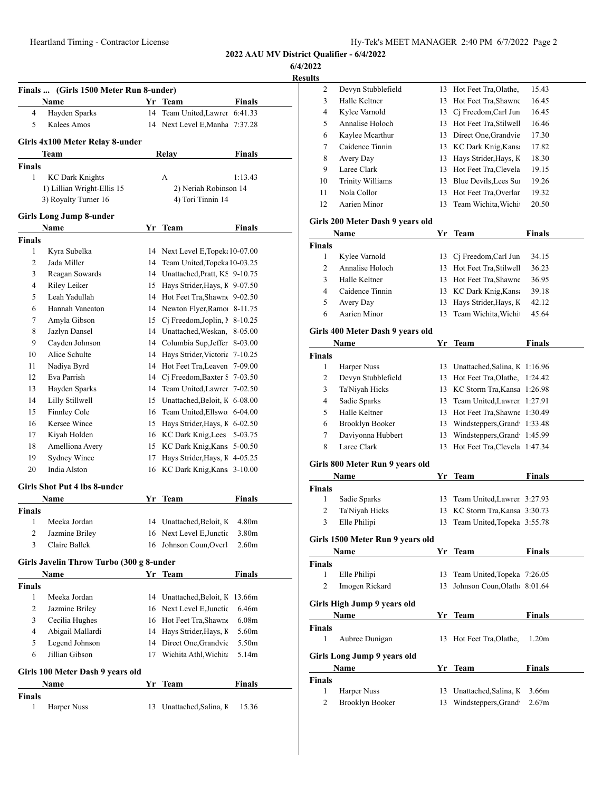**6/4/2022**

|                | Finals  (Girls 1500 Meter Run 8-under)   |    |                                              |                   |
|----------------|------------------------------------------|----|----------------------------------------------|-------------------|
|                | Name                                     |    | Yr Team                                      | <b>Finals</b>     |
| $\overline{4}$ | Hayden Sparks                            |    | 14 Team United, Lawrer 6:41.33               |                   |
| 5              | Kalees Amos                              |    | 14 Next Level E, Manha 7:37.28               |                   |
|                | Girls 4x100 Meter Relay 8-under          |    |                                              |                   |
|                | Team                                     |    | Relay                                        | Finals            |
| Finals         |                                          |    |                                              |                   |
| 1              | <b>KC Dark Knights</b>                   |    | A                                            | 1:13.43           |
|                | 1) Lillian Wright-Ellis 15               |    | 2) Neriah Robinson 14                        |                   |
|                | 3) Royalty Turner 16                     |    | 4) Tori Tinnin 14                            |                   |
|                | <b>Girls Long Jump 8-under</b>           |    |                                              |                   |
|                | Name                                     |    | Yr Team                                      | Finals            |
| <b>Finals</b>  |                                          |    |                                              |                   |
| 1              | Kyra Subelka                             |    | 14 Next Level E, Topek: 10-07.00             |                   |
| 2              | Jada Miller                              |    | 14 Team United, Topeka 10-03.25              |                   |
| 3              | Reagan Sowards                           |    | 14 Unattached, Pratt, KS 9-10.75             |                   |
| $\overline{4}$ | Riley Leiker                             |    | 15 Hays Strider, Hays, K 9-07.50             |                   |
| 5              | Leah Yadullah                            |    | 14 Hot Feet Tra, Shawne 9-02.50              |                   |
| 6              | Hannah Vaneaton                          |    | 14 Newton Flyer, Ramo: 8-11.75               |                   |
| 7              | Amyla Gibson                             |    | 15 Cj Freedom, Joplin, N 8-10.25             |                   |
| 8              | Jazlyn Dansel                            |    | 14 Unattached, Weskan, 8-05.00               |                   |
| 9              | Cayden Johnson                           |    | 14 Columbia Sup, Jeffer 8-03.00              |                   |
| 10             | Alice Schulte                            |    | 14 Hays Strider, Victoria 7-10.25            |                   |
| 11             | Nadiya Byrd                              |    | 14 Hot Feet Tra, Leaven 7-09.00              |                   |
| 12             | Eva Parrish                              |    | 14 Cj Freedom, Baxter S 7-03.50              |                   |
| 13             | Hayden Sparks                            |    | 14 Team United, Lawrer 7-02.50               |                   |
| 14             | Lilly Stillwell                          |    | 15 Unattached, Beloit, K 6-08.00             |                   |
| 15             | Finnley Cole                             |    | 16 Team United, Ellswo 6-04.00               |                   |
| 16             | Kersee Wince                             |    | 15 Hays Strider, Hays, K 6-02.50             |                   |
| 17             | Kiyah Holden                             |    | 16 KC Dark Knig, Lees 5-03.75                |                   |
| 18             | Amelliona Avery                          |    | 15 KC Dark Knig, Kans 5-00.50                |                   |
| 19<br>20       | <b>Sydney Wince</b><br>India Alston      | 17 | Hays Strider, Hays, K 4-05.25                |                   |
|                |                                          |    | 16 KC Dark Knig, Kans 3-10.00                |                   |
|                | <b>Girls Shot Put 4 lbs 8-under</b>      |    |                                              |                   |
|                | Name                                     | Yr | <b>Team</b>                                  | <b>Finals</b>     |
| Finals         |                                          |    |                                              |                   |
| 1<br>2         | Meeka Jordan                             | 16 | 14 Unattached, Beloit, K                     | 4.80m<br>3.80m    |
| 3              | Jazmine Briley<br>Claire Ballek          |    | Next Level E, Junctic<br>Johnson Coun, Overl | 2.60 <sub>m</sub> |
|                |                                          | 16 |                                              |                   |
|                | Girls Javelin Throw Turbo (300 g 8-under |    |                                              |                   |
|                | Name                                     |    | Yr Team                                      | <b>Finals</b>     |
| Finals         |                                          |    |                                              |                   |
| 1              | Meeka Jordan                             |    | 14 Unattached, Beloit, K                     | 13.66m            |
| 2              | Jazmine Briley                           |    | 16 Next Level E, Junctic                     | 6.46m             |
| 3              | Cecilia Hughes                           |    | 16 Hot Feet Tra, Shawne                      | 6.08 <sub>m</sub> |
| 4              | Abigail Mallardi                         |    | 14 Hays Strider, Hays, K                     | 5.60m             |
| 5              | Legend Johnson                           |    | 14 Direct One, Grandvie                      | 5.50m             |
| 6              | Jillian Gibson                           | 17 | Wichita Athl, Wichita                        | 5.14m             |
|                | Girls 100 Meter Dash 9 years old         |    |                                              |                   |
|                | Name                                     |    | Yr Team                                      | <b>Finals</b>     |
| <b>Finals</b>  |                                          |    |                                              |                   |
|                |                                          |    | Unattached, Salina, K                        |                   |

| นเเร          |                                  |    |                             |                   |
|---------------|----------------------------------|----|-----------------------------|-------------------|
| 2             | Devyn Stubblefield               | 13 | Hot Feet Tra, Olathe,       | 15.43             |
| 3             | Halle Keltner                    | 13 | Hot Feet Tra, Shawne        | 16.45             |
| 4             | Kylee Varnold                    |    | 13 Cj Freedom, Carl Jun     | 16.45             |
| 5             | Annalise Holoch                  |    | 13 Hot Feet Tra, Stilwell   | 16.46             |
| 6             | Kaylee Mcarthur                  |    | 13 Direct One, Grandvie     | 17.30             |
| 7             | Caidence Tinnin                  |    | 13 KC Dark Knig, Kans       | 17.82             |
| 8             | Avery Day                        |    | 13 Hays Strider, Hays, K    | 18.30             |
| 9             | Laree Clark                      |    | 13 Hot Feet Tra, Clevela    | 19.15             |
| 10            | <b>Trinity Williams</b>          |    | 13 Blue Devils, Lees Su     | 19.26             |
| 11            | Nola Collor                      |    | 13 Hot Feet Tra, Overlar    | 19.32             |
| 12            | Aarien Minor                     | 13 | Team Wichita, Wichi         | 20.50             |
|               |                                  |    |                             |                   |
|               | Girls 200 Meter Dash 9 years old |    |                             |                   |
|               | Name                             |    | Yr Team                     | <b>Finals</b>     |
| <b>Finals</b> |                                  |    |                             |                   |
| 1             | Kylee Varnold                    |    | 13 Cj Freedom, Carl Jun     | 34.15             |
| 2             | Annalise Holoch                  |    | 13 Hot Feet Tra, Stilwell   | 36.23             |
| 3             | Halle Keltner                    |    | 13 Hot Feet Tra, Shawne     | 36.95             |
| 4             | Caidence Tinnin                  |    | 13 KC Dark Knig, Kans       | 39.18             |
| 5             | Avery Day                        | 13 | Hays Strider, Hays, K       | 42.12             |
| 6             | Aarien Minor                     | 13 | Team Wichita, Wichi         | 45.64             |
|               |                                  |    |                             |                   |
|               | Girls 400 Meter Dash 9 years old |    |                             |                   |
|               | Name                             |    | Yr Team                     | <b>Finals</b>     |
| <b>Finals</b> |                                  |    |                             |                   |
| 1             | Harper Nuss                      |    | 13 Unattached, Salina, K    | 1:16.96           |
| 2             | Devyn Stubblefield               |    | 13 Hot Feet Tra, Olathe,    | 1:24.42           |
| 3             | Ta'Niyah Hicks                   |    | 13 KC Storm Tra, Kansa      | 1:26.98           |
| 4             | Sadie Sparks                     |    | 13 Team United, Lawrer      | 1:27.91           |
| 5             | Halle Keltner                    |    | 13 Hot Feet Tra, Shawne     | 1:30.49           |
| 6             | Brooklyn Booker                  |    | 13 Windsteppers, Grand      | 1:33.48           |
| 7             | Daviyonna Hubbert                | 13 | Windsteppers, Grand         | 1:45.99           |
| 8             | Laree Clark                      | 13 | Hot Feet Tra, Clevela       | 1:47.34           |
|               | Girls 800 Meter Run 9 years old  |    |                             |                   |
|               | Name                             | Yr | Team                        | <b>Finals</b>     |
| <b>Finals</b> |                                  |    |                             |                   |
| 1             | Sadie Sparks                     | 13 | Team United, Lawrer 3:27.93 |                   |
| 2             | Ta'Niyah Hicks                   | 13 | KC Storm Tra, Kansa 3:30.73 |                   |
| 3             | Elle Philipi                     | 13 | Team United, Topeka 3:55.78 |                   |
|               |                                  |    |                             |                   |
|               | Girls 1500 Meter Run 9 years old |    |                             |                   |
|               | Name                             |    | Yr_Team                     | Finals            |
| Finals        |                                  |    |                             |                   |
| 1             | Elle Philipi                     | 13 | Team United, Topeka 7:26.05 |                   |
| 2             | Imogen Rickard                   | 13 | Johnson Coun, Olath 8:01.64 |                   |
|               |                                  |    |                             |                   |
|               | Girls High Jump 9 years old      |    |                             |                   |
|               | Name                             | Yr | Team                        | <b>Finals</b>     |
| <b>Finals</b> |                                  |    |                             |                   |
| 1             | Aubree Dunigan                   | 13 | Hot Feet Tra, Olathe,       | 1.20 <sub>m</sub> |
|               | Girls Long Jump 9 years old      |    |                             |                   |
|               | Name                             | Yr | Team                        | Finals            |
| Finals        |                                  |    |                             |                   |
| 1             | Harper Nuss                      | 13 | Unattached, Salina, K       | 3.66m             |
| $\mathbf{2}$  | <b>Brooklyn Booker</b>           | 13 | Windsteppers, Grand         | 2.67m             |
|               |                                  |    |                             |                   |
|               |                                  |    |                             |                   |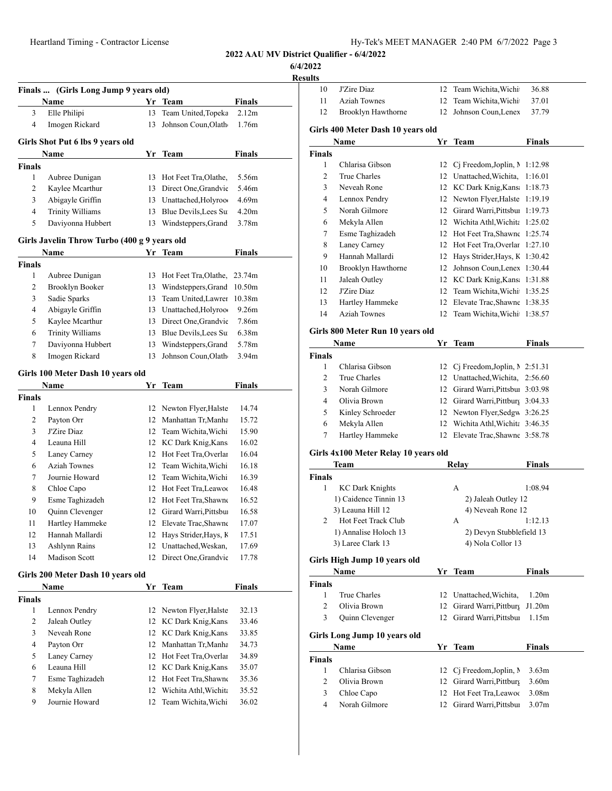**6/4/2022**

|                | Finals  (Girls Long Jump 9 years old)        |    |                          |                    |
|----------------|----------------------------------------------|----|--------------------------|--------------------|
|                | Name                                         |    | Yr Team                  | <b>Finals</b>      |
| 3              | Elle Philipi                                 | 13 | Team United, Topeka      | 2.12m              |
| 4              | Imogen Rickard                               | 13 | Johnson Coun,Olath       | 1.76m              |
|                |                                              |    |                          |                    |
|                | Girls Shot Put 6 lbs 9 years old             |    |                          |                    |
|                | Name                                         | Yr | Team                     | Finals             |
| <b>Finals</b>  |                                              |    |                          |                    |
| 1              | Aubree Dunigan                               | 13 | Hot Feet Tra, Olathe,    | 5.56m              |
| 2              | Kaylee Mcarthur                              |    | 13 Direct One, Grandvie  | 5.46m              |
| 3              | Abigayle Griffin                             |    | 13 Unattached, Holyroo   | 4.69m              |
| 4              | <b>Trinity Williams</b>                      |    | 13 Blue Devils, Lees Su  | 4.20m              |
| 5              | Daviyonna Hubbert                            | 13 | Windsteppers, Grand      | 3.78m              |
|                | Girls Javelin Throw Turbo (400 g 9 years old |    |                          |                    |
|                | Name                                         | Yr | <b>Team</b>              | <b>Finals</b>      |
| <b>Finals</b>  |                                              |    |                          |                    |
| 1              | Aubree Dunigan                               | 13 | Hot Feet Tra, Olathe,    | 23.74m             |
| 2              | Brooklyn Booker                              | 13 | Windsteppers, Grand      | 10.50m             |
| 3              | Sadie Sparks                                 | 13 | Team United, Lawrer      | 10.38 <sub>m</sub> |
| 4              | Abigayle Griffin                             | 13 | Unattached, Holyroo      | 9.26m              |
| 5              | Kaylee Mcarthur                              | 13 | Direct One, Grandvie     | 7.86m              |
| 6              | <b>Trinity Williams</b>                      |    | 13 Blue Devils, Lees Su  | 6.38m              |
| 7              | Daviyonna Hubbert                            | 13 | Windsteppers, Grand      | 5.78m              |
| 8              | Imogen Rickard                               | 13 | Johnson Coun, Olath      | 3.94m              |
|                | Girls 100 Meter Dash 10 years old            |    |                          |                    |
|                | Name                                         | Yr | Team                     | Finals             |
| <b>Finals</b>  |                                              |    |                          |                    |
| 1              | Lennox Pendry                                |    | 12 Newton Flyer, Halste  | 14.74              |
| 2              | Payton Orr                                   |    | 12 Manhattan Tr, Manha   | 15.72              |
| 3              | J'Zire Diaz                                  |    | 12 Team Wichita, Wichi   | 15.90              |
| 4              | Leauna Hill                                  |    | 12 KC Dark Knig, Kans    | 16.02              |
| 5              | Laney Carney                                 |    | 12 Hot Feet Tra, Overlar | 16.04              |
| 6              | <b>Aziah Townes</b>                          | 12 | Team Wichita, Wichi      | 16.18              |
| 7              | Journie Howard                               | 12 | Team Wichita, Wichi      | 16.39              |
| 8              | Chloe Capo                                   |    | 12 Hot Feet Tra, Leawoo  | 16.48              |
| 9              | Esme Taghizadeh                              |    | 12 Hot Feet Tra, Shawne  | 16.52              |
| 10             | Quinn Clevenger                              | 12 | Girard Warri, Pittsbur   | 16.58              |
| 11             | Hartley Hammeke                              | 12 | Elevate Trac, Shawne     | 17.07              |
| 12             | Hannah Mallardi                              | 12 | Hays Strider, Hays, K    | 17.51              |
| 13             | Ashlynn Rains                                | 12 | Unattached, Weskan,      | 17.69              |
| 14             | <b>Madison Scott</b>                         | 12 | Direct One, Grandvie     | 17.78              |
|                |                                              |    |                          |                    |
|                | Girls 200 Meter Dash 10 years old<br>Name    |    | Yr Team                  | <b>Finals</b>      |
| <b>Finals</b>  |                                              |    |                          |                    |
| 1              | Lennox Pendry                                | 12 | Newton Flyer, Halste     | 32.13              |
| $\overline{c}$ | Jaleah Outley                                | 12 | KC Dark Knig, Kans       | 33.46              |
| 3              | Neveah Rone                                  | 12 | KC Dark Knig, Kans       | 33.85              |
| 4              | Payton Orr                                   | 12 | Manhattan Tr, Manha      | 34.73              |
| 5              | Laney Carney                                 | 12 | Hot Feet Tra, Overlar    | 34.89              |
| 6              | Leauna Hill                                  | 12 | KC Dark Knig, Kans       | 35.07              |
| 7              | Esme Taghizadeh                              | 12 | Hot Feet Tra, Shawne     | 35.36              |
| 8              | Mekyla Allen                                 | 12 | Wichita Athl, Wichita    | 35.52              |
| 9              | Journie Howard                               | 12 | Team Wichita, Wichi      | 36.02              |
|                |                                              |    |                          |                    |

| 10            | J'Zire Diaz                                |    | 12 Team Wichita, Wichi                               | 36.88             |
|---------------|--------------------------------------------|----|------------------------------------------------------|-------------------|
| 11            | <b>Aziah Townes</b>                        | 12 | Team Wichita, Wichi                                  | 37.01             |
| 12            | Brooklyn Hawthorne                         | 12 | Johnson Coun, Lenex                                  | 37.79             |
|               | Girls 400 Meter Dash 10 years old          |    |                                                      |                   |
|               | Name                                       | Yr | Team                                                 | <b>Finals</b>     |
| <b>Finals</b> |                                            |    |                                                      |                   |
| 1             | Chlarisa Gibson                            |    | 12 Cj Freedom, Joplin, 1:12.98                       |                   |
| 2             | True Charles                               |    | 12 Unattached, Wichita.                              | 1:16.01           |
| 3             | Neveah Rone                                |    | 12 KC Dark Knig, Kans 1:18.73                        |                   |
| 4             | Lennox Pendry                              |    | 12 Newton Flyer, Halste                              | 1:19.19           |
| 5             | Norah Gilmore                              |    | 12 Girard Warri, Pittsbui 1:19.73                    |                   |
| 6             | Mekyla Allen                               |    | 12 Wichita Athl, Wichita 1:25.02                     |                   |
| 7             | Esme Taghizadeh                            |    | 12 Hot Feet Tra, Shawne 1:25.74                      |                   |
| 8             | Laney Carney                               |    | 12 Hot Feet Tra, Overlar 1:27.10                     |                   |
| 9             | Hannah Mallardi                            |    | 12 Hays Strider, Hays, K 1:30.42                     |                   |
| 10            | Brooklyn Hawthorne                         |    | 12 Johnson Coun, Lenex 1:30.44                       |                   |
| 11            | Jaleah Outley                              |    | 12 KC Dark Knig, Kans 1:31.88                        |                   |
| 12            | J'Zire Diaz                                |    | 12 Team Wichita, Wichi 1:35.25                       |                   |
| 13            | Hartley Hammeke                            |    | 12 Elevate Trac, Shawne 1:38.35                      |                   |
| 14            | <b>Aziah Townes</b>                        |    | 12 Team Wichita, Wichi 1:38.57                       |                   |
|               |                                            |    |                                                      |                   |
|               | Girls 800 Meter Run 10 years old<br>Name   |    | Yr Team                                              | <b>Finals</b>     |
| <b>Finals</b> |                                            |    |                                                      |                   |
| 1             | Chlarisa Gibson                            | 12 | Cj Freedom, Joplin, $\ge 2:51.31$                    |                   |
| 2             | True Charles                               |    | 12 Unattached, Wichita, 2:56.60                      |                   |
| 3             | Norah Gilmore                              |    | 12 Girard Warri, Pittsbui 3:03.98                    |                   |
| 4             | Olivia Brown                               |    | 12 Girard Warri, Pittburs 3:04.33                    |                   |
| 5             | Kinley Schroeder                           |    | 12 Newton Flyer, Sedgw 3:26.25                       |                   |
| 6             | Mekyla Allen                               |    | 12 Wichita Athl, Wichita 3:46.35                     |                   |
| 7             | Hartley Hammeke                            |    | 12 Elevate Trac, Shawne 3:58.78                      |                   |
|               |                                            |    |                                                      |                   |
|               |                                            |    |                                                      |                   |
|               | Girls 4x100 Meter Relay 10 years old       |    |                                                      |                   |
|               | Team                                       |    | Relay                                                | <b>Finals</b>     |
|               |                                            |    |                                                      |                   |
| 1             | <b>KC Dark Knights</b>                     |    | А                                                    | 1:08.94           |
|               | 1) Caidence Tinnin 13                      |    | 2) Jaleah Outley 12                                  |                   |
| 2             | 3) Leauna Hill 12<br>Hot Feet Track Club   |    | 4) Neveah Rone 12<br>Α                               | 1:12.13           |
|               |                                            |    |                                                      |                   |
|               | 1) Annalise Holoch 13<br>3) Laree Clark 13 |    | 2) Devyn Stubblefield 13<br>4) Nola Collor 13        |                   |
|               |                                            |    |                                                      |                   |
|               | Girls High Jump 10 years old               |    |                                                      |                   |
| <b>Finals</b> | Name                                       |    | Yr Team                                              | Finals            |
| Finals<br>1   |                                            |    |                                                      |                   |
|               | True Charles                               | 12 | Unattached, Wichita,                                 | 1.20 <sub>m</sub> |
| 2             | Olivia Brown                               | 12 | Girard Warri, Pittburg                               | J1.20m            |
| 3             | Quinn Clevenger                            | 12 | Girard Warri, Pittsbui                               | 1.15m             |
|               | Girls Long Jump 10 years old               |    |                                                      |                   |
|               | Name                                       | Yr | <b>Team</b>                                          | Finals            |
| Finals        |                                            |    |                                                      |                   |
| 1             | Chlarisa Gibson                            | 12 | Cj Freedom, Joplin, M                                | 3.63 <sub>m</sub> |
| 2             | Olivia Brown                               |    | 12 Girard Warri, Pittburg                            | 3.60 <sub>m</sub> |
| 3             | Chloe Capo                                 |    | 12 Hot Feet Tra, Leawoo<br>12 Girard Warri, Pittsbui | 3.08 <sub>m</sub> |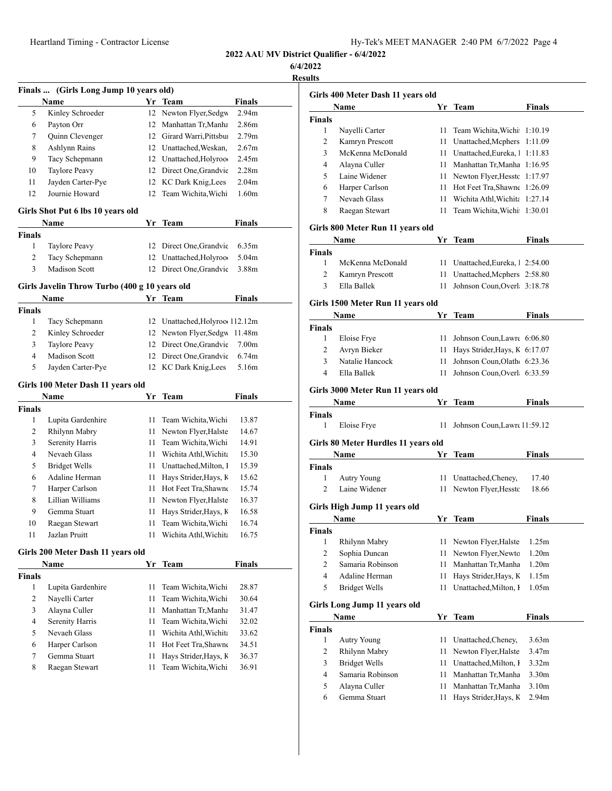| Hy-Tek's MEET MANAGER 2:40 PM 6/7/2022 Page 4 |  |  |  |
|-----------------------------------------------|--|--|--|
|-----------------------------------------------|--|--|--|

**2022 AAU MV District Qualifier - 6/4/2022**

**6/4/2022**

|                | Finals  (Girls Long Jump 10 years old)        |    |                                |                   |
|----------------|-----------------------------------------------|----|--------------------------------|-------------------|
|                | Name                                          |    | Yr Team                        | <b>Finals</b>     |
| 5              | Kinley Schroeder                              |    | 12 Newton Flyer, Sedgw         | 2.94 <sub>m</sub> |
| 6              | Payton Orr                                    | 12 | Manhattan Tr, Manha            | 2.86m             |
| 7              | <b>Ouinn Clevenger</b>                        |    | 12 Girard Warri, Pittsbui      | 2.79 <sub>m</sub> |
| 8              | Ashlynn Rains                                 |    | 12 Unattached, Weskan,         | 2.67m             |
| 9              | Tacy Schepmann                                |    | 12 Unattached, Holyroo         | 2.45m             |
| 10             | Taylore Peavy                                 | 12 | Direct One, Grandvie           | 2.28 <sub>m</sub> |
| 11             | Jayden Carter-Pye                             |    | 12 KC Dark Knig, Lees          | 2.04m             |
| 12             | Journie Howard                                |    | 12 Team Wichita, Wichi         | 1.60 <sub>m</sub> |
|                | Girls Shot Put 6 lbs 10 years old             |    |                                |                   |
|                | Name                                          |    | Yr Team                        | <b>Finals</b>     |
| <b>Finals</b>  |                                               |    |                                |                   |
| 1              | <b>Taylore Peavy</b>                          |    | 12 Direct One, Grandvie        | 6.35m             |
| 2              | Tacy Schepmann                                |    | 12 Unattached, Holyroo         | 5.04m             |
| 3              | <b>Madison Scott</b>                          |    | 12 Direct One, Grandvie        | 3.88m             |
|                | Girls Javelin Throw Turbo (400 g 10 years old |    |                                |                   |
|                | Name                                          |    | Yr Team                        | <b>Finals</b>     |
| <b>Finals</b>  |                                               |    |                                |                   |
| 1              | Tacy Schepmann                                |    | 12 Unattached, Holyroo 112.12m |                   |
| 2              | Kinley Schroeder                              | 12 | Newton Flyer, Sedgw 11.48m     |                   |
| 3              | Taylore Peavy                                 | 12 | Direct One, Grandvie           | 7.00 <sub>m</sub> |
| $\overline{4}$ | <b>Madison Scott</b>                          |    | 12 Direct One, Grandvie        | 6.74m             |
| 5              | Jayden Carter-Pye                             |    | 12 KC Dark Knig, Lees          | 5.16m             |
|                | Girls 100 Meter Dash 11 years old             |    |                                |                   |
|                | Name                                          |    | Yr Team                        | <b>Finals</b>     |
| <b>Finals</b>  |                                               |    |                                |                   |
| 1              | Lupita Gardenhire                             | 11 | Team Wichita, Wichi            | 13.87             |
| 2              | Rhilynn Mabry                                 | 11 | Newton Flyer, Halste           | 14.67             |
| 3              | Serenity Harris                               | 11 | Team Wichita, Wichi            | 14.91             |
| 4              | Nevaeh Glass                                  | 11 | Wichita Athl Wichita           | 15.30             |
| 5              | <b>Bridget Wells</b>                          | 11 | Unattached, Milton, I          | 15.39             |
| 6              | Adaline Herman                                | 11 | Hays Strider, Hays, K          | 15.62             |
| 7              | Harper Carlson                                | 11 | Hot Feet Tra, Shawne           | 15.74             |
| 8              | Lillian Williams                              | 11 | Newton Flyer, Halste           | 16.37             |
| 9              | Gemma Stuart                                  | 11 | Hays Strider, Hays, K          | 16.58             |
| 10             | Raegan Stewart                                | 11 | Team Wichita, Wichi            | 16.74             |
| 11             | Jazlan Pruitt                                 |    | 11 Wichita Athl, Wichita       | 16.75             |
|                | Girls 200 Meter Dash 11 years old             |    |                                |                   |
|                | Name                                          |    | Yr Team                        | <b>Finals</b>     |
| <b>Finals</b>  |                                               |    |                                |                   |
| 1              | Lupita Gardenhire                             | 11 | Team Wichita, Wichi            | 28.87             |
| 2              | Nayelli Carter                                | 11 | Team Wichita, Wichi            | 30.64             |
| 3              | Alayna Culler                                 | 11 | Manhattan Tr, Manha            | 31.47             |
| 4              | Serenity Harris                               | 11 | Team Wichita, Wichi            | 32.02             |
| 5              | Nevaeh Glass                                  | 11 | Wichita Athl, Wichita          | 33.62             |
| 6              | Harper Carlson                                | 11 | Hot Feet Tra, Shawne           | 34.51             |
| 7              | Gemma Stuart                                  | 11 | Hays Strider, Hays, K          | 36.37             |
|                |                                               |    |                                |                   |

|                         | Girls 400 Meter Dash 11 years old    |    |                                  |                   |
|-------------------------|--------------------------------------|----|----------------------------------|-------------------|
|                         | Name                                 | Yr | Team                             | Finals            |
| Finals                  |                                      |    |                                  |                   |
| 1                       | Nayelli Carter                       | 11 | Team Wichita, Wichi              | 1:10.19           |
| 2                       | Kamryn Prescott                      | 11 | Unattached, Mcphers              | 1:11.09           |
| 3                       | McKenna McDonald                     |    | 11 Unattached, Eureka, 1 1:11.83 |                   |
| 4                       | Alayna Culler                        |    | 11 Manhattan Tr, Manha 1:16.95   |                   |
| 5                       | Laine Widener                        |    | 11 Newton Flyer, Hesstc 1:17.97  |                   |
| 6                       | Harper Carlson                       | 11 | Hot Feet Tra, Shawne 1:26.09     |                   |
| 7                       | Nevaeh Glass                         |    | 11 Wichita Athl, Wichita         | 1:27.14           |
| 8                       | Raegan Stewart                       | 11 | Team Wichita, Wichi              | 1:30.01           |
|                         | Girls 800 Meter Run 11 years old     |    |                                  |                   |
|                         | Name                                 |    | Yr Team                          | Finals            |
| Finals<br>1             |                                      |    |                                  |                   |
| 2                       | McKenna McDonald                     | 11 | Unattached, Eureka, 1 2:54.00    |                   |
| 3                       | Kamryn Prescott<br>Ella Ballek       | 11 | Unattached, Mcphers 2:58.80      |                   |
|                         |                                      | 11 | Johnson Coun, Overl 3:18.78      |                   |
|                         | Girls 1500 Meter Run 11 years old    |    |                                  |                   |
|                         | Name                                 | Yr | Team                             | Finals            |
| Finals                  |                                      |    |                                  |                   |
| 1                       | Eloise Frye                          | 11 | Johnson Coun, Lawre 6:06.80      |                   |
| 2                       | Avryn Bieker                         | 11 | Hays Strider, Hays, K 6:17.07    |                   |
| 3                       | Natalie Hancock                      | 11 | Johnson Coun, Olath 6:23.36      |                   |
| 4                       | Ella Ballek                          | 11 | Johnson Coun, Overl 6:33.59      |                   |
|                         | Girls 3000 Meter Run 11 years old    |    |                                  |                   |
|                         |                                      |    |                                  |                   |
|                         |                                      |    |                                  |                   |
|                         | Name                                 | Yr | Team                             | Finals            |
| Finals<br>1             |                                      | 11 |                                  |                   |
|                         | Eloise Frye                          |    | Johnson Coun, Lawre 11:59.12     |                   |
|                         | Girls 80 Meter Hurdles 11 years old  |    |                                  |                   |
|                         | Name                                 | Yr | Team                             | Finals            |
|                         |                                      |    |                                  |                   |
| 1                       | <b>Autry Young</b>                   | 11 | Unattached, Cheney,              | 17.40             |
| 2                       | Laine Widener                        | 11 | Newton Flyer, Hesstc             | 18.66             |
|                         | Girls High Jump 11 years old         |    |                                  |                   |
|                         | Name                                 |    | Yr Team                          | Finals            |
|                         |                                      |    |                                  |                   |
| 1                       | Rhilynn Mabry                        | 11 | Newton Flyer, Halste             | 1.25m             |
| $\sqrt{2}$              | Sophia Duncan                        | 11 | Newton Flyer, Newto              | 1.20 <sub>m</sub> |
| $\overline{c}$          | Samaria Robinson                     | 11 | Manhattan Tr, Manha              | 1.20 <sub>m</sub> |
| 4                       | Adaline Herman                       | 11 | Hays Strider, Hays, K            | 1.15m             |
| Finals<br>Finals<br>5   | <b>Bridget Wells</b>                 | 11 | Unattached, Milton, I            | 1.05m             |
|                         |                                      |    |                                  |                   |
|                         | Girls Long Jump 11 years old<br>Name | Yr |                                  |                   |
|                         |                                      |    | <b>Team</b>                      | <b>Finals</b>     |
| 1                       | Autry Young                          | 11 | Unattached, Cheney,              | 3.63 <sub>m</sub> |
| $\overline{c}$          | Rhilynn Mabry                        | 11 | Newton Flyer, Halste             | 3.47m             |
| 3                       | <b>Bridget Wells</b>                 | 11 | Unattached, Milton, I            | 3.32 <sub>m</sub> |
| $\overline{\mathbf{4}}$ | Samaria Robinson                     | 11 | Manhattan Tr, Manha              | 3.30m             |
| Finals<br>5             | Alayna Culler                        | 11 | Manhattan Tr, Manha              | 3.10 <sub>m</sub> |
| 6                       | Gemma Stuart                         | 11 | Hays Strider, Hays, K            | 2.94m             |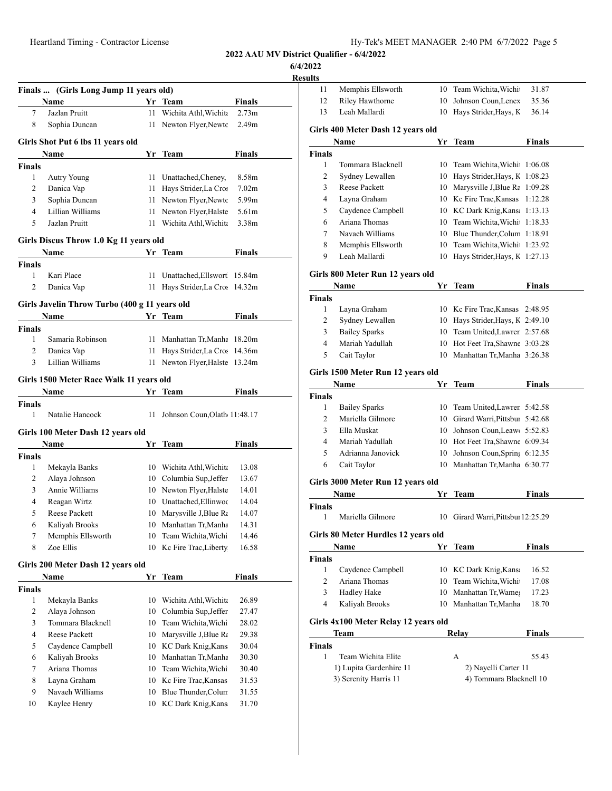**6/4/2022**

|                              | Finals  (Girls Long Jump 11 years old)        |    |                                                 |                             |
|------------------------------|-----------------------------------------------|----|-------------------------------------------------|-----------------------------|
| 7                            | Name<br>Jazlan Pruitt                         | 11 | Yr Team<br>Wichita Athl, Wichita                | Finals<br>2.73 <sub>m</sub> |
| 8                            | Sophia Duncan                                 | 11 | Newton Flyer, Newto                             | 2.49 <sub>m</sub>           |
|                              |                                               |    |                                                 |                             |
|                              | Girls Shot Put 6 lbs 11 years old             |    |                                                 |                             |
|                              | Name                                          |    | Yr Team                                         | Finals                      |
| Finals                       |                                               |    |                                                 |                             |
| 1                            | <b>Autry Young</b>                            | 11 | Unattached, Cheney,                             | 8.58m                       |
| 2                            | Danica Vap                                    | 11 | Hays Strider, La Cros                           | 7.02 <sub>m</sub>           |
| 3                            | Sophia Duncan                                 | 11 | Newton Flyer, Newto                             | 5.99m                       |
| $\overline{4}$               | Lillian Williams                              | 11 | Newton Flyer, Halste                            | 5.61m                       |
| 5                            | Jazlan Pruitt                                 | 11 | Wichita Athl, Wichita                           | 3.38m                       |
|                              | Girls Discus Throw 1.0 Kg 11 years old        |    |                                                 |                             |
|                              | Name                                          |    | Yr Team                                         | Finals                      |
| <b>Finals</b>                |                                               |    |                                                 |                             |
| 1                            | Kari Place                                    | 11 | Unattached, Ellswort 15.84m                     |                             |
| 2                            | Danica Vap                                    | 11 | Hays Strider, La Cros 14.32m                    |                             |
|                              | Girls Javelin Throw Turbo (400 g 11 years old |    |                                                 |                             |
|                              | Name                                          |    | Yr Team                                         | Finals                      |
| <b>Finals</b>                |                                               |    |                                                 |                             |
| 1                            | Samaria Robinson                              | 11 | Manhattan Tr, Manha 18.20m                      |                             |
| 2                            | Danica Vap                                    | 11 | Hays Strider, La Cros 14.36m                    |                             |
| 3                            | Lillian Williams                              | 11 | Newton Flyer, Halste 13.24m                     |                             |
|                              | Girls 1500 Meter Race Walk 11 years old       |    |                                                 |                             |
|                              | Name                                          | Yr | Team                                            | Finals                      |
| <b>Finals</b>                |                                               |    |                                                 |                             |
| 1                            | Natalie Hancock                               | 11 | Johnson Coun, Olath 11:48.17                    |                             |
|                              |                                               |    |                                                 |                             |
|                              |                                               |    |                                                 |                             |
|                              | Girls 100 Meter Dash 12 years old             |    |                                                 |                             |
|                              | Name                                          |    | Yr Team                                         | Finals                      |
|                              |                                               |    |                                                 |                             |
| 1                            | Mekayla Banks                                 |    | 10 Wichita Athl, Wichita                        | 13.08                       |
| 2                            | Alaya Johnson                                 |    | 10 Columbia Sup, Jeffer                         | 13.67                       |
| 3                            | Annie Williams                                |    | 10 Newton Flyer, Halste                         | 14.01                       |
| 4<br>5                       | Reagan Wirtz<br><b>Reese Packett</b>          |    | 10 Unattached.Ellinwoo                          | 14.04<br>14.07              |
|                              |                                               | 10 | 10 Marysville J, Blue Ra<br>Manhattan Tr, Manha |                             |
| 6<br>7                       | Kaliyah Brooks                                | 10 |                                                 | 14.31<br>14.46              |
| 8                            | Memphis Ellsworth<br>Zoe Ellis                | 10 | Team Wichita, Wichi<br>Kc Fire Trac, Liberty    | 16.58                       |
|                              |                                               |    |                                                 |                             |
|                              | Girls 200 Meter Dash 12 years old             |    |                                                 |                             |
|                              | Name                                          | Yr | Team                                            | <b>Finals</b>               |
|                              |                                               |    |                                                 |                             |
| 1                            | Mekayla Banks                                 | 10 | Wichita Athl, Wichita                           | 26.89                       |
| 2                            | Alaya Johnson                                 | 10 | Columbia Sup, Jeffer                            | 27.47                       |
| 3                            | Tommara Blacknell                             |    | 10 Team Wichita, Wichi                          | 28.02                       |
| 4                            | Reese Packett                                 | 10 | Marysville J, Blue Ra                           | 29.38                       |
| 5                            | Caydence Campbell                             |    | 10 KC Dark Knig, Kans                           | 30.04                       |
| 6                            | Kaliyah Brooks                                | 10 | Manhattan Tr, Manha                             | 30.30                       |
| Finals<br><b>Finals</b><br>7 | Ariana Thomas                                 |    | 10 Team Wichita, Wichi                          | 30.40                       |
| 8                            | Layna Graham                                  |    | 10 Kc Fire Trac, Kansas                         |                             |
| 9<br>10                      | Navaeh Williams<br>Kaylee Henry               | 10 | 10 Blue Thunder, Colum<br>KC Dark Knig, Kans    | 31.53<br>31.55<br>31.70     |

| 11                 | Memphis Ellsworth                       | 10 | Team Wichita, Wichi               | 31.87         |
|--------------------|-----------------------------------------|----|-----------------------------------|---------------|
| 12                 | Riley Hawthorne                         | 10 | Johnson Coun, Lenex               | 35.36         |
| 13                 | Leah Mallardi                           | 10 | Hays Strider, Hays, K             | 36.14         |
|                    | Girls 400 Meter Dash 12 years old       |    |                                   |               |
|                    | Name                                    | Yr | Team                              | <b>Finals</b> |
| Finals             |                                         |    |                                   |               |
| 1                  | Tommara Blacknell                       | 10 | Team Wichita, Wichi               | 1:06.08       |
| 2                  | Sydney Lewallen                         | 10 | Hays Strider, Hays, K             | 1:08.23       |
| 3                  | <b>Reese Packett</b>                    | 10 | Marysville J, Blue Rt             | 1:09.28       |
| 4                  | Layna Graham                            | 10 | Kc Fire Trac, Kansas              | 1:12.28       |
| 5                  | Caydence Campbell                       |    | 10 KC Dark Knig, Kans             | 1:13.13       |
| 6                  | Ariana Thomas                           |    | 10 Team Wichita, Wichi            | 1:18.33       |
| 7                  | Navaeh Williams                         |    | 10 Blue Thunder, Colum            | 1:18.91       |
| 8                  | Memphis Ellsworth                       | 10 | Team Wichita, Wichi               | 1:23.92       |
| 9                  | Leah Mallardi                           | 10 | Hays Strider, Hays, K             | 1:27.13       |
|                    | Girls 800 Meter Run 12 years old        |    |                                   |               |
|                    | Name                                    |    | Yr Team                           | <b>Finals</b> |
|                    |                                         |    |                                   |               |
| Finals<br>1        | Layna Graham                            |    | Kc Fire Trac, Kansas              |               |
|                    |                                         | 10 |                                   | 2:48.95       |
| 2                  | Sydney Lewallen                         | 10 | Hays Strider, Hays, K 2:49.10     |               |
| 3                  | <b>Bailey Sparks</b><br>Mariah Yadullah | 10 | Team United, Lawrer 2:57.68       |               |
| 4                  |                                         | 10 | Hot Feet Tra, Shawne 3:03.28      |               |
| 5                  | Cait Taylor                             | 10 | Manhattan Tr, Manha 3:26.38       |               |
|                    | Girls 1500 Meter Run 12 years old       |    |                                   |               |
|                    | Name                                    | Yr | Team                              | <b>Finals</b> |
| <b>Finals</b>      |                                         |    |                                   |               |
| 1                  | <b>Bailey Sparks</b>                    |    | 10 Team United, Lawrer 5:42.58    |               |
| 2                  | Mariella Gilmore                        |    | 10 Girard Warri, Pittsbui 5:42.68 |               |
| 3                  | Ella Muskat                             | 10 | Johnson Coun, Leaw 5:52.83        |               |
| 4                  | Mariah Yadullah                         | 10 | Hot Feet Tra, Shawne 6:09.34      |               |
| 5                  | Adrianna Janovick                       | 10 | Johnson Coun, Spring 6:12.35      |               |
| 6                  | Cait Taylor                             | 10 | Manhattan Tr, Manha 6:30.77       |               |
|                    | Girls 3000 Meter Run 12 years old       |    |                                   |               |
|                    | Name                                    | Yr | <b>Team</b>                       | <b>Finals</b> |
| Finals             |                                         |    |                                   |               |
| 1                  | Mariella Gilmore                        | 10 | Girard Warri, Pittsbui 12:25.29   |               |
|                    |                                         |    |                                   |               |
|                    | Girls 80 Meter Hurdles 12 years old     |    |                                   |               |
|                    | Name                                    | Yr | <b>Team</b>                       | <b>Finals</b> |
| <b>Finals</b><br>1 |                                         |    |                                   |               |
|                    | Caydence Campbell                       |    | 10 KC Dark Knig, Kans             | 16.52         |
| 2                  | Ariana Thomas                           | 10 | Team Wichita, Wichi               | 17.08         |
| 3                  | Hadley Hake                             | 10 | Manhattan Tr, Wame;               | 17.23         |
| 4                  | Kaliyah Brooks                          | 10 | Manhattan Tr, Manha               | 18.70         |
|                    | Girls 4x100 Meter Relay 12 years old    |    |                                   |               |
|                    | Team                                    |    | <b>Relay</b>                      | <b>Finals</b> |
| <b>Finals</b>      |                                         |    |                                   |               |
| 1                  | Team Wichita Elite                      |    | A                                 | 55.43         |
|                    | 1) Lupita Gardenhire 11                 |    | 2) Nayelli Carter 11              |               |
|                    | 3) Serenity Harris 11                   |    | 4) Tommara Blacknell 10           |               |
|                    |                                         |    |                                   |               |
|                    |                                         |    |                                   |               |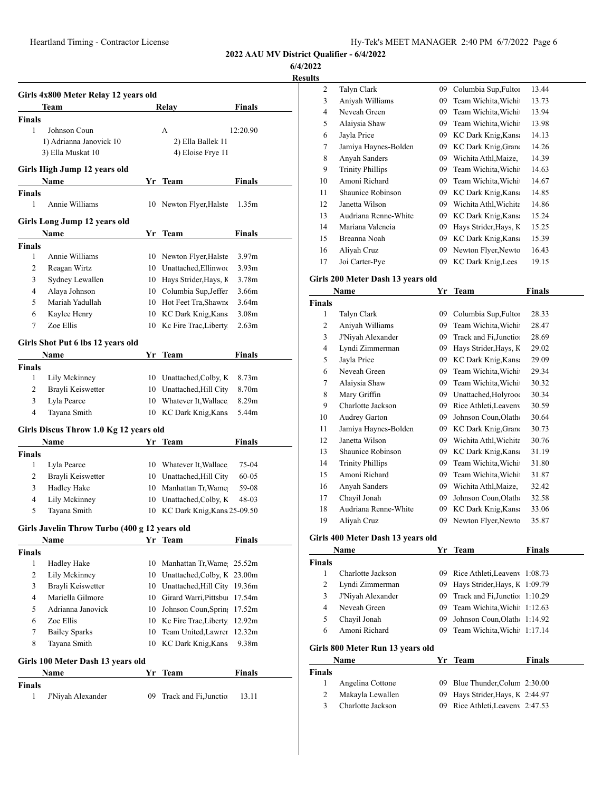**6/4/2022**

|                | Girls 4x800 Meter Relay 12 years old<br>Team  |    | Relay                            | <b>Finals</b>     |
|----------------|-----------------------------------------------|----|----------------------------------|-------------------|
| Finals         |                                               |    |                                  |                   |
| $\mathbf{1}$   | Johnson Coun                                  |    | A                                | 12:20.90          |
|                | 1) Adrianna Janovick 10                       |    | 2) Ella Ballek 11                |                   |
|                | 3) Ella Muskat 10                             |    | 4) Eloise Frye 11                |                   |
|                | Girls High Jump 12 years old                  |    |                                  |                   |
|                | Name                                          |    | Yr Team                          | Finals            |
| Finals         |                                               |    |                                  |                   |
| 1              | Annie Williams                                |    | 10 Newton Flyer, Halste          | 1.35m             |
|                | Girls Long Jump 12 years old                  |    |                                  |                   |
|                | Name                                          |    | Yr Team                          | Finals            |
| Finals         |                                               |    |                                  |                   |
| 1              | Annie Williams                                |    | 10 Newton Flyer, Halste          | 3.97 <sub>m</sub> |
| 2              | Reagan Wirtz                                  |    | 10 Unattached, Ellinwoc          | 3.93 <sub>m</sub> |
| 3              | Sydney Lewallen                               |    | 10 Hays Strider, Hays, K         | 3.78m             |
| $\overline{4}$ | Alaya Johnson                                 |    | 10 Columbia Sup, Jeffer          | 3.66m             |
| 5              | Mariah Yadullah                               |    | 10 Hot Feet Tra, Shawne          | 3.64m             |
| 6              | Kaylee Henry                                  |    | 10 KC Dark Knig, Kans            | 3.08 <sub>m</sub> |
| 7              | Zoe Ellis                                     |    | 10 Kc Fire Trac, Liberty         | 2.63 <sub>m</sub> |
|                | Girls Shot Put 6 lbs 12 years old             |    |                                  |                   |
|                | Name                                          |    | Yr Team                          | <b>Finals</b>     |
| Finals         |                                               |    |                                  |                   |
| 1              | Lily Mckinney                                 |    | 10 Unattached, Colby, K          | 8.73m             |
| 2              | Brayli Keiswetter                             |    | 10 Unattached, Hill City         | 8.70m             |
| 3              | Lyla Pearce                                   |    | 10 Whatever It, Wallace          | 8.29 <sub>m</sub> |
| $\overline{4}$ | Tayana Smith                                  |    | 10 KC Dark Knig, Kans            | 5.44m             |
|                | Girls Discus Throw 1.0 Kg 12 years old        |    |                                  |                   |
|                | Name                                          |    | Yr Team                          | <b>Finals</b>     |
| Finals         |                                               |    |                                  |                   |
| 1              | Lyla Pearce                                   |    | 10 Whatever It, Wallace          | 75-04             |
| 2              | Brayli Keiswetter                             |    | 10 Unattached, Hill City         | $60 - 05$         |
| 3              | Hadley Hake                                   |    | 10 Manhattan Tr, Wame            | 59-08             |
| 4              | Lily Mckinney                                 |    | 10 Unattached, Colby, K          | 48-03             |
| 5              | Tayana Smith                                  |    | 10 KC Dark Knig, Kans 25-09.50   |                   |
|                | Girls Javelin Throw Turbo (400 g 12 years old |    |                                  |                   |
|                | Name                                          |    | Yr Team                          | <b>Finals</b>     |
| Finals<br>1    | <b>Hadley Hake</b>                            | 10 | Manhattan Tr, Wame; 25.52m       |                   |
| 2              | Lily Mckinney                                 |    | 10 Unattached, Colby, K 23.00m   |                   |
| 3              | Brayli Keiswetter                             |    | 10 Unattached, Hill City 19.36m  |                   |
| 4              | Mariella Gilmore                              |    | 10 Girard Warri, Pittsbu: 17.54m |                   |
| 5              | Adrianna Janovick                             | 10 | Johnson Coun, Sprin; 17.52m      |                   |
|                | Zoe Ellis                                     | 10 | Kc Fire Trac, Liberty 12.92m     |                   |
|                | <b>Bailey Sparks</b>                          | 10 | Team United, Lawrer              | 12.32m            |
| 6              | Tayana Smith                                  | 10 | KC Dark Knig, Kans               | 9.38m             |
| 7<br>8         |                                               |    |                                  |                   |
|                |                                               |    |                                  |                   |
|                | Girls 100 Meter Dash 13 years old             |    |                                  |                   |
| Finals         | Name                                          | Yr | Team                             | <b>Finals</b>     |

| 2      | Talyn Clark                       | 09 | Columbia Sup, Fultor          | 13.44         |  |
|--------|-----------------------------------|----|-------------------------------|---------------|--|
| 3      | Aniyah Williams                   | 09 | Team Wichita, Wichi           | 13.73         |  |
| 4      | Neveah Green                      | 09 | Team Wichita, Wichi           | 13.94         |  |
| 5      | Alaiysia Shaw                     | 09 | Team Wichita, Wichi           | 13.98         |  |
| 6      | Jayla Price                       | 09 | KC Dark Knig, Kans            | 14.13         |  |
| 7      | Jamiya Haynes-Bolden              | 09 | KC Dark Knig, Grand           | 14.26         |  |
| 8      | Anyah Sanders                     | 09 | Wichita Athl, Maize,          | 14.39         |  |
| 9      | <b>Trinity Phillips</b>           | 09 | Team Wichita, Wichi           | 14.63         |  |
| 10     | Amoni Richard                     | 09 | Team Wichita, Wichi           | 14.67         |  |
| 11     | Shaunice Robinson                 | 09 | KC Dark Knig, Kans            | 14.85         |  |
| 12     | Janetta Wilson                    | 09 | Wichita Athl, Wichita         | 14.86         |  |
| 13     | Audriana Renne-White              | 09 | KC Dark Knig, Kans            | 15.24         |  |
| 14     | Mariana Valencia                  | 09 | Hays Strider, Hays, K         | 15.25         |  |
| 15     | Breanna Noah                      | 09 | KC Dark Knig, Kans            | 15.39         |  |
| 16     | Aliyah Cruz                       | 09 | Newton Flyer, Newto           | 16.43         |  |
| 17     | Joi Carter-Pye                    | 09 | KC Dark Knig, Lees            | 19.15         |  |
|        | Girls 200 Meter Dash 13 years old |    |                               |               |  |
|        | Name                              | Yr | <b>Team</b>                   | Finals        |  |
| Finals |                                   |    |                               |               |  |
| 1      | Talyn Clark                       |    | 09 Columbia Sup, Fulton       | 28.33         |  |
| 2      | Aniyah Williams                   | 09 | Team Wichita, Wichi           | 28.47         |  |
| 3      | J'Niyah Alexander                 | 09 | Track and Fi, Junctio         | 28.69         |  |
| 4      | Lyndi Zimmerman                   | 09 | Hays Strider, Hays, K         | 29.02         |  |
| 5      | Jayla Price                       | 09 | KC Dark Knig, Kans            | 29.09         |  |
| 6      | Neveah Green                      | 09 | Team Wichita, Wichi           | 29.34         |  |
| 7      | Alaiysia Shaw                     | 09 | Team Wichita, Wichi           | 30.32         |  |
| 8      | Mary Griffin                      |    | 09 Unattached, Holyroo        | 30.34         |  |
| 9      | Charlotte Jackson                 | 09 | Rice Athleti, Leaveny         | 30.59         |  |
| 10     | Audrey Garton                     | 09 | Johnson Coun, Olath           | 30.64         |  |
| 11     | Jamiya Haynes-Bolden              | 09 | KC Dark Knig, Grand           | 30.73         |  |
| 12     | Janetta Wilson                    | 09 | Wichita Athl, Wichita         | 30.76         |  |
| 13     | Shaunice Robinson                 | 09 | KC Dark Knig, Kans            | 31.19         |  |
| 14     | <b>Trinity Phillips</b>           | 09 | Team Wichita, Wichi           | 31.80         |  |
| 15     | Amoni Richard                     | 09 | Team Wichita, Wichi           | 31.87         |  |
| 16     | Anyah Sanders                     | 09 | Wichita Athl, Maize,          | 32.42         |  |
| 17     | Chayil Jonah                      | 09 | Johnson Coun, Olath           | 32.58         |  |
| 18     | Audriana Renne-White              | 09 | KC Dark Knig, Kans            | 33.06         |  |
| 19     | Aliyah Cruz                       | 09 | Newton Flyer, Newto           | 35.87         |  |
|        | Girls 400 Meter Dash 13 years old |    |                               |               |  |
|        | Name                              |    | Yr Team                       | <b>Finals</b> |  |
| Finals |                                   |    |                               |               |  |
| 1      | Charlotte Jackson                 | 09 | Rice Athleti, Leaveny         | 1:08.73       |  |
| 2      | Lyndi Zimmerman                   | 09 | Hays Strider, Hays, K         | 1:09.79       |  |
| 3      | J'Niyah Alexander                 | 09 | Track and Fi, Junctio         | 1:10.29       |  |
| 4      | Neveah Green                      | 09 | Team Wichita, Wichi           | 1:12.63       |  |
| 5      | Chayil Jonah                      | 09 | Johnson Coun, Olath           | 1:14.92       |  |
| 6      | Amoni Richard                     | 09 | Team Wichita, Wichi           | 1:17.14       |  |
|        |                                   |    |                               |               |  |
|        | Girls 800 Meter Run 13 years old  |    |                               |               |  |
| Finals | Name                              | Yr | <b>Team</b>                   | Finals        |  |
| 1      | Angelina Cottone                  | 09 | Blue Thunder, Colum 2:30.00   |               |  |
| 2      | Makayla Lewallen                  | 09 | Hays Strider, Hays, K 2:44.97 |               |  |
| 3      | Charlotte Jackson                 | 09 | Rice Athleti, Leaveny 2:47.53 |               |  |
|        |                                   |    |                               |               |  |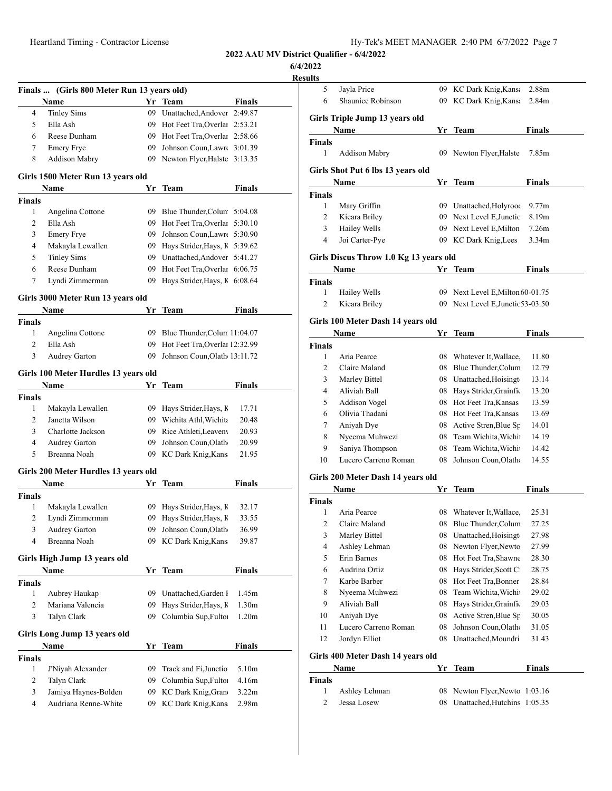**6/4/2022**

<u>Resu</u>

|                    | Finals  (Girls 800 Meter Run 13 years old) |     |                                   |               |
|--------------------|--------------------------------------------|-----|-----------------------------------|---------------|
|                    | Name                                       | Yr  | Team                              | Finals        |
| 4                  | <b>Tinley Sims</b>                         | 09  | Unattached, Andover 2:49.87       |               |
| 5                  | Ella Ash                                   |     | 09 Hot Feet Tra, Overlar 2:53.21  |               |
| 6                  | Reese Dunham                               |     | 09 Hot Feet Tra, Overlar 2:58.66  |               |
| 7                  | <b>Emery Frye</b>                          |     | 09 Johnson Coun, Lawre 3:01.39    |               |
| 8                  | <b>Addison Mabry</b>                       | 09  | Newton Flyer, Halste 3:13.35      |               |
|                    | Girls 1500 Meter Run 13 years old          |     |                                   |               |
|                    | Name                                       | Yr  | Team                              | Finals        |
| <b>Finals</b>      |                                            |     |                                   |               |
| 1                  | Angelina Cottone                           |     | 09 Blue Thunder, Colum 5:04.08    |               |
| 2                  | Ella Ash                                   |     | 09 Hot Feet Tra, Overlar 5:30.10  |               |
| 3                  | <b>Emery Frye</b>                          | 09  | Johnson Coun, Lawre 5:30.90       |               |
| 4                  | Makayla Lewallen                           | 09  | Hays Strider, Hays, K 5:39.62     |               |
| 5                  | <b>Tinley Sims</b>                         | 09  | Unattached, Andover 5:41.27       |               |
| 6                  | Reese Dunham                               | 09  | Hot Feet Tra, Overlar 6:06.75     |               |
| 7                  | Lyndi Zimmerman                            | 09  | Hays Strider, Hays, K 6:08.64     |               |
|                    | Girls 3000 Meter Run 13 years old          |     |                                   |               |
|                    | Name                                       | Yr  | <b>Team</b>                       | Finals        |
| Finals             |                                            |     |                                   |               |
| 1                  | Angelina Cottone                           |     | 09 Blue Thunder, Colum 11:04.07   |               |
| 2                  | Ella Ash                                   |     | 09 Hot Feet Tra, Overlar 12:32.99 |               |
| 3                  | <b>Audrey Garton</b>                       |     | 09 Johnson Coun, Olath 13:11.72   |               |
|                    | Girls 100 Meter Hurdles 13 years old       |     |                                   |               |
|                    | Name                                       | Yr  | Team                              | Finals        |
| <b>Finals</b>      |                                            |     |                                   |               |
| 1                  | Makayla Lewallen                           | 09  | Hays Strider, Hays, K             | 17.71         |
| 2                  | Janetta Wilson                             |     | 09 Wichita Athl, Wichita          | 20.48         |
| 3                  | Charlotte Jackson                          |     | 09 Rice Athleti, Leaveny          | 20.93         |
| 4                  | Audrey Garton                              | 09. | Johnson Coun, Olath               | 20.99         |
| 5                  | Breanna Noah                               |     | 09 KC Dark Knig, Kans             | 21.95         |
|                    | Girls 200 Meter Hurdles 13 years old       |     |                                   |               |
|                    | Name                                       | Yr  | <b>Team</b>                       | <b>Finals</b> |
| <b>Finals</b><br>1 | Makayla Lewallen                           | 09  | Hays Strider, Hays, K             | 32.17         |
| 2                  | Lyndi Zimmerman                            | 09  | Hays Strider, Hays, K             | 33.55         |
| 3                  | Audrey Garton                              | 09  | Johnson Coun, Olath               | 36.99         |
| 4                  | Breanna Noah                               | 09  | KC Dark Knig, Kans                | 39.87         |
|                    | Girls High Jump 13 years old               |     |                                   |               |
|                    | Name                                       | Yr  | Team                              | Finals        |
| <b>Finals</b>      |                                            |     |                                   |               |
| 1                  | Aubrey Haukap                              | 09  | Unattached, Garden I              | 1.45m         |
| $\overline{c}$     | Mariana Valencia                           | 09  | Hays Strider, Hays, K             | 1.30m         |
| 3                  | Talyn Clark                                | 09  | Columbia Sup, Fultor              | 1.20m         |
|                    | Girls Long Jump 13 years old               |     |                                   |               |
|                    | Name                                       | Yr  | Team                              | Finals        |
| <b>Finals</b>      |                                            |     |                                   |               |
|                    |                                            |     |                                   | 5.10m         |
| 1                  | J'Niyah Alexander                          | 09  | Track and Fi, Junctio             |               |
| 2                  | Talyn Clark                                | 09  | Columbia Sup, Fultor              | 4.16m         |
| 3                  | Jamiya Haynes-Bolden                       | 09  | KC Dark Knig, Grand               | 3.22m         |

| 5              | Jayla Price                            |          | 09 KC Dark Knig, Kans                                       | 2.88m         |
|----------------|----------------------------------------|----------|-------------------------------------------------------------|---------------|
| 6              | Shaunice Robinson                      | 09       | KC Dark Knig, Kans                                          | 2.84m         |
|                |                                        |          |                                                             |               |
|                | Girls Triple Jump 13 years old<br>Name | Yr       | Team                                                        | Finals        |
| Finals         |                                        |          |                                                             |               |
| 1              | Addison Mabry                          |          | 09 Newton Flyer, Halste                                     | 7.85m         |
|                |                                        |          |                                                             |               |
|                | Girls Shot Put 6 lbs 13 years old      |          |                                                             |               |
|                | Name                                   | Yr       | Team                                                        | Finals        |
| Finals         |                                        |          |                                                             |               |
| 1              | Mary Griffin                           |          | 09 Unattached, Holyroo                                      | 9.77m         |
| 2              | Kieara Briley                          |          | 09 Next Level E, Junctic                                    | 8.19m         |
| 3              | Hailey Wells                           |          | 09 Next Level E, Milton                                     | 7.26m         |
| 4              | Joi Carter-Pye                         |          | 09 KC Dark Knig, Lees                                       | 3.34m         |
|                | Girls Discus Throw 1.0 Kg 13 years old |          |                                                             |               |
|                | Name                                   |          | Yr Team                                                     | <b>Finals</b> |
| <b>Finals</b>  |                                        |          |                                                             |               |
| 1              | Hailey Wells                           |          | 09 Next Level E, Milton 60-01.75                            |               |
| $\overline{c}$ | Kieara Briley                          |          | 09 Next Level E, Junctic 53-03.50                           |               |
|                |                                        |          |                                                             |               |
|                | Girls 100 Meter Dash 14 years old      |          |                                                             |               |
|                | <b>Name</b>                            | Yr       | Team                                                        | Finals        |
| <b>Finals</b>  |                                        |          |                                                             |               |
| 1              | Aria Pearce                            |          | 08 Whatever It, Wallace.                                    | 11.80         |
| 2              | Claire Maland                          |          | 08 Blue Thunder, Colum                                      | 12.79         |
| 3              | Marley Bittel                          |          | 08 Unattached, Hoisingt                                     | 13.14         |
| 4              | Aliviah Ball                           |          | 08 Hays Strider, Grainfic                                   | 13.20         |
| 5              | Addison Vogel                          |          | 08 Hot Feet Tra, Kansas                                     | 13.59         |
| 6              | Olivia Thadani                         |          | 08 Hot Feet Tra, Kansas                                     | 13.69         |
| 7              | Aniyah Dye                             |          | 08 Active Stren, Blue Sp                                    | 14.01         |
| 8              | Nyeema Muhwezi                         |          | 08 Team Wichita, Wichi                                      | 14.19         |
| 9              | Saniya Thompson                        | 08       | Team Wichita, Wichi                                         | 14.42         |
| 10             | Lucero Carreno Roman                   | 08       | Johnson Coun, Olath                                         | 14.55         |
|                |                                        |          |                                                             |               |
|                | Girls 200 Meter Dash 14 years old      |          |                                                             |               |
|                | Name                                   |          |                                                             |               |
|                |                                        | Yr       | <b>Team</b>                                                 | Finals        |
| <b>Finals</b>  |                                        |          |                                                             |               |
| 1              | Aria Pearce                            |          | 08 Whatever It, Wallace.                                    | 25.31         |
| 2              | Claire Maland                          | 08       | Blue Thunder, Colum                                         | 27.25         |
| 3              | Marley Bittel                          | 08       | Unattached, Hoisingt                                        | 27.98         |
| 4              | Ashley Lehman                          | 08       | Newton Flyer, Newto                                         | 27.99         |
| 5              | Erin Barnes                            |          | 08 Hot Feet Tra, Shawne                                     | 28.30         |
| 6              | Audrina Ortiz                          |          | 08 Hays Strider, Scott C                                    | 28.75         |
| 7              | Karbe Barber                           |          | 08 Hot Feet Tra, Bonner                                     | 28.84         |
| 8              | Nyeema Muhwezi                         | 08       | Team Wichita, Wichi                                         | 29.02         |
| 9              | Aliviah Ball                           |          | 08 Hays Strider, Grainfic                                   | 29.03         |
| 10             | Aniyah Dye                             | 08       | Active Stren, Blue Sp                                       | 30.05         |
| 11             | Lucero Carreno Roman                   | 08       | Johnson Coun, Olath                                         | 31.05         |
| 12             | Jordyn Elliot                          | 08       | Unattached, Moundri                                         | 31.43         |
|                |                                        |          |                                                             |               |
|                | Girls 400 Meter Dash 14 years old      |          |                                                             |               |
|                | Name                                   | Yr       | <b>Team</b>                                                 | <b>Finals</b> |
| Finals         |                                        |          |                                                             |               |
| 1<br>2         | Ashley Lehman<br>Jessa Losew           | 08<br>08 | Newton Flyer, Newto 1:03.16<br>Unattached, Hutchins 1:05.35 |               |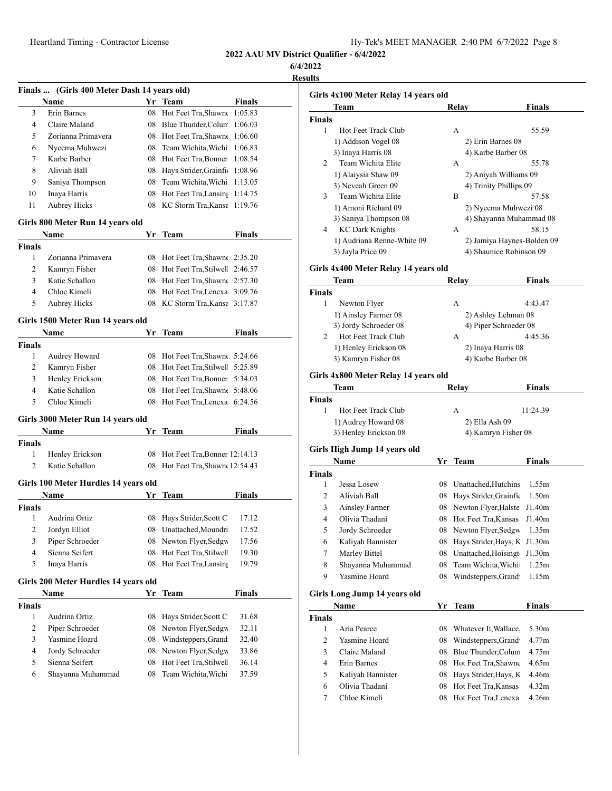**6/4/2022**

|                    | Finals  (Girls 400 Meter Dash 14 years old)         |          |                                               |               |  |
|--------------------|-----------------------------------------------------|----------|-----------------------------------------------|---------------|--|
|                    | Name                                                |          | Yr Team                                       | <b>Finals</b> |  |
| 3                  | Erin Barnes                                         |          | 08 Hot Feet Tra, Shawne                       | 1:05.83       |  |
| 4                  | Claire Maland                                       |          | 08 Blue Thunder, Colum                        | 1:06.03       |  |
| 5                  | Zorianna Primavera                                  |          | 08 Hot Feet Tra, Shawne                       | 1:06.60       |  |
| 6                  | Nyeema Muhwezi                                      | 08       | Team Wichita, Wichi                           | 1:06.83       |  |
| 7                  | Karbe Barber                                        |          | 08 Hot Feet Tra, Bonner                       | 1:08.54       |  |
| 8                  | Aliviah Ball                                        |          | 08 Hays Strider, Grainfi 1:08.96              |               |  |
| 9                  | Saniya Thompson                                     | 08       | Team Wichita, Wichi                           | 1:13.05       |  |
| 10                 | Inaya Harris                                        |          | 08 Hot Feet Tra, Lansing 1:14.75              |               |  |
| 11                 | <b>Aubrey Hicks</b>                                 | 08       | KC Storm Tra, Kansa 1:19.76                   |               |  |
|                    | Girls 800 Meter Run 14 years old                    |          |                                               |               |  |
|                    | Name                                                | Yr       | Team                                          | Finals        |  |
| <b>Finals</b>      |                                                     |          |                                               |               |  |
| 1                  | Zorianna Primavera                                  |          | 08 Hot Feet Tra, Shawne 2:35.20               |               |  |
| 2                  | Kamryn Fisher                                       |          | 08 Hot Feet Tra, Stilwell 2:46.57             |               |  |
| 3                  | Katie Schallon                                      |          | 08 Hot Feet Tra, Shawne 2:57.30               |               |  |
| 4                  | Chloe Kimeli                                        |          | 08 Hot Feet Tra, Lenexa 3:09.76               |               |  |
| 5                  | <b>Aubrey Hicks</b>                                 |          | 08 KC Storm Tra, Kansa 3:17.87                |               |  |
|                    |                                                     |          |                                               |               |  |
|                    | Girls 1500 Meter Run 14 years old                   |          |                                               |               |  |
|                    | Name                                                | Yr       | <b>Team</b>                                   | Finals        |  |
| <b>Finals</b>      |                                                     |          |                                               |               |  |
| 1                  | Audrey Howard                                       |          | 08 Hot Feet Tra, Shawne 5:24.66               |               |  |
| 2                  | Kamryn Fisher                                       |          | 08 Hot Feet Tra, Stilwell 5:25.89             |               |  |
| 3                  | Henley Erickson                                     |          | 08 Hot Feet Tra, Bonner 5:34.03               |               |  |
| 4                  | Katie Schallon                                      |          | 08 Hot Feet Tra, Shawn 5:48.06                |               |  |
| 5                  | Chloe Kimeli                                        | 08       | Hot Feet Tra, Lenexa 6:24.56                  |               |  |
|                    | Girls 3000 Meter Run 14 years old                   |          |                                               |               |  |
|                    | Name                                                | Yr.      | Team                                          | Finals        |  |
| <b>Finals</b>      |                                                     |          |                                               |               |  |
| 1                  | Henley Erickson                                     | 08       | Hot Feet Tra, Bonner 12:14.13                 |               |  |
| 2                  | Katie Schallon                                      |          | 08 Hot Feet Tra, Shawne 12:54.43              |               |  |
|                    | Girls 100 Meter Hurdles 14 years old                |          |                                               |               |  |
|                    | Name                                                | Yr       | Team                                          | Finals        |  |
| Finals             |                                                     |          |                                               |               |  |
| 1                  | Audrina Ortiz                                       |          | 08 Hays Strider, Scott C                      | 17.12         |  |
| 2                  | Jordyn Elliot                                       | 08       | Unattached, Moundri                           | 17.52         |  |
| 3                  | Piper Schroeder                                     | 08       | Newton Flyer, Sedgw                           | 17.56         |  |
| 4                  | Sienna Seifert                                      | 08       | Hot Feet Tra, Stilwell                        | 19.30         |  |
| 5                  | Inaya Harris                                        | 08       | Hot Feet Tra, Lansing                         | 19.79         |  |
|                    |                                                     |          |                                               |               |  |
|                    | Girls 200 Meter Hurdles 14 years old<br><b>Name</b> | Yr       |                                               | <b>Finals</b> |  |
|                    |                                                     |          | Team                                          |               |  |
| <b>Finals</b><br>1 | Audrina Ortiz                                       | 08       | Hays Strider, Scott C                         | 31.68         |  |
|                    |                                                     |          |                                               |               |  |
| 2                  | Piper Schroeder                                     | 08       | Newton Flyer, Sedgw                           | 32.11         |  |
| 3                  | Yasmine Hoard                                       | 08       | Windsteppers, Grand                           | 32.40         |  |
| 4                  | Jordy Schroeder                                     | 08       | Newton Flyer, Sedgw                           | 33.86         |  |
| 5                  | Sienna Seifert                                      | 08<br>08 | Hot Feet Tra, Stilwell<br>Team Wichita, Wichi | 36.14         |  |
| 6                  | Shayanna Muhammad                                   |          |                                               | 37.59         |  |
|                    |                                                     |          |                                               |               |  |

|                | Girls 4x100 Meter Relay 14 years old |          |                                              |                            |
|----------------|--------------------------------------|----------|----------------------------------------------|----------------------------|
|                | Team                                 |          | Relay                                        | <b>Finals</b>              |
| <b>Finals</b>  |                                      |          |                                              |                            |
| 1              | Hot Feet Track Club                  |          | А                                            | 55.59                      |
|                | 1) Addison Vogel 08                  |          | 2) Erin Barnes 08                            |                            |
|                | 3) Inaya Harris 08                   |          | 4) Karbe Barber 08                           |                            |
| 2              | Team Wichita Elite                   |          | А                                            | 55.78                      |
|                | 1) Alaiysia Shaw 09                  |          | 2) Aniyah Williams 09                        |                            |
|                | 3) Neveah Green 09                   |          | 4) Trinity Phillips 09                       |                            |
| 3              | Team Wichita Elite                   |          | B                                            | 57.58                      |
|                | 1) Amoni Richard 09                  |          | 2) Nyeema Muhwezi 08                         |                            |
|                | 3) Saniya Thompson 08                |          |                                              | 4) Shayanna Muhammad 08    |
| 4              | <b>KC Dark Knights</b>               |          | А                                            | 58.15                      |
|                | 1) Audriana Renne-White 09           |          |                                              | 2) Jamiya Haynes-Bolden 09 |
|                | 3) Jayla Price 09                    |          | 4) Shaunice Robinson 09                      |                            |
|                |                                      |          |                                              |                            |
|                | Girls 4x400 Meter Relay 14 years old |          |                                              |                            |
|                | Team                                 |          | Relay                                        | Finals                     |
| <b>Finals</b>  |                                      |          |                                              |                            |
| 1              | Newton Flyer                         |          | А                                            | 4:43.47                    |
|                | 1) Ainsley Farmer 08                 |          | 2) Ashley Lehman 08                          |                            |
|                | 3) Jordy Schroeder 08                |          | 4) Piper Schroeder 08                        |                            |
| 2              | Hot Feet Track Club                  |          | А                                            | 4:45.36                    |
|                | 1) Henley Erickson 08                |          | 2) Inaya Harris 08                           |                            |
|                | 3) Kamryn Fisher 08                  |          | 4) Karbe Barber 08                           |                            |
|                | Girls 4x800 Meter Relay 14 years old |          |                                              |                            |
|                | Team                                 |          | Relay                                        | Finals                     |
| <b>Finals</b>  |                                      |          |                                              |                            |
| 1              | Hot Feet Track Club                  |          | A                                            | 11:24.39                   |
|                | 1) Audrey Howard 08                  |          | 2) Ella Ash 09                               |                            |
|                | 3) Henley Erickson 08                |          | 4) Kamryn Fisher 08                          |                            |
|                |                                      |          |                                              |                            |
|                | Girls High Jump 14 years old         |          |                                              |                            |
|                | Name                                 | Yr       | <b>Team</b>                                  | Finals                     |
| Finals         |                                      |          |                                              |                            |
| 1              | Jessa Losew                          |          | 08 Unattached, Hutchins                      | 1.55m                      |
|                |                                      |          |                                              |                            |
| 2              | Aliviah Ball                         |          | 08 Hays Strider, Grainfic                    | 1.50m                      |
| 3              | Ainsley Farmer                       | 08       | Newton Flyer, Halste                         | J1.40m                     |
| 4              | Olivia Thadani                       | 08       | Hot Feet Tra, Kansas                         | J1.40m                     |
| 5              | Jordy Schroeder                      | 08       | Newton Flyer, Sedgw                          | 1.35m                      |
| 6              | Kaliyah Bannister                    | 08       | Hays Strider, Hays, K                        | J1.30m                     |
| 7              | Marley Bittel                        | 08       | Unattached, Hoisingt                         | J1.30m                     |
|                |                                      |          |                                              | 1.25m                      |
| 8              | Shayanna Muhammad                    | 08       | Team Wichita, Wichi                          |                            |
| 9              | Yasmine Hoard                        | 08       | Windsteppers, Grand                          | 1.15m                      |
|                | Girls Long Jump 14 years old         |          |                                              |                            |
|                | Name                                 |          | Yr Team                                      | Finals                     |
| Finals         |                                      |          |                                              |                            |
| 1              | Aria Pearce                          |          | 08 Whatever It, Wallace                      | 5.30m                      |
| 2              | Yasmine Hoard                        |          | 08 Windsteppers, Grand                       | 4.77m                      |
| 3              | Claire Maland                        | 08       | Blue Thunder, Colum                          | 4.75m                      |
| $\overline{4}$ | Erin Barnes                          |          | Hot Feet Tra, Shawne                         | 4.65m                      |
|                |                                      | 08       |                                              |                            |
| 5              | Kaliyah Bannister                    | 08       | Hays Strider, Hays, K                        | 4.46m                      |
| 6<br>7         | Olivia Thadani<br>Chloe Kimeli       | 08<br>08 | Hot Feet Tra, Kansas<br>Hot Feet Tra, Lenexa | 4.32m<br>4.26m             |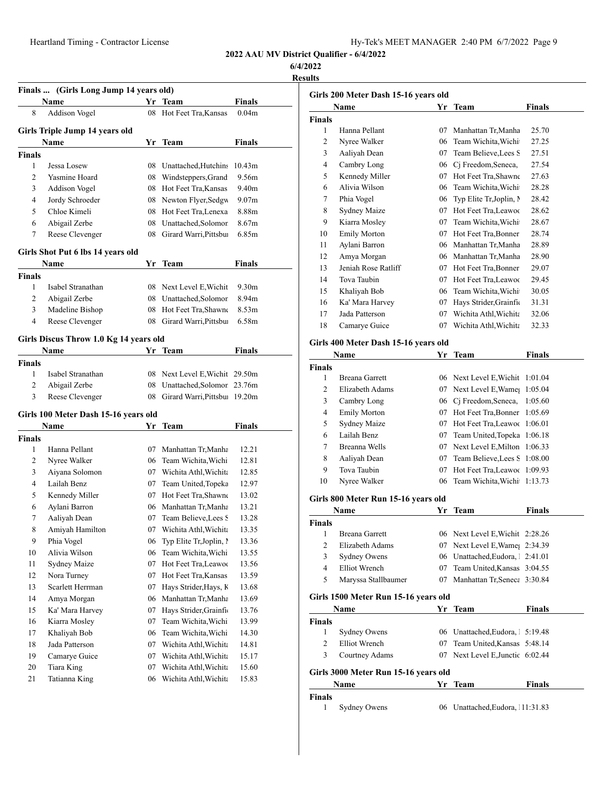| Hy-Tek's MEET MANAGER 2:40 PM 6/7/2022 Page 9 |  |  |  |
|-----------------------------------------------|--|--|--|
|-----------------------------------------------|--|--|--|

**6/4/2022**

|               | Finals  (Girls Long Jump 14 years old) |    |                                |                   |
|---------------|----------------------------------------|----|--------------------------------|-------------------|
|               | Name                                   | Yr | <b>Team</b>                    | <b>Finals</b>     |
| 8             | Addison Vogel                          |    | 08 Hot Feet Tra, Kansas        | 0.04m             |
|               | Girls Triple Jump 14 years old         |    |                                |                   |
|               | <b>Name</b>                            | Yr | Team                           | Finals            |
| <b>Finals</b> |                                        |    |                                |                   |
| 1             | Jessa Losew                            |    | 08 Unattached, Hutchins        | 10.43m            |
| 2             | Yasmine Hoard                          |    | 08 Windsteppers, Grand         | 9.56m             |
| 3             | Addison Vogel                          |    | 08 Hot Feet Tra, Kansas        | 9.40 <sub>m</sub> |
| 4             | Jordy Schroeder                        |    | 08 Newton Flyer, Sedgw         | 9.07m             |
| 5             | Chloe Kimeli                           |    | 08 Hot Feet Tra, Lenexa        | 8.88m             |
| 6             | Abigail Zerbe                          | 08 | Unattached, Solomor            | 8.67 <sub>m</sub> |
| 7             | Reese Clevenger                        |    | 08 Girard Warri, Pittsbur      | 6.85m             |
|               |                                        |    |                                |                   |
|               | Girls Shot Put 6 lbs 14 years old      |    |                                |                   |
|               | Name                                   | Yr | Team                           | <b>Finals</b>     |
| <b>Finals</b> |                                        |    |                                |                   |
| 1             | Isabel Stranathan                      |    | 08 Next Level E, Wichit        | 9.30m             |
| 2             | Abigail Zerbe                          |    | 08 Unattached, Solomor         | 8.94m             |
| 3             | Madeline Bishop                        |    | 08 Hot Feet Tra, Shawne        | 8.53m             |
| 4             | Reese Clevenger                        |    | 08 Girard Warri, Pittsbur      | 6.58m             |
|               | Girls Discus Throw 1.0 Kg 14 years old |    |                                |                   |
|               | Name                                   |    | Yr Team                        | Finals            |
| <b>Finals</b> |                                        |    |                                |                   |
| 1             | Isabel Stranathan                      |    | 08 Next Level E, Wichit 29.50m |                   |
| 2             | Abigail Zerbe                          | 08 | Unattached, Solomor 23.76m     |                   |
| 3             | Reese Clevenger                        | 08 | Girard Warri, Pittsbuı 19.20m  |                   |
|               |                                        |    |                                |                   |
|               | Girls 100 Meter Dash 15-16 years old   |    |                                |                   |
|               | Name                                   | Yr | Team                           | <b>Finals</b>     |
| <b>Finals</b> |                                        |    |                                |                   |
| 1             | Hanna Pellant                          | 07 | Manhattan Tr, Manha            | 12.21             |
| 2             | Nyree Walker                           |    | 06 Team Wichita, Wichi         | 12.81             |
| 3             | Aiyana Solomon                         |    | 07 Wichita Athl, Wichita       | 12.85             |
| 4             | Lailah Benz                            |    | 07 Team United, Topeka         | 12.97             |
| 5             | Kennedy Miller                         |    | 07 Hot Feet Tra, Shawne        | 13.02             |
| 6             | Aylani Barron                          |    | 06 Manhattan Tr, Manha         | 13.21             |
| 7             | Aaliyah Dean                           |    | 07 Team Believe, Lees S        | 13.28             |
| 8             | Amiyah Hamilton                        |    | 07 Wichita Athl, Wichita       | 13.35             |
| 9             | Phia Vogel                             | 06 | Typ Elite Tr, Joplin, I        | 13.36             |
| 10            | Alivia Wilson                          | 06 | Team Wichita, Wichi            | 13.55             |
| 11            | Sydney Maize                           | 07 | Hot Feet Tra, Leawoo           | 13.56             |
| 12            | Nora Turney                            | 07 | Hot Feet Tra, Kansas           | 13.59             |
| 13            | Scarlett Herrman                       | 07 | Hays Strider, Hays, K          | 13.68             |
| 14            | Amya Morgan                            | 06 | Manhattan Tr, Manha            | 13.69             |
| 15            | Ka' Mara Harvey                        | 07 | Hays Strider, Grainfic         | 13.76             |
| 16            | Kiarra Mosley                          | 07 | Team Wichita, Wichi            | 13.99             |
| 17            | Khaliyah Bob                           | 06 | Team Wichita, Wichi            | 14.30             |
| 18            | Jada Patterson                         | 07 | Wichita Athl, Wichita          | 14.81             |
| 19            | Camarye Guice                          | 07 | Wichita Athl, Wichita          | 15.17             |
| 20            | <b>Tiara King</b>                      | 07 | Wichita Athl, Wichita          | 15.60             |
| 21            | Tatianna King                          | 06 | Wichita Athl, Wichita          | 15.83             |
|               |                                        |    |                                |                   |

|                | Girls 200 Meter Dash 15-16 years old |    |                                            |               |
|----------------|--------------------------------------|----|--------------------------------------------|---------------|
|                | Name                                 | Yr | Team                                       | Finals        |
| Finals         |                                      |    |                                            |               |
| 1              | Hanna Pellant                        | 07 | Manhattan Tr, Manha                        | 25.70         |
| 2              | Nyree Walker                         | 06 | Team Wichita, Wichi                        | 27.25         |
| 3              | Aaliyah Dean                         | 07 | Team Believe, Lees S                       | 27.51         |
| 4              | Cambry Long                          |    | 06 Cj Freedom, Seneca,                     | 27.54         |
| 5              | Kennedy Miller                       | 07 | Hot Feet Tra, Shawne                       | 27.63         |
| 6              | Alivia Wilson                        |    | 06 Team Wichita, Wichi                     | 28.28         |
| 7              | Phia Vogel                           |    | 06 Typ Elite Tr, Joplin, N                 | 28.42         |
| 8              | <b>Sydney Maize</b>                  |    | 07 Hot Feet Tra, Leawoo                    | 28.62         |
| 9              | Kiarra Mosley                        |    | 07 Team Wichita, Wichi                     | 28.67         |
| 10             | <b>Emily Morton</b>                  |    | 07 Hot Feet Tra, Bonner                    | 28.74         |
| 11             | Aylani Barron                        |    | 06 Manhattan Tr, Manha                     | 28.89         |
| 12             | Amya Morgan                          |    | 06 Manhattan Tr, Manha                     | 28.90         |
| 13             | Jeniah Rose Ratliff                  |    | 07 Hot Feet Tra, Bonner                    | 29.07         |
| 14             | Tova Taubin                          |    | 07 Hot Feet Tra, Leawoo                    | 29.45         |
| 15             | Khaliyah Bob                         | 06 | Team Wichita, Wichi                        | 30.05         |
| 16             | Ka' Mara Harvey                      | 07 | Hays Strider, Grainfic                     | 31.31         |
| 17             | Jada Patterson                       | 07 | Wichita Athl, Wichita                      | 32.06         |
| 18             | Camarye Guice                        | 07 | Wichita Athl, Wichita                      | 32.33         |
|                |                                      |    |                                            |               |
|                | Girls 400 Meter Dash 15-16 years old |    |                                            |               |
|                | Name                                 | Yr | Team                                       | <b>Finals</b> |
| <b>Finals</b>  |                                      |    |                                            |               |
| 1              | Breana Garrett                       |    | 06 Next Level E, Wichit                    | 1:01.04       |
| 2              | Elizabeth Adams                      |    | 07 Next Level E, Wame                      | 1:05.04       |
| 3              | Cambry Long                          |    | 06 Cj Freedom, Seneca,                     | 1:05.60       |
| 4              | <b>Emily Morton</b>                  |    | 07 Hot Feet Tra, Bonner                    | 1:05.69       |
| 5              | Sydney Maize                         |    | 07 Hot Feet Tra, Leawoo                    | 1:06.01       |
| 6              | Lailah Benz                          |    | 07 Team United, Topeka                     | 1:06.18       |
| 7              | <b>Breanna Wells</b>                 |    | 07 Next Level E, Milton                    | 1:06.33       |
| 8              | Aaliyah Dean                         | 07 | Team Believe, Lees S                       | 1:08.00       |
| 9              | Tova Taubin                          | 07 | Hot Feet Tra, Leawoo                       | 1:09.93       |
| 10             | Nyree Walker                         | 06 | Team Wichita, Wichi                        | 1:13.73       |
|                | Girls 800 Meter Run 15-16 years old  |    |                                            |               |
|                | Name                                 |    |                                            | Finals        |
|                |                                      | Yr | Team                                       |               |
| <b>Finals</b>  |                                      |    |                                            |               |
| 1              | <b>Breana Garrett</b>                | 06 | Next Level E, Wichit 2:28.26               |               |
| 2              | Elizabeth Adams                      |    | 07 Next Level E, Wame <sub>l</sub> 2:34.39 |               |
| 3              | Sydney Owens                         |    | 06 Unattached, Eudora, 2:41.01             |               |
| $\overline{4}$ | <b>Elliot Wrench</b>                 | 07 | Team United, Kansas 3:04.55                |               |
| 5              | Maryssa Stallbaumer                  |    | 07 Manhattan Tr, Seneca 3:30.84            |               |
|                | Girls 1500 Meter Run 15-16 years old |    |                                            |               |
|                | Name                                 |    | Yr Team                                    | <b>Finals</b> |
| Finals         |                                      |    |                                            |               |
| 1              | <b>Sydney Owens</b>                  |    | 06 Unattached, Eudora, 5:19.48             |               |
| 2              | Elliot Wrench                        | 07 | Team United, Kansas 5:48.14                |               |
| 3              | Courtney Adams                       |    | 07 Next Level E, Junctic 6:02.44           |               |
|                |                                      |    |                                            |               |
|                | Girls 3000 Meter Run 15-16 years old |    |                                            |               |
|                | Name                                 |    | Yr Team                                    | Finals        |
| <b>Finals</b>  |                                      |    |                                            |               |
| 1              | <b>Sydney Owens</b>                  |    | 06 Unattached, Eudora, 11:31.83            |               |
|                |                                      |    |                                            |               |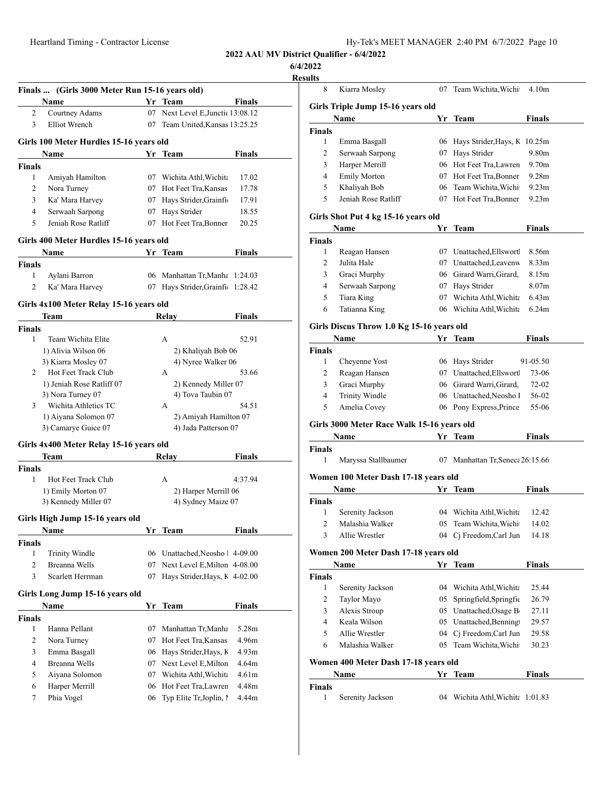#### **6/4/2022**

<u>Resu</u>

|                                               | Finals  (Girls 3000 Meter Run 15-16 years old)<br>Name |    | Yr Team                                         | Finals            |
|-----------------------------------------------|--------------------------------------------------------|----|-------------------------------------------------|-------------------|
| 2                                             | Courtney Adams                                         |    | 07 Next Level E, Junctic 13:08.12               |                   |
| 3                                             | <b>Elliot Wrench</b>                                   | 07 | Team United, Kansas 13:25.25                    |                   |
|                                               | Girls 100 Meter Hurdles 15-16 years old                |    |                                                 |                   |
|                                               | Name                                                   |    | Yr Team                                         | Finals            |
| Finals                                        |                                                        |    |                                                 |                   |
| 1                                             | Amiyah Hamilton                                        |    | 07 Wichita Athl, Wichita                        | 17.02             |
| 2                                             | Nora Turney                                            |    | 07 Hot Feet Tra, Kansas                         | 17.78             |
| 3                                             | Ka' Mara Harvey                                        |    | 07 Hays Strider, Grainfic                       | 17.91             |
| 4                                             | Serwaah Sarpong                                        |    | 07 Hays Strider                                 | 18.55             |
| 5                                             | Jeniah Rose Ratliff                                    |    | 07 Hot Feet Tra, Bonner                         | 20.25             |
|                                               | Girls 400 Meter Hurdles 15-16 years old                |    |                                                 |                   |
|                                               | <b>Name</b>                                            |    | Yr Team                                         | Finals            |
| Finals                                        |                                                        |    |                                                 |                   |
| 1                                             | Aylani Barron                                          |    | 06 Manhattan Tr, Manha 1:24.03                  |                   |
| 2                                             | Ka' Mara Harvey                                        | 07 | Hays Strider, Grainfi                           | 1:28.42           |
|                                               | Girls 4x100 Meter Relay 15-16 years old                |    |                                                 |                   |
|                                               | Team                                                   |    | Relav                                           | Finals            |
| <b>Finals</b>                                 |                                                        |    |                                                 |                   |
| 1                                             | Team Wichita Elite                                     |    | A                                               | 52.91             |
|                                               | 1) Alivia Wilson 06                                    |    | 2) Khaliyah Bob 06                              |                   |
|                                               | 3) Kiarra Mosley 07                                    |    | 4) Nyree Walker 06                              |                   |
| 2                                             | Hot Feet Track Club                                    |    | A                                               | 53.66             |
|                                               | 1) Jeniah Rose Ratliff 07                              |    | 2) Kennedy Miller 07                            |                   |
|                                               | 3) Nora Turney 07                                      |    | 4) Tova Taubin 07                               |                   |
| 3                                             | Wichita Athletics TC                                   |    | A                                               | 54.51             |
|                                               | 1) Aiyana Solomon 07                                   |    | 2) Amiyah Hamilton 07                           |                   |
|                                               |                                                        |    | 4) Jada Patterson 07                            |                   |
|                                               | 3) Camarye Guice 07                                    |    |                                                 |                   |
|                                               | Girls 4x400 Meter Relay 15-16 years old                |    |                                                 |                   |
|                                               | Team                                                   |    | Relay                                           | <b>Finals</b>     |
|                                               |                                                        |    |                                                 |                   |
| 1                                             | Hot Feet Track Club                                    |    | А                                               | 4:37.94           |
|                                               | 1) Emily Morton 07                                     |    | 2) Harper Merrill 06                            |                   |
|                                               | 3) Kennedy Miller 07                                   |    | 4) Sydney Maize 07                              |                   |
|                                               | Girls High Jump 15-16 years old                        |    |                                                 |                   |
|                                               | Name                                                   | Yr | <b>Team</b>                                     | <b>Finals</b>     |
|                                               |                                                        |    |                                                 |                   |
| $\mathbf{1}$                                  | Trinity Windle                                         |    | 06 Unattached, Neosho 1 4-09.00                 |                   |
| $\overline{c}$                                | <b>Breanna Wells</b>                                   | 07 | Next Level E, Milton 4-08.00                    |                   |
| 3                                             | Scarlett Herrman                                       | 07 | Hays Strider, Hays, K 4-02.00                   |                   |
|                                               | Girls Long Jump 15-16 years old                        |    |                                                 |                   |
|                                               | Name                                                   | Yr | <b>Team</b>                                     | Finals            |
|                                               |                                                        |    |                                                 |                   |
| $\mathbf{1}$                                  | Hanna Pellant                                          | 07 | Manhattan Tr, Manha                             | 5.28m             |
| 2                                             | Nora Turney                                            | 07 | Hot Feet Tra, Kansas                            | 4.96m             |
| 3                                             | Emma Basgall                                           | 06 | Hays Strider, Hays, K                           | 4.93m             |
| 4                                             | <b>Breanna Wells</b>                                   | 07 | Next Level E, Milton                            | 4.64m             |
| Finals<br><b>Finals</b><br><b>Finals</b><br>5 | Aiyana Solomon                                         | 07 | Wichita Athl, Wichita                           | 4.61 <sub>m</sub> |
| 6                                             | Harper Merrill<br>Phia Vogel                           | 06 | Hot Feet Tra, Lawren<br>Typ Elite Tr, Joplin, I | 4.48m             |

| ılts           |                                            |    |                                  |                   |
|----------------|--------------------------------------------|----|----------------------------------|-------------------|
| 8              | Kiarra Mosley                              | 07 | Team Wichita, Wichi              | 4.10m             |
|                | Girls Triple Jump 15-16 years old          |    |                                  |                   |
|                | Name                                       | Yr | Team                             | <b>Finals</b>     |
| Finals         |                                            |    |                                  |                   |
| 1              | Emma Basgall                               |    | 06 Hays Strider, Hays, K         | 10.25m            |
| 2              | Serwaah Sarpong                            |    | 07 Hays Strider                  | 9.80m             |
| 3              | Harper Merrill                             |    | 06 Hot Feet Tra, Lawren          | 9.70 <sub>m</sub> |
| 4              | Emily Morton                               |    | 07 Hot Feet Tra, Bonner          | 9.28m             |
| 5              | Khaliyah Bob                               |    | 06 Team Wichita, Wichi           | 9.23 <sub>m</sub> |
| 5              | Jeniah Rose Ratliff                        |    | 07 Hot Feet Tra, Bonner          | 9.23 <sub>m</sub> |
|                | Girls Shot Put 4 kg 15-16 years old        |    |                                  |                   |
|                | Name                                       |    | Yr Team                          | <b>Finals</b>     |
| Finals         |                                            |    |                                  |                   |
| 1              | Reagan Hansen                              |    | 07 Unattached, Ellswort          | 8.56m             |
| 2              | Julita Hale                                |    | 07 Unattached, Leavenw           | 8.33m             |
| 3              | Graci Murphy                               |    | 06 Girard Warri, Girard,         | 8.15m             |
| 4              | Serwaah Sarpong                            | 07 | Hays Strider                     | 8.07 <sub>m</sub> |
| 5              | Tiara King                                 |    | 07 Wichita Athl, Wichita         | 6.43m             |
| 6              | Tatianna King                              |    | 06 Wichita Athl, Wichita         | 6.24m             |
|                | Girls Discus Throw 1.0 Kg 15-16 years old  |    |                                  |                   |
|                | Name                                       | Yr | Team                             | Finals            |
| Finals         |                                            |    |                                  |                   |
| 1              | Cheyenne Yost                              |    | 06 Hays Strider                  | 91-05.50          |
| 2              | Reagan Hansen                              |    | 07 Unattached, Ellswort          | 73-06             |
| 3              | Graci Murphy                               |    | 06 Girard Warri, Girard,         | 72-02             |
| 4              | Trinity Windle                             |    | 06 Unattached, Neosho 1          | 56-02             |
| 5              | Amelia Covey                               |    | 06 Pony Express, Prince          | 55-06             |
|                | Girls 3000 Meter Race Walk 15-16 years old |    |                                  |                   |
|                | Name                                       |    | Yr Team                          | <b>Finals</b>     |
| Finals         |                                            |    |                                  |                   |
| 1              | Maryssa Stallbaumer                        |    | 07 Manhattan Tr, Seneca 26:15.66 |                   |
|                | Women 100 Meter Dash 17-18 years old       |    |                                  |                   |
|                | Name                                       |    | Yr Team                          | Finals            |
| Finals         |                                            |    |                                  |                   |
| 1              | Serenity Jackson                           |    | 04 Wichita Athl, Wichita         | 12.42             |
| 2              | Malashia Walker                            |    | 05 Team Wichita, Wichi 14.02     |                   |
| 3              | Allie Wrestler                             |    | 04 Cj Freedom, Carl Jun          | 14.18             |
|                | Women 200 Meter Dash 17-18 years old       |    |                                  |                   |
|                | Name                                       |    | Yr Team                          | <b>Finals</b>     |
| Finals         |                                            |    |                                  |                   |
| 1              | Serenity Jackson                           |    | 04 Wichita Athl, Wichita         | 25.44             |
| $\overline{c}$ | Taylor Mayo                                |    | 05 Springfield, Springfie        | 26.79             |
| 3              | Alexis Stroup                              |    | 05 Unattached, Osage B           | 27.11             |
| 4              | Keala Wilson                               |    | 05 Unattached, Benning           | 29.57             |
| 5              | Allie Wrestler                             |    | 04 Cj Freedom, Carl Jun          | 29.58             |
| 6              | Malashia Walker                            | 05 | Team Wichita, Wichi              | 30.23             |
|                | Women 400 Meter Dash 17-18 years old       |    |                                  |                   |
|                | Name                                       |    | Yr Team                          | <b>Finals</b>     |
| Finals         |                                            |    |                                  |                   |
| $\mathbf{1}$   | Serenity Jackson                           |    | 04 Wichita Athl, Wichita 1:01.83 |                   |
|                |                                            |    |                                  |                   |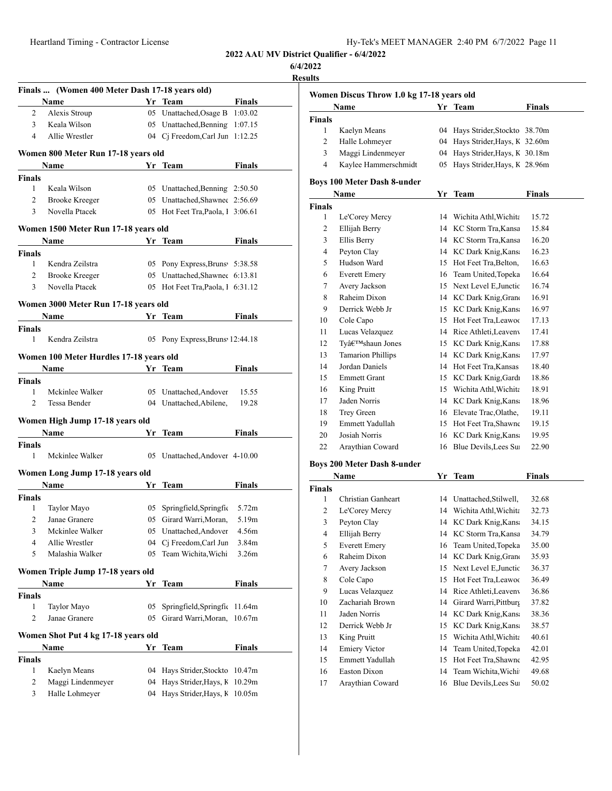| Hy-Tek's MEET MANAGER 2:40 PM 6/7/2022 Page 11 |  |  |  |  |  |
|------------------------------------------------|--|--|--|--|--|
|------------------------------------------------|--|--|--|--|--|

**6/4/2022**

**Results**

|                    | Finals  (Women 400 Meter Dash 17-18 years old) |    |                                   |               |  |
|--------------------|------------------------------------------------|----|-----------------------------------|---------------|--|
|                    | Name                                           |    | Yr Team                           | <b>Finals</b> |  |
| 2                  | Alexis Stroup                                  |    | 05 Unattached, Osage B 1:03.02    |               |  |
| 3                  | Keala Wilson                                   |    | 05 Unattached, Benning 1:07.15    |               |  |
| $\overline{4}$     | Allie Wrestler                                 |    | 04 Cj Freedom, Carl Jun 1:12.25   |               |  |
|                    | Women 800 Meter Run 17-18 years old            |    |                                   |               |  |
|                    | Name                                           |    | Yr Team                           | Finals        |  |
| <b>Finals</b>      |                                                |    |                                   |               |  |
| $\mathbf{1}$       | Keala Wilson                                   |    | 05 Unattached, Benning 2:50.50    |               |  |
| $\overline{2}$     | <b>Brooke Kreeger</b>                          |    | 05 Unattached, Shawnee 2:56.69    |               |  |
| 3                  | Novella Ptacek                                 |    | 05 Hot Feet Tra, Paola, 1 3:06.61 |               |  |
|                    | Women 1500 Meter Run 17-18 years old           |    |                                   |               |  |
|                    | Name                                           |    | Yr Team                           | Finals        |  |
| Finals             |                                                |    |                                   |               |  |
| 1                  | Kendra Zeilstra                                |    | 05 Pony Express, Bruns 5:38.58    |               |  |
| $\overline{c}$     | <b>Brooke Kreeger</b>                          |    | 05 Unattached, Shawnee 6:13.81    |               |  |
| 3                  | Novella Ptacek                                 |    | 05 Hot Feet Tra, Paola, 1 6:31.12 |               |  |
|                    | Women 3000 Meter Run 17-18 years old           |    |                                   |               |  |
|                    | Name                                           | Yr | Team                              | Finals        |  |
| <b>Finals</b>      |                                                |    |                                   |               |  |
| 1                  | Kendra Zeilstra                                | 05 | Pony Express, Bruns 12:44.18      |               |  |
|                    |                                                |    |                                   |               |  |
|                    | Women 100 Meter Hurdles 17-18 years old        |    |                                   |               |  |
|                    | Name                                           |    | Yr Team                           | Finals        |  |
| <b>Finals</b><br>1 | Mckinlee Walker                                |    | 05 Unattached, Andover            | 15.55         |  |
| $\overline{2}$     | Tessa Bender                                   |    | 04 Unattached, Abilene,           | 19.28         |  |
|                    |                                                |    |                                   |               |  |
|                    | Women High Jump 17-18 years old                |    |                                   |               |  |
|                    | <b>Name</b>                                    |    | Yr Team                           | Finals        |  |
| Finals             |                                                |    |                                   |               |  |
| 1                  | Mckinlee Walker                                |    | 05 Unattached, Andover 4-10.00    |               |  |
|                    | Women Long Jump 17-18 years old                |    |                                   |               |  |
|                    | Name                                           |    | Yr Team                           | <b>Finals</b> |  |
| <b>Finals</b>      |                                                |    |                                   |               |  |
| 1                  | Taylor Mayo                                    | 05 | Springfield, Springfic            | 5.72m         |  |
| 2                  | Janae Granere                                  |    | 05 Girard Warri, Moran,           | 5.19m         |  |
| 3                  | Mckinlee Walker                                | 05 | Unattached, Andover               | 4.56m         |  |
| 4                  | Allie Wrestler                                 | 04 | Cj Freedom, Carl Jun              | 3.84m         |  |
| 5                  | Malashia Walker                                | 05 | Team Wichita, Wichi               | 3.26m         |  |
|                    | Women Triple Jump 17-18 years old              |    |                                   |               |  |
|                    | Name                                           | Yr | Team                              | <b>Finals</b> |  |
| Finals             |                                                |    |                                   |               |  |
| 1                  | Taylor Mayo                                    | 05 | Springfield, Springfic            | 11.64m        |  |
| 2                  | Janae Granere                                  | 05 | Girard Warri, Moran,              | 10.67m        |  |
|                    | Women Shot Put 4 kg 17-18 years old            |    |                                   |               |  |
|                    | Name                                           | Yr | Team                              | <b>Finals</b> |  |
| Finals             |                                                |    |                                   |               |  |
| 1                  | Kaelyn Means                                   | 04 | Hays Strider, Stockto             | 10.47m        |  |
| 2                  | Maggi Lindenmeyer                              | 04 | Hays Strider, Hays, K             | 10.29m        |  |
| 3                  | Halle Lohmeyer                                 | 04 | Hays Strider, Hays, K             | 10.05m        |  |
|                    |                                                |    |                                   |               |  |

| Women Discus Throw 1.0 kg 17-18 years old |                                    |    |                              |               |  |  |
|-------------------------------------------|------------------------------------|----|------------------------------|---------------|--|--|
| Name                                      |                                    |    | Yr Team                      | Finals        |  |  |
| <b>Finals</b>                             |                                    |    |                              |               |  |  |
| 1                                         | Kaelyn Means                       | 04 | Hays Strider, Stockto 38.70m |               |  |  |
| $\overline{c}$                            | Halle Lohmeyer                     | 04 | Hays Strider, Hays, K        | 32.60m        |  |  |
| 3                                         | Maggi Lindenmeyer                  | 04 | Hays Strider, Hays, K        | 30.18m        |  |  |
| $\overline{4}$                            | Kaylee Hammerschmidt               | 05 | Hays Strider, Hays, K 28.96m |               |  |  |
|                                           | <b>Boys 100 Meter Dash 8-under</b> |    |                              |               |  |  |
|                                           | Name                               | Yr | Team                         | <b>Finals</b> |  |  |
| <b>Finals</b>                             |                                    |    |                              |               |  |  |
| 1                                         | Le'Corey Mercy                     |    | 14 Wichita Athl, Wichita     | 15.72         |  |  |
| $\overline{c}$                            | Ellijah Berry                      | 14 | KC Storm Tra, Kansa          | 15.84         |  |  |
| 3                                         | Ellis Berry                        |    | 14 KC Storm Tra, Kansa       | 16.20         |  |  |
| $\overline{4}$                            | Peyton Clay                        | 14 | KC Dark Knig, Kans           | 16.23         |  |  |
| 5                                         | Hudson Ward                        | 15 | Hot Feet Tra, Belton,        | 16.63         |  |  |
| 6                                         | <b>Everett Emery</b>               | 16 | Team United, Topeka          | 16.64         |  |  |
| 7                                         | Avery Jackson                      | 15 | Next Level E, Junctic        | 16.74         |  |  |
| 8                                         | Raheim Dixon                       | 14 | KC Dark Knig, Grand          | 16.91         |  |  |
| 9                                         | Derrick Webb Jr                    | 15 | KC Dark Knig, Kans           | 16.97         |  |  |
| 10                                        | Cole Capo                          | 15 | Hot Feet Tra, Leawoo         | 17.13         |  |  |
| 11                                        | Lucas Velazquez                    | 14 | Rice Athleti, Leaveny        | 17.41         |  |  |
| 12                                        | Ty'shaun Jones                     | 15 | KC Dark Knig, Kans           | 17.88         |  |  |
| 13                                        | <b>Tamarion Phillips</b>           | 14 | KC Dark Knig, Kans           | 17.97         |  |  |
| 14                                        | Jordan Daniels                     | 14 | Hot Feet Tra, Kansas         | 18.40         |  |  |
| 15                                        | <b>Emmett Grant</b>                | 15 | KC Dark Knig, Gardı          | 18.86         |  |  |
| 16                                        | King Pruitt                        | 15 | Wichita Athl, Wichita        | 18.91         |  |  |
| 17                                        | Jaden Norris                       | 14 | KC Dark Knig, Kans           | 18.96         |  |  |
| 18                                        | Trey Green                         | 16 | Elevate Trac, Olathe,        | 19.11         |  |  |
| 19                                        | Emmett Yadullah                    | 15 | Hot Feet Tra, Shawne         | 19.15         |  |  |
| 20                                        | Josiah Norris                      | 16 | KC Dark Knig, Kans           | 19.95         |  |  |
| 22                                        | Araythian Coward                   | 16 | Blue Devils, Lees Su         | 22.90         |  |  |
|                                           | Roys 200 Meter Dash & under        |    |                              |               |  |  |

#### **Boys 200 Meter Dash 8-under**

|                | Name<br>Yr<br><b>Team</b> |    | Finals                   |       |
|----------------|---------------------------|----|--------------------------|-------|
| <b>Finals</b>  |                           |    |                          |       |
| 1              | Christian Ganheart        |    | 14 Unattached, Stilwell, | 32.68 |
| $\overline{c}$ | Le'Corey Mercy            | 14 | Wichita Athl, Wichita    | 32.73 |
| 3              | Peyton Clay               |    | 14 KC Dark Knig, Kans    | 34.15 |
| 4              | Ellijah Berry             | 14 | KC Storm Tra, Kansa      | 34.79 |
| 5              | <b>Everett Emery</b>      | 16 | Team United, Topeka      | 35.00 |
| 6              | Raheim Dixon              | 14 | KC Dark Knig, Grand      | 35.93 |
| 7              | Avery Jackson             | 15 | Next Level E, Junctic    | 36.37 |
| 8              | Cole Capo                 | 15 | Hot Feet Tra, Leawoo     | 36.49 |
| 9              | Lucas Velazquez           | 14 | Rice Athleti, Leaveny    | 36.86 |
| 10             | Zachariah Brown           | 14 | Girard Warri, Pittburg   | 37.82 |
| 11             | Jaden Norris              | 14 | KC Dark Knig, Kans       | 38.36 |
| 12             | Derrick Webb Jr           | 15 | KC Dark Knig, Kans       | 38.57 |
| 13             | King Pruitt               | 15 | Wichita Athl, Wichita    | 40.61 |
| 14             | <b>Emiery Victor</b>      | 14 | Team United, Topeka      | 42.01 |
| 15             | Emmett Yadullah           | 15 | Hot Feet Tra, Shawne     | 42.95 |
| 16             | Easton Dixon              | 14 | Team Wichita, Wichi      | 49.68 |
| 17             | Araythian Coward          | 16 | Blue Devils, Lees Su     | 50.02 |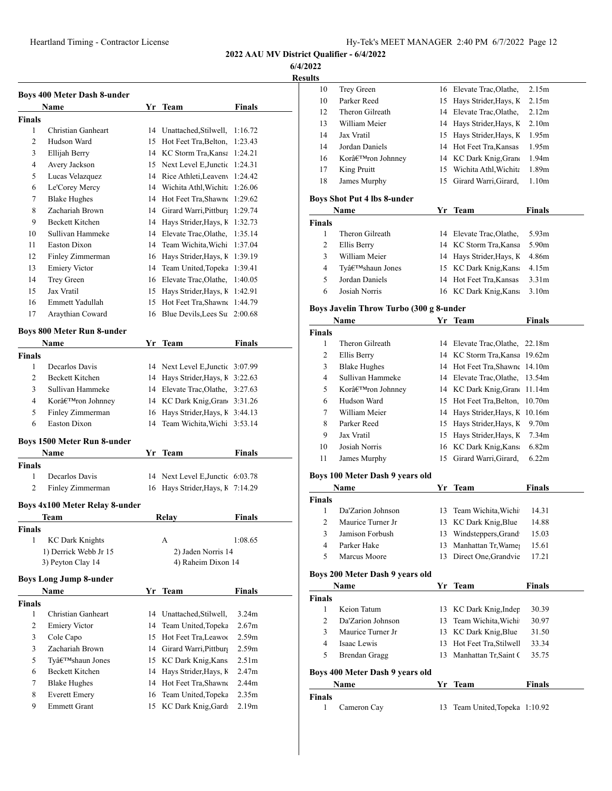Heartland Timing - Contractor License

**2022 AAU MV District Qualifier - 6/4/2022**

**6/4/2022**

|                | <b>Boys 400 Meter Dash 8-under</b>          |          |                                                                      |                   |
|----------------|---------------------------------------------|----------|----------------------------------------------------------------------|-------------------|
|                | <b>Name</b>                                 |          | Yr Team                                                              | Finals            |
| Finals         |                                             |          |                                                                      |                   |
| 1              | Christian Ganheart                          |          | 14 Unattached, Stilwell,                                             | 1:16.72           |
| $\overline{c}$ | Hudson Ward                                 | 15       | Hot Feet Tra, Belton,                                                | 1:23.43           |
| 3              | Ellijah Berry                               | 14       | KC Storm Tra, Kansa 1:24.21                                          |                   |
| 4              | Avery Jackson                               | 15       | Next Level E, Junctic 1:24.31                                        |                   |
| 5              | Lucas Velazquez                             |          | 14 Rice Athleti, Leaveny                                             | 1:24.42           |
| 6              | Le'Corey Mercy                              |          | 14 Wichita Athl, Wichita                                             | 1:26.06           |
| 7              | <b>Blake Hughes</b>                         |          | 14 Hot Feet Tra, Shawne                                              | 1:29.62           |
| 8              | Zachariah Brown                             |          | 14 Girard Warri, Pittburg                                            | 1:29.74           |
| 9              | <b>Beckett Kitchen</b>                      |          | 14 Hays Strider, Hays, K                                             | 1:32.73           |
| 10             | Sullivan Hammeke                            |          | 14 Elevate Trac, Olathe,                                             | 1:35.14           |
| 11             | Easton Dixon                                |          | 14 Team Wichita, Wichi                                               | 1:37.04           |
| 12             | Finley Zimmerman                            | 16       | Hays Strider, Hays, K                                                | 1:39.19           |
| 13             | <b>Emiery Victor</b>                        |          | 14 Team United, Topeka                                               | 1:39.41           |
| 14             | Trey Green                                  |          | 16 Elevate Trac, Olathe,                                             | 1:40.05           |
| 15             | Jax Vratil                                  | 15       | Hays Strider, Hays, K                                                | 1:42.91           |
| 16             | Emmett Yadullah                             | 15       | Hot Feet Tra, Shawne 1:44.79                                         |                   |
| 17             | Araythian Coward                            | 16       | Blue Devils, Lees Su                                                 | 2:00.68           |
|                | <b>Boys 800 Meter Run 8-under</b>           |          |                                                                      |                   |
|                | Name                                        |          | Yr Team                                                              | Finals            |
| <b>Finals</b>  |                                             |          |                                                                      |                   |
| 1              | Decarlos Davis                              |          | 14 Next Level E, Junctic 3:07.99                                     |                   |
| 2              | Beckett Kitchen                             |          | 14 Hays Strider, Hays, K 3:22.63                                     |                   |
| 3              | Sullivan Hammeke                            |          | 14 Elevate Trac, Olathe, 3:27.63                                     |                   |
| 4              | Kor'ron Johnney                             | 14       | KC Dark Knig, Gran(3:31.26)                                          |                   |
| 5              | Finley Zimmerman                            | 16       | Hays Strider, Hays, K 3:44.13                                        |                   |
| 6              | <b>Easton Dixon</b>                         | 14       | Team Wichita, Wichi                                                  | 3:53.14           |
|                |                                             |          |                                                                      |                   |
|                | Boys 1500 Meter Run 8-under                 |          |                                                                      |                   |
|                | Name                                        |          | Yr Team                                                              | Finals            |
| Finals<br>1    | Decarlos Davis                              |          |                                                                      |                   |
| 2              | Finley Zimmerman                            |          | 14 Next Level E, Junctic 6:03.78<br>16 Hays Strider, Hays, K 7:14.29 |                   |
|                |                                             |          |                                                                      |                   |
|                | <b>Boys 4x100 Meter Relay 8-under</b>       |          |                                                                      |                   |
|                | Team                                        |          | Relav                                                                | <b>Finals</b>     |
| <b>Finals</b>  |                                             |          |                                                                      |                   |
| $\mathbf{1}$   | <b>KC Dark Knights</b>                      |          | A                                                                    | 1:08.65           |
|                | 1) Derrick Webb Jr 15                       |          | 2) Jaden Norris 14                                                   |                   |
|                | 3) Peyton Clay 14                           |          | 4) Raheim Dixon 14                                                   |                   |
|                | <b>Boys Long Jump 8-under</b>               |          |                                                                      |                   |
|                | Name                                        |          | Yr Team                                                              | <b>Finals</b>     |
| <b>Finals</b>  |                                             |          |                                                                      |                   |
| 1              | Christian Ganheart                          | 14       | Unattached, Stilwell,                                                | 3.24m             |
| 2              | <b>Emiery Victor</b>                        | 14       | Team United, Topeka                                                  | 2.67m             |
| 3              | Cole Capo                                   | 15       | Hot Feet Tra, Leawoo                                                 | 2.59m             |
| 3              | Zachariah Brown                             |          | 14 Girard Warri, Pittburg                                            | 2.59 <sub>m</sub> |
| 5              | Ty'shaun Jones                              | 15       | KC Dark Knig, Kans                                                   | 2.51m             |
| 6              | Beckett Kitchen                             | 14       | Hays Strider, Hays, K                                                | 2.47m             |
|                | <b>Blake Hughes</b>                         |          | 14 Hot Feet Tra, Shawne                                              | 2.44m             |
|                |                                             |          |                                                                      |                   |
| 7              |                                             |          |                                                                      |                   |
| 8<br>9         | <b>Everett Emery</b><br><b>Emmett Grant</b> | 16<br>15 | Team United, Topeka<br>KC Dark Knig, Gardı                           | 2.35m<br>2.19m    |

| 10            | Trey Green                              |    | 16 Elevate Trac, Olathe,    | 2.15m             |
|---------------|-----------------------------------------|----|-----------------------------|-------------------|
| 10            | Parker Reed                             |    | 15 Hays Strider, Hays, K    | 2.15m             |
| 12            | Theron Gilreath                         |    | 14 Elevate Trac, Olathe,    | 2.12m             |
| 13            | William Meier                           |    | 14 Hays Strider, Hays, K    | 2.10 <sub>m</sub> |
| 14            | Jax Vratil                              |    | 15 Hays Strider, Hays, K    | 1.95m             |
| 14            | Jordan Daniels                          |    | 14 Hot Feet Tra, Kansas     | 1.95m             |
| 16            | Kor'ron Johnney                         |    | 14 KC Dark Knig, Grano      | 1.94m             |
| 17            | King Pruitt                             | 15 | Wichita Athl, Wichita       | 1.89m             |
| 18            | James Murphy                            | 15 | Girard Warri, Girard,       | 1.10 <sub>m</sub> |
|               | <b>Boys Shot Put 4 lbs 8-under</b>      |    |                             |                   |
|               | Name                                    |    | Yr Team                     | Finals            |
| <b>Finals</b> |                                         |    |                             |                   |
| 1             | Theron Gilreath                         |    | 14 Elevate Trac, Olathe,    | 5.93m             |
| 2             | Ellis Berry                             |    | 14 KC Storm Tra, Kansa      | 5.90m             |
| 3             | William Meier                           |    | 14 Hays Strider, Hays, K    | 4.86m             |
| 4             | Ty'shaun Jones                          |    | 15 KC Dark Knig, Kans       | 4.15m             |
| 5             | Jordan Daniels                          |    | 14 Hot Feet Tra, Kansas     | 3.31 <sub>m</sub> |
| 6             | Josiah Norris                           |    | 16 KC Dark Knig, Kans       | 3.10 <sub>m</sub> |
|               | Boys Javelin Throw Turbo (300 g 8-under |    |                             |                   |
|               | Name                                    |    | Yr Team                     | <b>Finals</b>     |
| Finals        |                                         |    |                             |                   |
| 1             | Theron Gilreath                         |    | 14 Elevate Trac, Olathe,    | 22.18m            |
| 2             | Ellis Berry                             |    | 14 KC Storm Tra, Kansa      | 19.62m            |
| 3             | <b>Blake Hughes</b>                     |    | 14 Hot Feet Tra, Shawne     | 14.10m            |
| 4             | Sullivan Hammeke                        |    | 14 Elevate Trac, Olathe,    | 13.54m            |
| 5             | Kor'ron Johnney                         |    | 14 KC Dark Knig, Grand      | 11.14m            |
| 6             | Hudson Ward                             |    | 15 Hot Feet Tra, Belton,    | 10.70m            |
| 7             | William Meier                           |    | 14 Hays Strider, Hays, K    | 10.16m            |
| 8             | Parker Reed                             |    | 15 Hays Strider, Hays, K    | 9.70 <sub>m</sub> |
| 9             | Jax Vratil                              |    | 15 Hays Strider, Hays, K    | 7.34m             |
| 10            | Josiah Norris                           | 16 | KC Dark Knig, Kans          | 6.82m             |
| 11            | James Murphy                            | 15 | Girard Warri, Girard,       | 6.22m             |
|               | Boys 100 Meter Dash 9 years old         |    |                             |                   |
|               | Name                                    |    | Yr Team                     | Finals            |
| <b>Finals</b> |                                         |    |                             |                   |
| 1             | Da'Zarion Johnson                       | 13 | Team Wichita, Wichi         | 14.31             |
| 2             | Maurice Turner Jr                       |    | 13 KC Dark Knig, Blue       | 14.88             |
| 3             | Jamison Forbush                         |    | 13 Windsteppers, Grand      | 15.03             |
| 4             | Parker Hake                             | 13 | Manhattan Tr, Wame          | 15.61             |
| 5             | Marcus Moore                            | 13 | Direct One, Grandvie        | 17.21             |
|               | Boys 200 Meter Dash 9 years old         |    |                             |                   |
|               | Name                                    |    | Yr Team                     | <b>Finals</b>     |
| <b>Finals</b> |                                         |    |                             |                   |
| 1             | Keion Tatum                             |    | 13 KC Dark Knig, Indep      | 30.39             |
| 2             | Da'Zarion Johnson                       |    | 13 Team Wichita, Wichi      | 30.97             |
| 3             | Maurice Turner Jr                       |    | 13 KC Dark Knig, Blue       | 31.50             |
| 4             | Isaac Lewis                             |    | 13 Hot Feet Tra, Stilwell   | 33.34             |
| 5             | <b>Brendan Gragg</b>                    | 13 | Manhattan Tr, Saint (       | 35.75             |
|               | Boys 400 Meter Dash 9 years old         |    |                             |                   |
|               | Name                                    | Yr | Team                        | <b>Finals</b>     |
| Finals        |                                         |    |                             |                   |
| 1             | Cameron Cay                             | 13 | Team United, Topeka 1:10.92 |                   |
|               |                                         |    |                             |                   |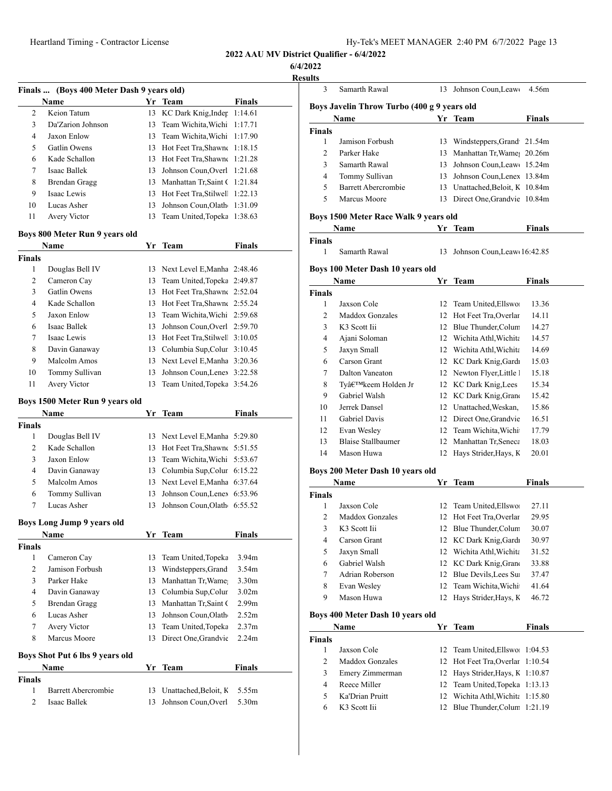**2022 AAU MV District Qualifier - 6/4/2022**

**6/4/2022**

|               | Finals  (Boys 400 Meter Dash 9 years old) |    |                                   |                   |
|---------------|-------------------------------------------|----|-----------------------------------|-------------------|
|               | Name                                      |    | Yr Team                           | Finals            |
| 2             | Keion Tatum                               |    | 13 KC Dark Knig, Inder 1:14.61    |                   |
| 3             | Da'Zarion Johnson                         |    | 13 Team Wichita, Wichi            | 1:17.71           |
| 4             | Jaxon Enlow                               |    | 13 Team Wichita, Wichi            | 1:17.90           |
| 5             | Gatlin Owens                              |    | 13 Hot Feet Tra, Shawne 1:18.15   |                   |
| 6             | Kade Schallon                             |    | 13 Hot Feet Tra, Shawne 1:21.28   |                   |
| 7             | Isaac Ballek                              | 13 | Johnson Coun, Overl 1:21.68       |                   |
| 8             | <b>Brendan Gragg</b>                      |    | 13 Manhattan Tr, Saint (1:21.84   |                   |
| 9             | Isaac Lewis                               |    | 13 Hot Feet Tra, Stilwell 1:22.13 |                   |
| 10            | Lucas Asher                               | 13 | Johnson Coun, Olath 1:31.09       |                   |
| 11            | Avery Victor                              | 13 | Team United, Topeka 1:38.63       |                   |
|               | Boys 800 Meter Run 9 years old            |    |                                   |                   |
|               | Name                                      | Yr | Team                              | Finals            |
| <b>Finals</b> |                                           |    |                                   |                   |
| 1             | Douglas Bell IV                           |    | 13 Next Level E, Manha 2:48.46    |                   |
| 2             | Cameron Cay                               |    | 13 Team United, Topeka 2:49.87    |                   |
| 3             | Gatlin Owens                              |    | 13 Hot Feet Tra, Shawne 2:52.04   |                   |
| 4             | Kade Schallon                             |    | 13 Hot Feet Tra, Shawne 2:55.24   |                   |
| 5             | Jaxon Enlow                               |    | 13 Team Wichita, Wichi 2:59.68    |                   |
| 6             | Isaac Ballek                              | 13 | Johnson Coun, Overl 2:59.70       |                   |
| 7             | Isaac Lewis                               |    | 13 Hot Feet Tra, Stilwell 3:10.05 |                   |
| 8             | Davin Ganaway                             |    | 13 Columbia Sup, Colur 3:10.45    |                   |
| 9             | Malcolm Amos                              |    | 13 Next Level E, Manha 3:20.36    |                   |
| 10            | Tommy Sullivan                            | 13 | Johnson Coun, Lenex 3:22.58       |                   |
| 11            | Avery Victor                              | 13 | Team United, Topeka 3:54.26       |                   |
|               | Boys 1500 Meter Run 9 years old           |    |                                   |                   |
|               | Name                                      | Yr | Team                              | <b>Finals</b>     |
| <b>Finals</b> |                                           |    |                                   |                   |
| 1             | Douglas Bell IV                           |    | 13 Next Level E, Manha 5:29.80    |                   |
| 2             | Kade Schallon                             |    | 13 Hot Feet Tra, Shawne 5:51.55   |                   |
| 3             | Jaxon Enlow                               |    | 13 Team Wichita, Wichi 5:53.67    |                   |
| 4             | Davin Ganaway                             |    | 13 Columbia Sup, Colur 6:15.22    |                   |
| 5             | Malcolm Amos                              |    | 13 Next Level E, Manha 6:37.64    |                   |
| 6             | Tommy Sullivan                            | 13 | Johnson Coun, Lenex 6:53.96       |                   |
| 7             | Lucas Asher                               | 13 | Johnson Coun, Olath 6:55.52       |                   |
|               | Boys Long Jump 9 years old                |    |                                   |                   |
|               | Name                                      |    | Yr Team                           | <b>Finals</b>     |
| <b>Finals</b> |                                           |    |                                   |                   |
| 1             | Cameron Cay                               | 13 | Team United, Topeka               | 3.94 <sub>m</sub> |
| 2             | Jamison Forbush                           | 13 | Windsteppers, Grand               | 3.54 <sub>m</sub> |
| 3             | Parker Hake                               | 13 | Manhattan Tr, Wame                | 3.30 <sub>m</sub> |
| 4             | Davin Ganaway                             | 13 | Columbia Sup, Colur               | 3.02 <sub>m</sub> |
| 5             | Brendan Gragg                             | 13 | Manhattan Tr, Saint (             | 2.99 <sub>m</sub> |
| 6             | Lucas Asher                               | 13 | Johnson Coun, Olath               | 2.52m             |
| 7             | <b>Avery Victor</b>                       | 13 | Team United, Topeka               | 2.37 <sub>m</sub> |
| 8             | Marcus Moore                              | 13 | Direct One, Grandvie              | 2.24 <sub>m</sub> |
|               | Boys Shot Put 6 lbs 9 years old           |    |                                   |                   |
|               | Name                                      |    | Yr Team                           | <b>Finals</b>     |
| <b>Finals</b> |                                           |    |                                   |                   |
| 1             | Barrett Abercrombie                       | 13 | Unattached, Beloit, K             | 5.55m             |
| 2             | Isaac Ballek                              | 13 | Johnson Coun, Overl               | 5.30m             |

| Samarth Rawal                    | 13                                 | Johnson Coun, Leaw                                                         | 4.56m                                                                                                                                                                                                                                                                                                                                                                                                                                                                                                                                                                                                                                                                                                                                                                                       |
|----------------------------------|------------------------------------|----------------------------------------------------------------------------|---------------------------------------------------------------------------------------------------------------------------------------------------------------------------------------------------------------------------------------------------------------------------------------------------------------------------------------------------------------------------------------------------------------------------------------------------------------------------------------------------------------------------------------------------------------------------------------------------------------------------------------------------------------------------------------------------------------------------------------------------------------------------------------------|
|                                  |                                    |                                                                            |                                                                                                                                                                                                                                                                                                                                                                                                                                                                                                                                                                                                                                                                                                                                                                                             |
| Name                             | Yr                                 | Team                                                                       | Finals                                                                                                                                                                                                                                                                                                                                                                                                                                                                                                                                                                                                                                                                                                                                                                                      |
|                                  |                                    |                                                                            |                                                                                                                                                                                                                                                                                                                                                                                                                                                                                                                                                                                                                                                                                                                                                                                             |
| Jamison Forbush                  | 13                                 |                                                                            |                                                                                                                                                                                                                                                                                                                                                                                                                                                                                                                                                                                                                                                                                                                                                                                             |
| Parker Hake                      |                                    |                                                                            |                                                                                                                                                                                                                                                                                                                                                                                                                                                                                                                                                                                                                                                                                                                                                                                             |
| Samarth Rawal                    |                                    |                                                                            |                                                                                                                                                                                                                                                                                                                                                                                                                                                                                                                                                                                                                                                                                                                                                                                             |
| Tommy Sullivan                   |                                    |                                                                            |                                                                                                                                                                                                                                                                                                                                                                                                                                                                                                                                                                                                                                                                                                                                                                                             |
| <b>Barrett Abercrombie</b>       |                                    |                                                                            |                                                                                                                                                                                                                                                                                                                                                                                                                                                                                                                                                                                                                                                                                                                                                                                             |
| Marcus Moore                     |                                    |                                                                            |                                                                                                                                                                                                                                                                                                                                                                                                                                                                                                                                                                                                                                                                                                                                                                                             |
|                                  |                                    |                                                                            |                                                                                                                                                                                                                                                                                                                                                                                                                                                                                                                                                                                                                                                                                                                                                                                             |
| Name                             |                                    | Team                                                                       | Finals                                                                                                                                                                                                                                                                                                                                                                                                                                                                                                                                                                                                                                                                                                                                                                                      |
|                                  |                                    |                                                                            |                                                                                                                                                                                                                                                                                                                                                                                                                                                                                                                                                                                                                                                                                                                                                                                             |
| Samarth Rawal                    | 13                                 | Johnson Coun, Leaw 16:42.85                                                |                                                                                                                                                                                                                                                                                                                                                                                                                                                                                                                                                                                                                                                                                                                                                                                             |
|                                  |                                    |                                                                            |                                                                                                                                                                                                                                                                                                                                                                                                                                                                                                                                                                                                                                                                                                                                                                                             |
| Name                             |                                    | Team                                                                       | Finals                                                                                                                                                                                                                                                                                                                                                                                                                                                                                                                                                                                                                                                                                                                                                                                      |
|                                  |                                    |                                                                            |                                                                                                                                                                                                                                                                                                                                                                                                                                                                                                                                                                                                                                                                                                                                                                                             |
| Jaxson Cole                      |                                    |                                                                            | 13.36                                                                                                                                                                                                                                                                                                                                                                                                                                                                                                                                                                                                                                                                                                                                                                                       |
| Maddox Gonzales                  |                                    |                                                                            | 14.11                                                                                                                                                                                                                                                                                                                                                                                                                                                                                                                                                                                                                                                                                                                                                                                       |
| K <sub>3</sub> Scott Iii         |                                    |                                                                            | 14.27                                                                                                                                                                                                                                                                                                                                                                                                                                                                                                                                                                                                                                                                                                                                                                                       |
| Ajani Soloman                    |                                    |                                                                            | 14.57                                                                                                                                                                                                                                                                                                                                                                                                                                                                                                                                                                                                                                                                                                                                                                                       |
| Jaxyn Small                      |                                    |                                                                            | 14.69                                                                                                                                                                                                                                                                                                                                                                                                                                                                                                                                                                                                                                                                                                                                                                                       |
| Carson Grant                     |                                    |                                                                            | 15.03                                                                                                                                                                                                                                                                                                                                                                                                                                                                                                                                                                                                                                                                                                                                                                                       |
| Dalton Vaneaton                  |                                    |                                                                            | 15.18                                                                                                                                                                                                                                                                                                                                                                                                                                                                                                                                                                                                                                                                                                                                                                                       |
| Ty'keem Holden Jr                |                                    |                                                                            | 15.34                                                                                                                                                                                                                                                                                                                                                                                                                                                                                                                                                                                                                                                                                                                                                                                       |
| Gabriel Walsh                    |                                    |                                                                            | 15.42                                                                                                                                                                                                                                                                                                                                                                                                                                                                                                                                                                                                                                                                                                                                                                                       |
| Jerrek Dansel                    |                                    |                                                                            | 15.86                                                                                                                                                                                                                                                                                                                                                                                                                                                                                                                                                                                                                                                                                                                                                                                       |
| Gabriel Davis                    |                                    |                                                                            | 16.51                                                                                                                                                                                                                                                                                                                                                                                                                                                                                                                                                                                                                                                                                                                                                                                       |
| Evan Wesley                      |                                    |                                                                            | 17.79                                                                                                                                                                                                                                                                                                                                                                                                                                                                                                                                                                                                                                                                                                                                                                                       |
| <b>Blaise Stallbaumer</b>        |                                    |                                                                            | 18.03                                                                                                                                                                                                                                                                                                                                                                                                                                                                                                                                                                                                                                                                                                                                                                                       |
| Mason Huwa                       |                                    |                                                                            | 20.01                                                                                                                                                                                                                                                                                                                                                                                                                                                                                                                                                                                                                                                                                                                                                                                       |
|                                  |                                    |                                                                            |                                                                                                                                                                                                                                                                                                                                                                                                                                                                                                                                                                                                                                                                                                                                                                                             |
|                                  |                                    |                                                                            | <b>Finals</b>                                                                                                                                                                                                                                                                                                                                                                                                                                                                                                                                                                                                                                                                                                                                                                               |
|                                  |                                    |                                                                            |                                                                                                                                                                                                                                                                                                                                                                                                                                                                                                                                                                                                                                                                                                                                                                                             |
| Jaxson Cole                      | 12                                 | Team United, Ellswo                                                        | 27.11                                                                                                                                                                                                                                                                                                                                                                                                                                                                                                                                                                                                                                                                                                                                                                                       |
| Maddox Gonzales                  |                                    | Hot Feet Tra, Overlar                                                      | 29.95                                                                                                                                                                                                                                                                                                                                                                                                                                                                                                                                                                                                                                                                                                                                                                                       |
| K3 Scott Iii                     | 12                                 | Blue Thunder, Colum                                                        | 30.07                                                                                                                                                                                                                                                                                                                                                                                                                                                                                                                                                                                                                                                                                                                                                                                       |
| Carson Grant                     | 12                                 | KC Dark Knig, Gardı                                                        | 30.97                                                                                                                                                                                                                                                                                                                                                                                                                                                                                                                                                                                                                                                                                                                                                                                       |
|                                  |                                    |                                                                            | 31.52                                                                                                                                                                                                                                                                                                                                                                                                                                                                                                                                                                                                                                                                                                                                                                                       |
| Gabriel Walsh                    |                                    |                                                                            | 33.88                                                                                                                                                                                                                                                                                                                                                                                                                                                                                                                                                                                                                                                                                                                                                                                       |
| Adrian Roberson                  |                                    |                                                                            | 37.47                                                                                                                                                                                                                                                                                                                                                                                                                                                                                                                                                                                                                                                                                                                                                                                       |
|                                  | 12                                 | Team Wichita, Wichi                                                        | 41.64                                                                                                                                                                                                                                                                                                                                                                                                                                                                                                                                                                                                                                                                                                                                                                                       |
| Mason Huwa                       | 12                                 | Hays Strider, Hays, K                                                      | 46.72                                                                                                                                                                                                                                                                                                                                                                                                                                                                                                                                                                                                                                                                                                                                                                                       |
| Boys 400 Meter Dash 10 years old |                                    |                                                                            |                                                                                                                                                                                                                                                                                                                                                                                                                                                                                                                                                                                                                                                                                                                                                                                             |
| Name                             | Yr                                 | <b>Team</b>                                                                | <b>Finals</b>                                                                                                                                                                                                                                                                                                                                                                                                                                                                                                                                                                                                                                                                                                                                                                               |
|                                  |                                    |                                                                            |                                                                                                                                                                                                                                                                                                                                                                                                                                                                                                                                                                                                                                                                                                                                                                                             |
|                                  |                                    |                                                                            |                                                                                                                                                                                                                                                                                                                                                                                                                                                                                                                                                                                                                                                                                                                                                                                             |
| Jaxson Cole                      | 12                                 | Team United, Ellswo 1:04.53                                                |                                                                                                                                                                                                                                                                                                                                                                                                                                                                                                                                                                                                                                                                                                                                                                                             |
| Maddox Gonzales                  |                                    |                                                                            |                                                                                                                                                                                                                                                                                                                                                                                                                                                                                                                                                                                                                                                                                                                                                                                             |
|                                  | 12                                 | Hot Feet Tra, Overlar                                                      | 1:10.54                                                                                                                                                                                                                                                                                                                                                                                                                                                                                                                                                                                                                                                                                                                                                                                     |
| Emery Zimmerman                  |                                    | 12 Hays Strider, Hays, K                                                   | 1:10.87                                                                                                                                                                                                                                                                                                                                                                                                                                                                                                                                                                                                                                                                                                                                                                                     |
| Reece Miller                     | 12                                 | Team United, Topeka                                                        | 1:13.13                                                                                                                                                                                                                                                                                                                                                                                                                                                                                                                                                                                                                                                                                                                                                                                     |
| Ka'Drian Pruitt<br>K3 Scott Iii  | 12                                 | 12 Wichita Athl, Wichita<br>Blue Thunder, Colum 1:21.19                    | 1:15.80                                                                                                                                                                                                                                                                                                                                                                                                                                                                                                                                                                                                                                                                                                                                                                                     |
|                                  | Name<br>Jaxyn Small<br>Evan Wesley | Boys 100 Meter Dash 10 years old<br>Boys 200 Meter Dash 10 years old<br>Yr | Boys Javelin Throw Turbo (400 g 9 years old<br>Windsteppers, Grand 21.54m<br>13 Manhattan Tr, Wame; 20.26m<br>13 Johnson Coun, Leaw 15.24m<br>13 Johnson Coun, Lenex 13.84m<br>13 Unattached, Beloit, K 10.84m<br>13 Direct One, Grandvie 10.84m<br>Boys 1500 Meter Race Walk 9 years old<br>Yr<br>Yr<br>12 Team United, Ellswo:<br>12 Hot Feet Tra, Overlar<br>12 Blue Thunder, Colum<br>12 Wichita Athl, Wichita<br>12 Wichita Athl, Wichita<br>12 KC Dark Knig, Gardı<br>12 Newton Flyer, Little<br>12 KC Dark Knig, Lees<br>12 KC Dark Knig, Grand<br>12 Unattached, Weskan,<br>12 Direct One, Grandvie<br>12 Team Wichita, Wichi<br>12 Manhattan Tr, Seneca<br>12 Hays Strider, Hays, K<br>Team<br>12<br>12 Wichita Athl, Wichita<br>12 KC Dark Knig, Grand<br>12 Blue Devils, Lees Su |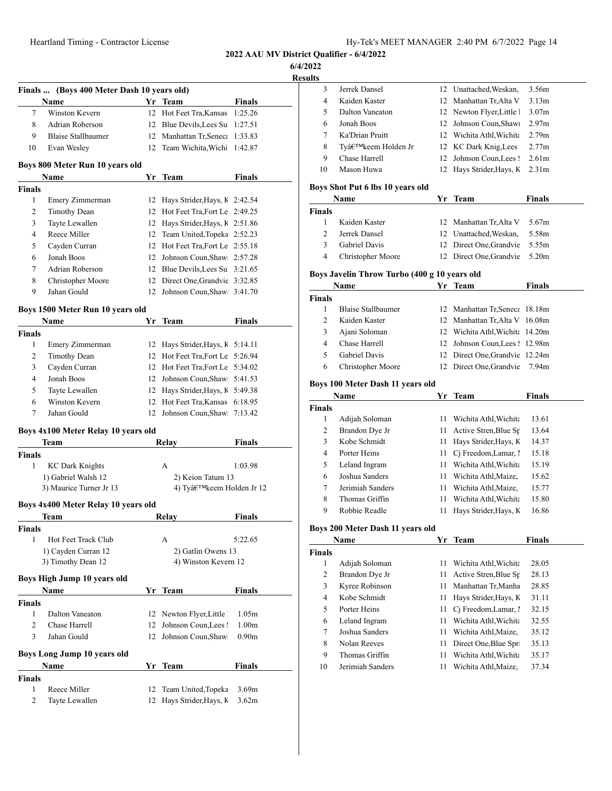**6/4/2022**

|                | Finals  (Boys 400 Meter Dash 10 years old) |    |                                  |                   |
|----------------|--------------------------------------------|----|----------------------------------|-------------------|
|                | Name                                       |    | Yr Team                          | Finals            |
| 7              | Winston Kevern                             | 12 | Hot Feet Tra, Kansas             | 1:25.26           |
| 8              | Adrian Roberson                            | 12 | Blue Devils, Lees Su             | 1:27.51           |
| 9              | <b>Blaise Stallbaumer</b>                  | 12 | Manhattan Tr, Seneca             | 1:33.83           |
| 10             | Evan Wesley                                | 12 | Team Wichita, Wichi              | 1:42.87           |
|                | Boys 800 Meter Run 10 years old            |    |                                  |                   |
|                | Name                                       | Yr | Team                             | Finals            |
| <b>Finals</b>  |                                            |    |                                  |                   |
| 1              | Emery Zimmerman                            |    | 12 Hays Strider, Hays, K 2:42.54 |                   |
| 2              | <b>Timothy Dean</b>                        |    | 12 Hot Feet Tra, Fort Le 2:49.25 |                   |
| 3              | Tayte Lewallen                             |    | 12 Hays Strider, Hays, K 2:51.86 |                   |
| 4              | Reece Miller                               |    | 12 Team United, Topeka 2:52.23   |                   |
| 5              | Cayden Curran                              |    | 12 Hot Feet Tra, Fort Le 2:55.18 |                   |
| 6              | Jonah Boos                                 |    | 12 Johnson Coun, Shaw: 2:57.28   |                   |
| 7              | Adrian Roberson                            |    | 12 Blue Devils, Lees Su 3:21.65  |                   |
| 8              | Christopher Moore                          |    | 12 Direct One, Grandvie 3:32.85  |                   |
| 9              | Jahan Gould                                | 12 | Johnson Coun, Shaw: 3:41.70      |                   |
|                | Boys 1500 Meter Run 10 years old           |    |                                  |                   |
|                | Name                                       | Yr | Team                             | Finals            |
| <b>Finals</b>  |                                            |    |                                  |                   |
| 1              | Emery Zimmerman                            |    | 12 Hays Strider, Hays, K 5:14.11 |                   |
| 2              | <b>Timothy Dean</b>                        |    | 12 Hot Feet Tra, Fort Le 5:26.94 |                   |
| 3              | Cayden Curran                              |    | 12 Hot Feet Tra, Fort Le 5:34.02 |                   |
| 4              | Jonah Boos                                 | 12 | Johnson Coun, Shaw 5:41.53       |                   |
| 5              | Tayte Lewallen                             |    | 12 Hays Strider, Hays, K 5:49.38 |                   |
| 6              | Winston Kevern                             |    | 12 Hot Feet Tra, Kansas 6:18.95  |                   |
| 7              | Jahan Gould                                |    | 12 Johnson Coun, Shaw: 7:13.42   |                   |
|                | Boys 4x100 Meter Relay 10 years old        |    |                                  |                   |
|                | Team                                       |    | Relay                            | Finals            |
| Finals         |                                            |    |                                  |                   |
| 1              | <b>KC Dark Knights</b>                     |    | А                                | 1:03.98           |
|                | 1) Gabriel Walsh 12                        |    | 2) Keion Tatum 13                |                   |
|                | 3) Maurice Turner Jr 13                    |    | 4) Ty'keem Holden Jr 12          |                   |
|                | Boys 4x400 Meter Relay 10 years old        |    |                                  |                   |
|                | Team                                       |    | Relay                            | Finals            |
| <b>Finals</b>  |                                            |    |                                  |                   |
| 1              | Hot Feet Track Club                        |    | A                                | 5:22.65           |
|                | 1) Cayden Curran 12                        |    | 2) Gatlin Owens 13               |                   |
|                | 3) Timothy Dean 12                         |    | 4) Winston Kevern 12             |                   |
|                | Boys High Jump 10 years old                |    |                                  |                   |
|                | Name                                       |    | Yr Team                          | Finals            |
| <b>Finals</b>  |                                            |    |                                  |                   |
| 1              | Dalton Vaneaton                            |    | 12 Newton Flyer, Little          | 1.05m             |
| $\overline{c}$ | Chase Harrell                              | 12 | Johnson Coun, Lees !             | 1.00 <sub>m</sub> |
| 3              | Jahan Gould                                | 12 | Johnson Coun, Shaw:              | 0.90 <sub>m</sub> |
|                | <b>Boys Long Jump 10 years old</b>         |    |                                  |                   |
|                | Name                                       |    | Yr Team                          | Finals            |
| <b>Finals</b>  |                                            |    |                                  |                   |
| 1              | Reece Miller                               | 12 | Team United, Topeka              | 3.69m             |
| 2              | Tayte Lewallen                             | 12 | Hays Strider, Hays, K            | 3.62m             |

| 3              |                                              |      |                                 |                   |  |
|----------------|----------------------------------------------|------|---------------------------------|-------------------|--|
|                | Jerrek Dansel                                |      | 12 Unattached, Weskan,          | 3.56m             |  |
| 4              | Kaiden Kaster                                | 12   | Manhattan Tr, Alta V            | 3.13 <sub>m</sub> |  |
| 5              | Dalton Vaneaton                              |      | 12 Newton Flyer, Little 1       | 3.07 <sub>m</sub> |  |
| 6              | Jonah Boos                                   | 12   | Johnson Coun, Shaw              | 2.97 <sub>m</sub> |  |
| 7              | Ka'Drian Pruitt                              |      | 12 Wichita Athl, Wichita        | 2.79 <sub>m</sub> |  |
| 8              | Ty'keem Holden Jr                            |      | 12 KC Dark Knig, Lees           | 2.77m             |  |
| 9              | Chase Harrell                                | 12   | Johnson Coun, Lees !            | 2.61 <sub>m</sub> |  |
| 10             | Mason Huwa                                   | 12   | Hays Strider, Hays, K           | 2.31 <sub>m</sub> |  |
|                | Boys Shot Put 6 lbs 10 years old             |      |                                 |                   |  |
|                | Name                                         |      | Yr Team                         | <b>Finals</b>     |  |
| <b>Finals</b>  |                                              |      |                                 |                   |  |
| 1              | Kaiden Kaster                                | 12   | Manhattan Tr, Alta V            | 5.67m             |  |
| 2              | Jerrek Dansel                                |      | 12 Unattached, Weskan,          | 5.58m             |  |
| 3              | Gabriel Davis                                |      | 12 Direct One, Grandvie         | 5.55m             |  |
| 4              | Christopher Moore                            |      | 12 Direct One, Grandvie         | 5.20m             |  |
|                | Boys Javelin Throw Turbo (400 g 10 years old |      |                                 |                   |  |
|                | Name                                         | Yr   | <b>Team</b>                     | <b>Finals</b>     |  |
| <b>Finals</b>  |                                              |      |                                 |                   |  |
| 1              | <b>Blaise Stallbaumer</b>                    |      | 12 Manhattan Tr, Seneca         | 18.18m            |  |
| 2              | Kaiden Kaster                                | 12   | Manhattan Tr, Alta V            | 16.08m            |  |
| 3              | Ajani Soloman                                |      | 12 Wichita Athl, Wichita 14.20m |                   |  |
| 4              | Chase Harrell                                |      | 12 Johnson Coun, Lees!          | 12.98m            |  |
| 5              | Gabriel Davis                                | 12   | Direct One, Grandvie 12.24m     |                   |  |
| 6              | Christopher Moore                            | 12   | Direct One, Grandvie            | 7.94m             |  |
|                |                                              |      |                                 |                   |  |
|                |                                              |      |                                 |                   |  |
|                | Boys 100 Meter Dash 11 years old             |      |                                 |                   |  |
|                | Name                                         |      | Yr Team                         | Finals            |  |
|                |                                              |      |                                 |                   |  |
| 1              | Adijah Soloman                               | 11   | Wichita Athl, Wichita           | 13.61             |  |
| 2              | Brandon Dye Jr                               | 11   | Active Stren, Blue Sp           | 13.64             |  |
| Finals<br>3    | Kobe Schmidt                                 | 11 - | Hays Strider, Hays, K           | 14.37             |  |
| 4              | Porter Heins                                 | 11   | Cj Freedom, Lamar, 1            | 15.18             |  |
| 5              | Leland Ingram                                | 11   | Wichita Athl, Wichita           | 15.19             |  |
| 6              | Joshua Sanders                               |      | 11 Wichita Athl, Maize,         | 15.62             |  |
| 7              | Jerimiah Sanders                             | 11 - | Wichita Athl, Maize,            | 15.77             |  |
| 8              | Thomas Griffin                               | 11 - | Wichita Athl, Wichita           | 15.80             |  |
| 9              | Robbie Readle                                | 11   | Hays Strider, Hays, K           | 16.86             |  |
|                | Boys 200 Meter Dash 11 years old             |      |                                 |                   |  |
|                | Name                                         |      | Yr Team                         | <b>Finals</b>     |  |
| <b>Finals</b>  |                                              |      |                                 |                   |  |
| 1              | Adijah Soloman                               | 11   | Wichita Athl, Wichita           | 28.05             |  |
| $\overline{2}$ | Brandon Dye Jr                               | 11   | Active Stren, Blue Sp           | 28.13             |  |
| 3              | Kyree Robinson                               | 11   | Manhattan Tr, Manha             | 28.85             |  |
| 4              | Kobe Schmidt                                 | 11   | Hays Strider, Hays, K           | 31.11             |  |
| 5              | Porter Heins                                 | 11   | Cj Freedom, Lamar, 1            | 32.15             |  |
| 6              | Leland Ingram                                | 11   | Wichita Athl, Wichita           | 32.55             |  |
| 7              | Joshua Sanders                               | 11   | Wichita Athl, Maize,            | 35.12             |  |
| 8              | Nolan Reeves                                 | 11   | Direct One, Blue Spr.           | 35.13             |  |
| 9              | Thomas Griffin                               | 11   | Wichita Athl, Wichita           | 35.17             |  |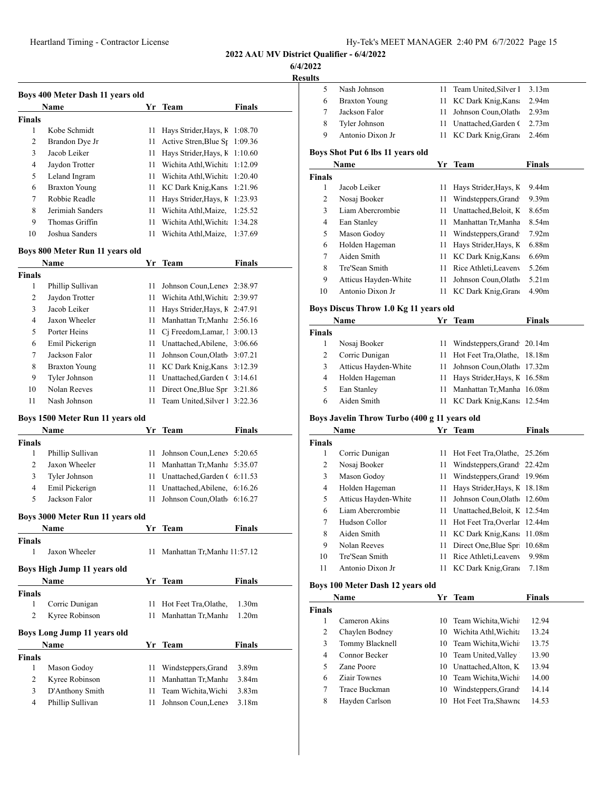**2022 AAU MV District Qualifier - 6/4/2022**

**6/4/2022**

<u>kesul</u>

|                | Boys 400 Meter Dash 11 years old |    |                               |               |
|----------------|----------------------------------|----|-------------------------------|---------------|
|                | Name                             |    | Yr Team                       | <b>Finals</b> |
| <b>Finals</b>  |                                  |    |                               |               |
| 1              | Kobe Schmidt                     | 11 | Hays Strider, Hays, K         | 1:08.70       |
| $\overline{c}$ | Brandon Dye Jr                   | 11 | Active Stren, Blue St         | 1:09.36       |
| 3              | Jacob Leiker                     | 11 | Hays Strider, Hays, K         | 1:10.60       |
| 4              | Jaydon Trotter                   | 11 | Wichita Athl, Wichita         | 1:12.09       |
| 5              | Leland Ingram                    | 11 | Wichita Athl Wichita          | 1:20.40       |
| 6              | <b>Braxton Young</b>             | 11 | KC Dark Knig, Kans            | 1:21.96       |
| 7              | Robbie Readle                    | 11 | Hays Strider, Hays, K         | 1:23.93       |
| 8              | Jerimiah Sanders                 | 11 | Wichita Athl, Maize,          | 1:25.52       |
| 9              | Thomas Griffin                   | 11 | Wichita Athl, Wichita         | 1:34.28       |
| 10             | Joshua Sanders                   | 11 | Wichita Athl, Maize,          | 1:37.69       |
|                | Boys 800 Meter Run 11 years old  |    |                               |               |
|                | Name                             | Yr | <b>Team</b>                   | <b>Finals</b> |
| <b>Finals</b>  |                                  |    |                               |               |
| 1              | Phillip Sullivan                 | 11 | Johnson Coun, Lenex 2:38.97   |               |
| $\overline{c}$ | Jaydon Trotter                   | 11 | Wichita Athl, Wichita 2:39.97 |               |
| 3              | Jacob Leiker                     | 11 | Hays Strider, Hays, K 2:47.91 |               |
| 4              | Jaxon Wheeler                    | 11 | Manhattan Tr, Manha 2:56.16   |               |
| 5              | Porter Heins                     | 11 | Cj Freedom, Lamar, 1 3:00.13  |               |
| 6              | Emil Pickerign                   | 11 | Unattached, Abilene,          | 3:06.66       |
| 7              | Jackson Falor                    | 11 | Johnson Coun, Olath 3:07.21   |               |
| 8              | <b>Braxton Young</b>             | 11 | KC Dark Knig, Kans 3:12.39    |               |
| 9              | Tyler Johnson                    | 11 | Unattached, Garden (3:14.61   |               |
| 10             | Nolan Reeves                     | 11 | Direct One, Blue Spr 3:21.86  |               |
| 11             | Nash Johnson                     | 11 | Team United, Silver 1 3:22.36 |               |
|                | Boys 1500 Meter Run 11 years old |    |                               |               |
|                | Name                             | Yr | Team                          | Finals        |
| <b>Finals</b>  |                                  |    |                               |               |
| 1              | Phillip Sullivan                 | 11 | Johnson Coun, Lenex 5:20.65   |               |
| $\overline{c}$ | Jaxon Wheeler                    | 11 | Manhattan Tr, Manha           | 5:35.07       |
| 3              | Tyler Johnson                    | 11 | Unattached, Garden (6:11.53   |               |
| $\overline{4}$ | Emil Pickerign                   | 11 | Unattached, Abilene,          | 6:16.26       |
| 5              | Jackson Falor                    | 11 | Johnson Coun, Olath 6:16.27   |               |
|                | Boys 3000 Meter Run 11 years old |    |                               |               |
| Finale         | Name                             | Yr | Team                          | <b>Finals</b> |

| <b>Finals</b> | Jaxon Wheeler               | 11   | Manhattan Tr, Manha 11:57.12 |                   |
|---------------|-----------------------------|------|------------------------------|-------------------|
|               | Boys High Jump 11 years old |      |                              |                   |
|               | <b>Name</b>                 | Yr   | Team                         | <b>Finals</b>     |
| <b>Finals</b> |                             |      |                              |                   |
| 1             | Corric Dunigan              |      | 11 Hot Feet Tra, Olathe,     | 1.30m             |
| 2             | Kyree Robinson              | 11 - | Manhattan Tr, Manha          | 1.20 <sub>m</sub> |
|               | Boys Long Jump 11 years old |      |                              |                   |
|               | Name                        | Yr   | <b>Team</b>                  | <b>Finals</b>     |
| <b>Finals</b> |                             |      |                              |                   |
| 1             | Mason Godoy                 | 11   | Windsteppers, Grand          | 3.89m             |
| 2             | Kyree Robinson              | 11   | Manhattan Tr, Manha          | 3.84m             |
| 3             | D'Anthony Smith             | 11   | Team Wichita Wichi           | 3.83 <sub>m</sub> |
| 4             | Phillip Sullivan            | 11   | Johnson Coun, Lenex          | 3.18 <sub>m</sub> |

| sults         |                                              |          |                                                 |                            |
|---------------|----------------------------------------------|----------|-------------------------------------------------|----------------------------|
| 5             | Nash Johnson                                 | 11       | Team United, Silver 1                           | 3.13m                      |
| 6             | <b>Braxton Young</b>                         | 11       | KC Dark Knig, Kans                              | 2.94m                      |
| 7             | Jackson Falor                                | 11       | Johnson Coun, Olath                             | 2.93m                      |
| 8             | Tyler Johnson                                | 11       | Unattached, Garden (                            | 2.73m                      |
| 9             | Antonio Dixon Jr                             | 11       | KC Dark Knig, Grand                             | 2.46m                      |
|               |                                              |          |                                                 |                            |
|               | Boys Shot Put 6 lbs 11 years old             |          |                                                 |                            |
|               | Name                                         |          | Yr Team                                         | <b>Finals</b>              |
| <b>Finals</b> |                                              |          |                                                 |                            |
| 1<br>2        | Jacob Leiker                                 | 11       | Hays Strider, Hays, K                           | 9.44m<br>9.39 <sub>m</sub> |
| 3             | Nosaj Booker<br>Liam Abercrombie             | 11<br>11 | Windsteppers, Grand<br>Unattached, Beloit, K    | 8.65m                      |
| 4             | Ean Stanley                                  | 11       | Manhattan Tr, Manha                             | 8.54m                      |
| 5             | Mason Godoy                                  | 11       | Windsteppers, Grand                             | 7.92m                      |
| 6             | Holden Hageman                               | 11       | Hays Strider, Hays, K                           | 6.88m                      |
| 7             | Aiden Smith                                  | 11       | KC Dark Knig, Kans                              | 6.69m                      |
| 8             | Tre'Sean Smith                               | 11       | Rice Athleti, Leaveny                           | 5.26m                      |
| 9             | Atticus Hayden-White                         | 11       | Johnson Coun, Olath                             | 5.21 <sub>m</sub>          |
| 10            | Antonio Dixon Jr                             | 11       | KC Dark Knig, Grand                             | 4.90m                      |
|               |                                              |          |                                                 |                            |
|               | Boys Discus Throw 1.0 Kg 11 years old        |          |                                                 |                            |
|               | Name                                         |          | Yr Team                                         | <b>Finals</b>              |
| Finals        |                                              |          |                                                 |                            |
| 1             | Nosaj Booker                                 | 11       | Windsteppers, Grand                             | 20.14m                     |
| 2             | Corric Dunigan                               | 11       | Hot Feet Tra, Olathe,                           | 18.18m                     |
| 3             | Atticus Hayden-White                         | 11       | Johnson Coun, Olath                             | 17.32m                     |
| 4             | Holden Hageman                               | 11       | Hays Strider, Hays, K                           | 16.58m                     |
| 5             | Ean Stanley                                  | 11       | Manhattan Tr,Manha                              | 16.08m                     |
| 6             | Aiden Smith                                  | 11       | KC Dark Knig, Kans                              | 12.54m                     |
|               | Boys Javelin Throw Turbo (400 g 11 years old |          |                                                 |                            |
|               | Name                                         |          | Yr Team                                         | <b>Finals</b>              |
| <b>Finals</b> |                                              |          |                                                 |                            |
| 1             | Corric Dunigan                               | 11       | Hot Feet Tra, Olathe,                           | 25.26m                     |
| 2             | Nosaj Booker                                 | 11       | Windsteppers, Grand                             | 22.42m                     |
| 3             | Mason Godoy                                  |          | 11 Windsteppers, Grand                          | 19.96m                     |
| 4             | Holden Hageman                               | 11       | Hays Strider, Hays, K                           | 18.18m                     |
| 5             | Atticus Hayden-White                         | 11       | Johnson Coun, Olath                             | 12.60m                     |
| 6             | Liam Abercrombie                             | 11       | Unattached, Beloit, K                           | 12.54m                     |
| 7             | Hudson Collor                                | 11       | Hot Feet Tra, Overlar 12.44m                    |                            |
| 8             | Aiden Smith                                  | 11       | KC Dark Knig, Kans                              | 11.08m                     |
| 9             | Nolan Reeves                                 | 11       | Direct One, Blue Spr.                           | 10.68m                     |
| 10            | Tre'Sean Smith                               | 11       | Rice Athleti, Leaveny                           | 9.98m                      |
| 11            | Antonio Dixon Jr                             | 11       | KC Dark Knig, Grand                             | 7.18m                      |
|               |                                              |          |                                                 |                            |
|               | Boys 100 Meter Dash 12 years old             |          |                                                 |                            |
|               | Name                                         |          | Yr Team                                         | <b>Finals</b>              |
| Finals        |                                              |          |                                                 |                            |
| 1             | Cameron Akins                                | 10       | Team Wichita, Wichi<br>10 Wichita Athl. Wichita | 12.94                      |
| 2             | Chaylen Bodney                               |          |                                                 | 13.24                      |

| 2              | Chaylen Bodney  | 10 Wichita Athl, Wichita | 13.24 |
|----------------|-----------------|--------------------------|-------|
| 3              | Tommy Blacknell | 10 Team Wichita, Wichi   | 13.75 |
| $\overline{4}$ | Connor Becker   | 10 Team United, Valley   | 13.90 |
| 5.             | Zane Poore      | 10 Unattached.Alton, K   | 13.94 |
| 6              | Ziair Townes    | 10 Team Wichita, Wichi   | 14.00 |
| 7              | Trace Buckman   | 10 Windsteppers, Grand   | 14.14 |
| 8              | Hayden Carlson  | 10 Hot Feet Tra, Shawne  | 14.53 |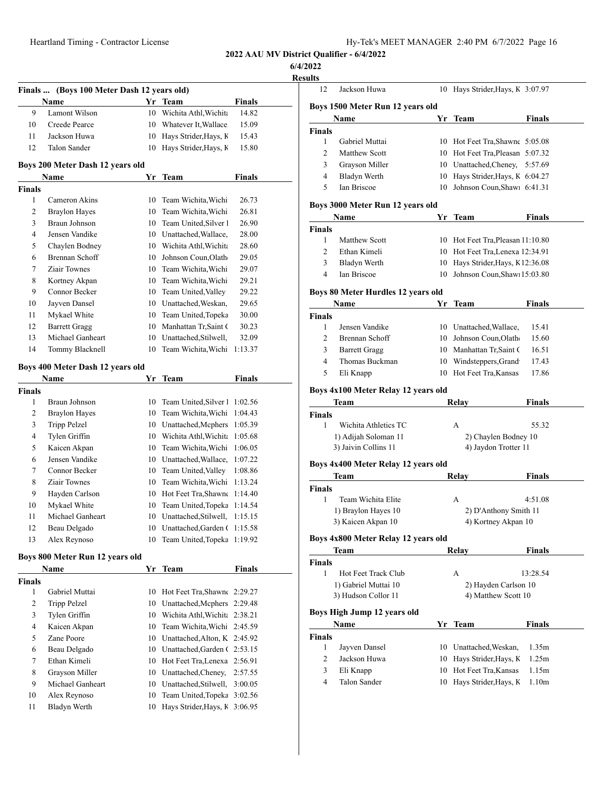**6/4/2022**

|                    | Finals  (Boys 100 Meter Dash 12 years old)<br>Name |    | Yr Team                                                         | <b>Finals</b> |
|--------------------|----------------------------------------------------|----|-----------------------------------------------------------------|---------------|
| 9                  | Lamont Wilson                                      | 10 | Wichita Athl, Wichita                                           | 14.82         |
| 10                 | Creede Pearce                                      |    | 10 Whatever It, Wallace                                         | 15.09         |
| 11                 | Jackson Huwa                                       | 10 | Hays Strider, Hays, K                                           | 15.43         |
| 12                 | Talon Sander                                       | 10 | Hays Strider, Hays, K                                           | 15.80         |
|                    |                                                    |    |                                                                 |               |
|                    | Boys 200 Meter Dash 12 years old<br>Name           |    |                                                                 | <b>Finals</b> |
| Finals             |                                                    |    | Yr Team                                                         |               |
| 1                  | Cameron Akins                                      | 10 | Team Wichita, Wichi                                             | 26.73         |
| 2                  | <b>Braylon Hayes</b>                               |    | 10 Team Wichita, Wichi                                          | 26.81         |
| 3                  | Braun Johnson                                      |    | 10 Team United, Silver 1                                        | 26.90         |
| 4                  | Jensen Vandike                                     |    | 10 Unattached, Wallace,                                         | 28.00         |
| 5                  | Chaylen Bodney                                     |    | 10 Wichita Athl, Wichita                                        | 28.60         |
| 6                  | Brennan Schoff                                     |    | 10 Johnson Coun, Olath                                          | 29.05         |
| 7                  | Ziair Townes                                       |    | 10 Team Wichita, Wichi                                          | 29.07         |
| 8                  | Kortney Akpan                                      |    | 10 Team Wichita, Wichi                                          | 29.21         |
| 9                  | Connor Becker                                      |    | 10 Team United, Valley                                          | 29.22         |
| 10                 | Jayven Dansel                                      |    | 10 Unattached, Weskan,                                          | 29.65         |
| 11                 | Mykael White                                       |    | 10 Team United, Topeka                                          | 30.00         |
| 12                 | <b>Barrett Gragg</b>                               |    | 10 Manhattan Tr, Saint (                                        | 30.23         |
| 13                 | Michael Ganheart                                   |    | 10 Unattached, Stilwell,                                        | 32.09         |
| 14                 | Tommy Blacknell                                    | 10 | Team Wichita, Wichi                                             | 1:13.37       |
|                    |                                                    |    |                                                                 |               |
|                    | Boys 400 Meter Dash 12 years old                   |    |                                                                 |               |
|                    | Name                                               | Yr | <b>Team</b>                                                     | <b>Finals</b> |
| <b>Finals</b>      |                                                    |    |                                                                 |               |
| 1                  | Braun Johnson                                      | 10 | Team United, Silver 1                                           | 1:02.56       |
| 2                  | <b>Braylon Hayes</b>                               | 10 | Team Wichita, Wichi                                             | 1:04.43       |
| 3                  | Tripp Pelzel                                       |    | 10 Unattached, Mcphers                                          | 1:05.39       |
| 4                  | Tylen Griffin                                      |    | 10 Wichita Athl, Wichita                                        | 1:05.68       |
| 5                  | Kaicen Akpan                                       |    | 10 Team Wichita, Wichi                                          | 1:06.05       |
| 6                  | Jensen Vandike                                     |    | 10 Unattached, Wallace,                                         | 1:07.22       |
| 7                  | Connor Becker                                      |    | 10 Team United, Valley                                          | 1:08.86       |
| 8                  | Ziair Townes                                       |    | 10 Team Wichita, Wichi                                          | 1:13.24       |
| 9                  | Hayden Carlson                                     |    | 10 Hot Feet Tra, Shawne 1:14.40                                 |               |
| 10                 | Mykael White                                       |    | 10 Team United, Topeka 1:14.54                                  |               |
| 11                 | Michael Ganheart                                   |    | 10 Unattached, Stilwell, 1:15.15                                |               |
| 12                 | Beau Delgado                                       |    | 10 Unattached, Garden (1:15.58                                  |               |
| 13                 | Alex Reynoso                                       | 10 | Team United, Topeka 1:19.92                                     |               |
|                    | Boys 800 Meter Run 12 years old                    |    |                                                                 |               |
|                    | Name                                               | Yr | Team                                                            | <b>Finals</b> |
| <b>Finals</b><br>1 | Gabriel Muttai                                     | 10 | Hot Feet Tra, Shawn (2:29.27                                    |               |
| 2                  | Tripp Pelzel                                       | 10 | Unattached, Mcphers 2:29.48                                     |               |
| 3                  | Tylen Griffin                                      |    | 10 Wichita Athl, Wichita 2:38.21                                |               |
|                    | Kaicen Akpan                                       | 10 | Team Wichita, Wichi 2:45.59                                     |               |
|                    | Zane Poore                                         |    | 10 Unattached, Alton, K 2:45.92                                 |               |
| 4                  |                                                    |    | 10 Unattached, Garden (2:53.15                                  |               |
| 5                  |                                                    |    |                                                                 |               |
| 6                  | Beau Delgado                                       |    |                                                                 |               |
| 7                  | Ethan Kimeli                                       |    | 10 Hot Feet Tra, Lenexa 2:56.91                                 |               |
| 8                  | Grayson Miller                                     |    | 10 Unattached, Cheney,                                          | 2:57.55       |
| 9                  | Michael Ganheart                                   |    | 10 Unattached, Stilwell,                                        | 3:00.05       |
| 10<br>11           | Alex Reynoso<br>Bladyn Werth                       | 10 | 10 Team United, Topeka 3:02.56<br>Hays Strider, Hays, K 3:06.95 |               |

| Jackson Huwa                        | 10                                                                                                                                                     | Hays Strider, Hays, K 3:07.97                                                                                                                        |                                                                                                                                                                                                                                                                                                                                                                                                                                                                                                                                                 |
|-------------------------------------|--------------------------------------------------------------------------------------------------------------------------------------------------------|------------------------------------------------------------------------------------------------------------------------------------------------------|-------------------------------------------------------------------------------------------------------------------------------------------------------------------------------------------------------------------------------------------------------------------------------------------------------------------------------------------------------------------------------------------------------------------------------------------------------------------------------------------------------------------------------------------------|
|                                     |                                                                                                                                                        |                                                                                                                                                      |                                                                                                                                                                                                                                                                                                                                                                                                                                                                                                                                                 |
| Boys 1500 Meter Run 12 years old    |                                                                                                                                                        |                                                                                                                                                      |                                                                                                                                                                                                                                                                                                                                                                                                                                                                                                                                                 |
| Name                                | Yr                                                                                                                                                     | Team                                                                                                                                                 | Finals                                                                                                                                                                                                                                                                                                                                                                                                                                                                                                                                          |
| <b>Finals</b>                       |                                                                                                                                                        |                                                                                                                                                      |                                                                                                                                                                                                                                                                                                                                                                                                                                                                                                                                                 |
| Gabriel Muttai                      |                                                                                                                                                        |                                                                                                                                                      |                                                                                                                                                                                                                                                                                                                                                                                                                                                                                                                                                 |
| <b>Matthew Scott</b>                |                                                                                                                                                        |                                                                                                                                                      | 5:07.32                                                                                                                                                                                                                                                                                                                                                                                                                                                                                                                                         |
| Grayson Miller                      |                                                                                                                                                        |                                                                                                                                                      | 5:57.69                                                                                                                                                                                                                                                                                                                                                                                                                                                                                                                                         |
|                                     |                                                                                                                                                        |                                                                                                                                                      |                                                                                                                                                                                                                                                                                                                                                                                                                                                                                                                                                 |
|                                     | 10                                                                                                                                                     |                                                                                                                                                      |                                                                                                                                                                                                                                                                                                                                                                                                                                                                                                                                                 |
|                                     |                                                                                                                                                        |                                                                                                                                                      |                                                                                                                                                                                                                                                                                                                                                                                                                                                                                                                                                 |
| Name                                |                                                                                                                                                        |                                                                                                                                                      | Finals                                                                                                                                                                                                                                                                                                                                                                                                                                                                                                                                          |
|                                     |                                                                                                                                                        |                                                                                                                                                      |                                                                                                                                                                                                                                                                                                                                                                                                                                                                                                                                                 |
|                                     |                                                                                                                                                        |                                                                                                                                                      |                                                                                                                                                                                                                                                                                                                                                                                                                                                                                                                                                 |
| Ethan Kimeli                        |                                                                                                                                                        |                                                                                                                                                      |                                                                                                                                                                                                                                                                                                                                                                                                                                                                                                                                                 |
| <b>Bladyn Werth</b>                 | 10                                                                                                                                                     |                                                                                                                                                      |                                                                                                                                                                                                                                                                                                                                                                                                                                                                                                                                                 |
| <b>Ian Briscoe</b>                  | 10                                                                                                                                                     |                                                                                                                                                      |                                                                                                                                                                                                                                                                                                                                                                                                                                                                                                                                                 |
|                                     |                                                                                                                                                        |                                                                                                                                                      |                                                                                                                                                                                                                                                                                                                                                                                                                                                                                                                                                 |
| Name                                | Yr                                                                                                                                                     | Team                                                                                                                                                 | Finals                                                                                                                                                                                                                                                                                                                                                                                                                                                                                                                                          |
|                                     |                                                                                                                                                        |                                                                                                                                                      |                                                                                                                                                                                                                                                                                                                                                                                                                                                                                                                                                 |
| Jensen Vandike                      |                                                                                                                                                        |                                                                                                                                                      | 15.41                                                                                                                                                                                                                                                                                                                                                                                                                                                                                                                                           |
| Brennan Schoff                      |                                                                                                                                                        |                                                                                                                                                      | 15.60                                                                                                                                                                                                                                                                                                                                                                                                                                                                                                                                           |
| <b>Barrett Gragg</b>                |                                                                                                                                                        |                                                                                                                                                      | 16.51                                                                                                                                                                                                                                                                                                                                                                                                                                                                                                                                           |
| Thomas Buckman                      |                                                                                                                                                        |                                                                                                                                                      | 17.43                                                                                                                                                                                                                                                                                                                                                                                                                                                                                                                                           |
| Eli Knapp                           |                                                                                                                                                        |                                                                                                                                                      | 17.86                                                                                                                                                                                                                                                                                                                                                                                                                                                                                                                                           |
|                                     |                                                                                                                                                        |                                                                                                                                                      |                                                                                                                                                                                                                                                                                                                                                                                                                                                                                                                                                 |
| Team                                |                                                                                                                                                        |                                                                                                                                                      | Finals                                                                                                                                                                                                                                                                                                                                                                                                                                                                                                                                          |
|                                     |                                                                                                                                                        |                                                                                                                                                      |                                                                                                                                                                                                                                                                                                                                                                                                                                                                                                                                                 |
| Wichita Athletics TC                |                                                                                                                                                        | A                                                                                                                                                    | 55.32                                                                                                                                                                                                                                                                                                                                                                                                                                                                                                                                           |
|                                     |                                                                                                                                                        |                                                                                                                                                      |                                                                                                                                                                                                                                                                                                                                                                                                                                                                                                                                                 |
| 3) Jaivin Collins 11                |                                                                                                                                                        |                                                                                                                                                      |                                                                                                                                                                                                                                                                                                                                                                                                                                                                                                                                                 |
|                                     |                                                                                                                                                        |                                                                                                                                                      |                                                                                                                                                                                                                                                                                                                                                                                                                                                                                                                                                 |
| Team                                |                                                                                                                                                        |                                                                                                                                                      | Finals                                                                                                                                                                                                                                                                                                                                                                                                                                                                                                                                          |
|                                     |                                                                                                                                                        |                                                                                                                                                      |                                                                                                                                                                                                                                                                                                                                                                                                                                                                                                                                                 |
| Team Wichita Elite                  |                                                                                                                                                        | А                                                                                                                                                    | 4:51.08                                                                                                                                                                                                                                                                                                                                                                                                                                                                                                                                         |
| 1) Braylon Hayes 10                 |                                                                                                                                                        |                                                                                                                                                      |                                                                                                                                                                                                                                                                                                                                                                                                                                                                                                                                                 |
| 3) Kaicen Akpan 10                  |                                                                                                                                                        | 4) Kortney Akpan 10                                                                                                                                  |                                                                                                                                                                                                                                                                                                                                                                                                                                                                                                                                                 |
|                                     |                                                                                                                                                        |                                                                                                                                                      |                                                                                                                                                                                                                                                                                                                                                                                                                                                                                                                                                 |
| Boys 4x800 Meter Relay 12 years old |                                                                                                                                                        |                                                                                                                                                      |                                                                                                                                                                                                                                                                                                                                                                                                                                                                                                                                                 |
| Team                                |                                                                                                                                                        | Relay                                                                                                                                                | <b>Finals</b>                                                                                                                                                                                                                                                                                                                                                                                                                                                                                                                                   |
| <b>Finals</b>                       |                                                                                                                                                        |                                                                                                                                                      |                                                                                                                                                                                                                                                                                                                                                                                                                                                                                                                                                 |
| Hot Feet Track Club                 |                                                                                                                                                        | A                                                                                                                                                    | 13:28.54                                                                                                                                                                                                                                                                                                                                                                                                                                                                                                                                        |
| 1) Gabriel Muttai 10                |                                                                                                                                                        | 2) Hayden Carlson 10                                                                                                                                 |                                                                                                                                                                                                                                                                                                                                                                                                                                                                                                                                                 |
| 3) Hudson Collor 11                 |                                                                                                                                                        | 4) Matthew Scott 10                                                                                                                                  |                                                                                                                                                                                                                                                                                                                                                                                                                                                                                                                                                 |
| Boys High Jump 12 years old         |                                                                                                                                                        |                                                                                                                                                      |                                                                                                                                                                                                                                                                                                                                                                                                                                                                                                                                                 |
| Name                                |                                                                                                                                                        | Yr Team                                                                                                                                              | <b>Finals</b>                                                                                                                                                                                                                                                                                                                                                                                                                                                                                                                                   |
| Finals                              |                                                                                                                                                        |                                                                                                                                                      |                                                                                                                                                                                                                                                                                                                                                                                                                                                                                                                                                 |
| Jayven Dansel                       |                                                                                                                                                        | 10 Unattached, Weskan,                                                                                                                               | 1.35m                                                                                                                                                                                                                                                                                                                                                                                                                                                                                                                                           |
| Jackson Huwa                        | 10                                                                                                                                                     | Hays Strider, Hays, K                                                                                                                                | 1.25m                                                                                                                                                                                                                                                                                                                                                                                                                                                                                                                                           |
| Eli Knapp                           | 10                                                                                                                                                     | Hot Feet Tra, Kansas                                                                                                                                 | 1.15m                                                                                                                                                                                                                                                                                                                                                                                                                                                                                                                                           |
|                                     | <b>Bladyn Werth</b><br><b>Ian Briscoe</b><br><b>Finals</b><br><b>Matthew Scott</b><br><b>Finals</b><br><b>Finals</b><br>1) Adijah Soloman 11<br>Finals | Boys 3000 Meter Run 12 years old<br>Boys 80 Meter Hurdles 12 years old<br>Boys 4x100 Meter Relay 12 years old<br>Boys 4x400 Meter Relay 12 years old | 10 Hot Feet Tra, Shawne 5:05.08<br>10 Hot Feet Tra, Pleasan<br>10 Unattached, Cheney,<br>10 Hays Strider, Hays, K 6:04.27<br>Johnson Coun, Shaw: 6:41.31<br>Yr Team<br>10 Hot Feet Tra, Pleasan 11:10.80<br>10 Hot Feet Tra, Lenexa 12:34.91<br>Hays Strider, Hays, K 12:36.08<br>Johnson Coun, Shaw: 15:03.80<br>10 Unattached, Wallace,<br>10 Johnson Coun, Olath<br>10 Manhattan Tr, Saint (<br>10 Windsteppers, Grand<br>10 Hot Feet Tra, Kansas<br>Relay<br>2) Chaylen Bodney 10<br>4) Jaydon Trotter 11<br>Relay<br>2) D'Anthony Smith 11 |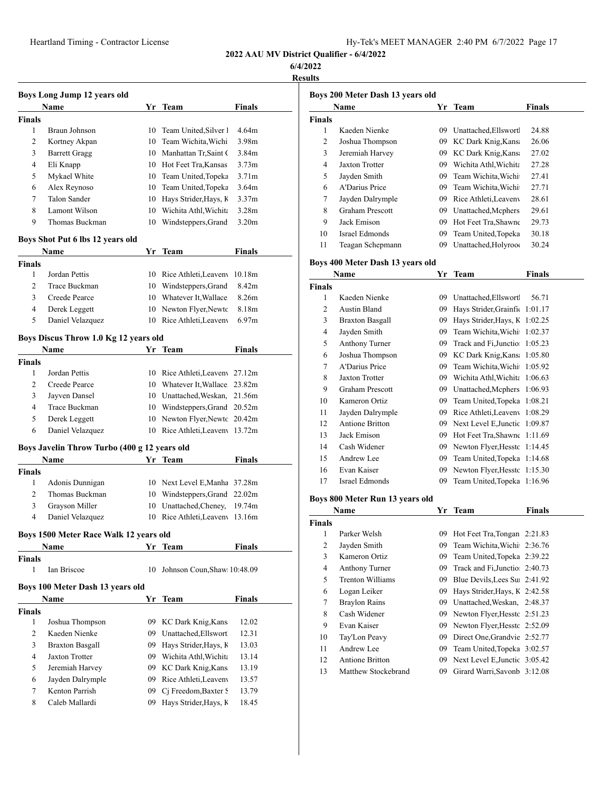Heartland Timing - Contractor License

| Hy-Tek's MEET MANAGER 2:40 PM 6/7/2022 Page 17 |  |  |  |  |
|------------------------------------------------|--|--|--|--|
|------------------------------------------------|--|--|--|--|

**2022 AAU MV District Qualifier - 6/4/2022**

**6/4/2022**

**Results**

|               | Name                             | Yr. | <b>Team</b>           | <b>Finals</b>     |
|---------------|----------------------------------|-----|-----------------------|-------------------|
| <b>Finals</b> |                                  |     |                       |                   |
| 1             | Braun Johnson                    | 10  | Team United, Silver 1 | 4.64m             |
| 2             | Kortney Akpan                    | 10  | Team Wichita, Wichi   | 3.98m             |
| 3             | <b>Barrett Gragg</b>             | 10  | Manhattan Tr, Saint C | 3.84m             |
| 4             | Eli Knapp                        | 10  | Hot Feet Tra.Kansas   | 3.73m             |
| 5             | Mykael White                     | 10  | Team United, Topeka   | 3.71 <sub>m</sub> |
| 6             | Alex Reynoso                     | 10  | Team United, Topeka   | 3.64m             |
| 7             | Talon Sander                     | 10  | Hays Strider, Hays, K | 3.37 <sub>m</sub> |
| 8             | Lamont Wilson                    | 10  | Wichita Athl Wichita  | 3.28 <sub>m</sub> |
| 9             | Thomas Buckman                   | 10  | Windsteppers, Grand   | 3.20 <sub>m</sub> |
|               | Boys Shot Put 6 lbs 12 years old |     |                       |                   |
|               | Name                             | Yr  | Team                  | <b>Finals</b>     |

| <b>Finals</b> |                  |                                |  |
|---------------|------------------|--------------------------------|--|
|               | Jordan Pettis    | 10 Rice Athleti, Leaven 10.18m |  |
|               | Trace Buckman    | 10 Windsteppers, Grand 8.42m   |  |
| 3             | Creede Pearce    | 10 Whatever It, Wallace 8.26m  |  |
| 4             | Derek Leggett    | 10 Newton Flyer, Newto 8.18m   |  |
| 5             | Daniel Velazquez | 10 Rice Athleti, Leaven 6.97m  |  |

### **Boys Discus Throw 1.0 Kg 12 years old**

|               | <b>Name</b>      | Yr Team                        | <b>Finals</b> |
|---------------|------------------|--------------------------------|---------------|
| <b>Finals</b> |                  |                                |               |
|               | Jordan Pettis    | 10 Rice Athleti, Leaven 27.12m |               |
| 2             | Creede Pearce    | 10 Whatever It, Wallace 23.82m |               |
| 3             | Jayven Dansel    | 10 Unattached, Weskan, 21.56m  |               |
| 4             | Trace Buckman    | 10 Windsteppers, Grand 20.52m  |               |
| 5             | Derek Leggett    | 10 Newton Flyer, Newto 20.42m  |               |
| 6             | Daniel Velazquez | 10 Rice Athleti, Leaven 13.72m |               |

### **Boys Javelin Throw Turbo (400 g 12 years old**

|               | Name             | Yr Team                        | <b>Finals</b> |  |
|---------------|------------------|--------------------------------|---------------|--|
| <b>Finals</b> |                  |                                |               |  |
| L             | Adonis Dunnigan  | 10 Next Level E, Manha 37.28m  |               |  |
| $2^{\circ}$   | Thomas Buckman   | 10 Windsteppers, Grand 22.02m  |               |  |
| 3             | Grayson Miller   | 10 Unattached, Cheney, 19.74m  |               |  |
| 4             | Daniel Velazquez | 10 Rice Athleti, Leaven 13.16m |               |  |

#### **Boys 1500 Meter Race Walk 12 years old**

| BOYS TOUD METER KACE WAIK 12 YEARS OID |                                  |     |                             |               |  |  |
|----------------------------------------|----------------------------------|-----|-----------------------------|---------------|--|--|
|                                        | <b>Name</b>                      |     | Yr Team                     | <b>Finals</b> |  |  |
| Finals                                 |                                  |     |                             |               |  |  |
| 1                                      | <b>Ian Briscoe</b>               | 10  | Johnson Coun, Shaw 10:48.09 |               |  |  |
|                                        | Boys 100 Meter Dash 13 years old |     |                             |               |  |  |
|                                        | <b>Name</b>                      | Yr. | <b>Team</b>                 | <b>Finals</b> |  |  |
| Finals                                 |                                  |     |                             |               |  |  |
| 1                                      | Joshua Thompson                  |     | 09 KC Dark Knig, Kans       | 12.02         |  |  |
| 2                                      | Kaeden Nienke                    | 09  | Unattached, Ellswort        | 12.31         |  |  |
| 3                                      | <b>Braxton Basgall</b>           | 09  | Hays Strider, Hays, K       | 13.03         |  |  |
| 4                                      | <b>Jaxton Trotter</b>            | 09  | Wichita Athl Wichita        | 13.14         |  |  |
| 5                                      | Jeremiah Harvey                  | 09  | KC Dark Knig, Kans          | 13.19         |  |  |
| 6                                      | Jayden Dalrymple                 | 09  | Rice Athleti, Leaveny       | 13.57         |  |  |
| 7                                      | Kenton Parrish                   | 09  | Ci Freedom, Baxter S        | 13.79         |  |  |
| 8                                      | Caleb Mallardi                   | 09  | Hays Strider, Hays, K       | 18.45         |  |  |
|                                        |                                  |     |                             |               |  |  |

| Boys 200 Meter Dash 13 years old |                                  |     |                               |               |  |  |
|----------------------------------|----------------------------------|-----|-------------------------------|---------------|--|--|
|                                  | Name                             |     | Yr Team                       | Finals        |  |  |
| <b>Finals</b>                    |                                  |     |                               |               |  |  |
| 1                                | Kaeden Nienke                    |     | 09 Unattached, Ellswort       | 24.88         |  |  |
| $\overline{c}$                   | Joshua Thompson                  |     | 09 KC Dark Knig, Kans         | 26.06         |  |  |
| 3                                | Jeremiah Harvey                  |     | 09 KC Dark Knig, Kans         | 27.02         |  |  |
| 4                                | <b>Jaxton Trotter</b>            |     | 09 Wichita Athl, Wichita      | 27.28         |  |  |
| 5                                | Jayden Smith                     | 09. | Team Wichita, Wichi           | 27.41         |  |  |
| 6                                | A'Darius Price                   | 09. | Team Wichita, Wichi           | 27.71         |  |  |
| 7                                | Jayden Dalrymple                 | 09. | Rice Athleti, Leaveny         | 28.61         |  |  |
| 8                                | <b>Graham Prescott</b>           | 09  | Unattached, Mcphers           | 29.61         |  |  |
| 9                                | Jack Emison                      | 09  | Hot Feet Tra, Shawne          | 29.73         |  |  |
| 10                               | Israel Edmonds                   | 09. | Team United, Topeka           | 30.18         |  |  |
| 11                               | Teagan Schepmann                 | 09  | Unattached, Holyroo           | 30.24         |  |  |
|                                  | Boys 400 Meter Dash 13 years old |     |                               |               |  |  |
|                                  | Name                             | Yr  | <b>Team</b>                   | <b>Finals</b> |  |  |
| <b>Finals</b>                    |                                  |     |                               |               |  |  |
| 1                                | Kaeden Nienke                    |     | 09 Unattached, Ellswort       | 56.71         |  |  |
| $\overline{c}$                   | Austin Bland                     | 09- | Hays Strider, Grainfic        | 1:01.17       |  |  |
| 3                                | <b>Braxton Basgall</b>           | 09  | Hays Strider, Hays, K         | 1:02.25       |  |  |
| 4                                | Jayden Smith                     | 09  | Team Wichita, Wichi           | 1:02.37       |  |  |
| 5                                | <b>Anthony Turner</b>            | 09  | Track and Fi, Junctio         | 1:05.23       |  |  |
| 6                                | Joshua Thompson                  | 09  | KC Dark Knig, Kans            | 1:05.80       |  |  |
| 7                                | <b>A'Darius Price</b>            | 09  | Team Wichita, Wichi           | 1:05.92       |  |  |
| 8                                | <b>Jaxton Trotter</b>            |     | 09 Wichita Athl, Wichita      | 1:06.63       |  |  |
| 9                                | <b>Graham Prescott</b>           | 09  | Unattached, Mcphers           | 1:06.93       |  |  |
| 10                               | Kameron Ortiz                    | 09. | Team United, Topeka           | 1:08.21       |  |  |
| 11                               | Jayden Dalrymple                 | 09  | Rice Athleti, Leaveny         | 1:08.29       |  |  |
| 12                               | <b>Antione Britton</b>           |     | 09 Next Level E, Junctic      | 1:09.87       |  |  |
| 13                               | Jack Emison                      | 09  | Hot Feet Tra, Shawne          | 1:11.69       |  |  |
| 14                               | Cash Widener                     |     | 09 Newton Flyer, Hesstc       | 1:14.45       |  |  |
| 15                               | Andrew Lee                       | 09  | Team United, Topeka           | 1:14.68       |  |  |
| 16                               | Evan Kaiser                      | 09  | Newton Flyer, Hesstc          | 1:15.30       |  |  |
| 17                               | Israel Edmonds                   | 09  | Team United, Topeka           | 1:16.96       |  |  |
|                                  | Boys 800 Meter Run 13 years old  |     |                               |               |  |  |
|                                  | Name                             |     | Yr Team                       | Finals        |  |  |
| <b>Finals</b>                    |                                  |     |                               |               |  |  |
| $\,1$                            | Parker Welsh                     | 09  | Hot Feet Tra, Tongan 2:21.83  |               |  |  |
| $\mathbf{2}$                     | Jayden Smith                     | 09  | Team Wichita, Wichi           | 2:36.76       |  |  |
| 3                                | Kameron Ortiz                    | 09  | Team United, Topeka 2:39.22   |               |  |  |
| 4                                | Anthony Turner                   | 09  | Track and Fi, Junctio 2:40.73 |               |  |  |
| 5                                | Trenton Williams                 | 09  | Blue Devils, Lees Su 2:41.92  |               |  |  |
| 6                                | Logan Leiker                     | 09  | Hays Strider, Hays, K 2:42.58 |               |  |  |
| 7                                | <b>Braylon Rains</b>             | 09  | Unattached, Weskan,           | 2:48.37       |  |  |
| 8                                | Cash Widener                     | 09  | Newton Flyer, Hesstc 2:51.23  |               |  |  |
| 9                                | Evan Kaiser                      | 09  | Newton Flyer, Hesstc 2:52.09  |               |  |  |
| 10                               | Tay'Lon Peavy                    | 09  | Direct One, Grandvie 2:52.77  |               |  |  |
| 11                               | Andrew Lee                       | 09  | Team United, Topeka 3:02.57   |               |  |  |
| 12                               | <b>Antione Britton</b>           | 09  | Next Level E, Junctic 3:05.42 |               |  |  |
| 13                               | Matthew Stockebrand              | 09  | Girard Warri, Savonb 3:12.08  |               |  |  |
|                                  |                                  |     |                               |               |  |  |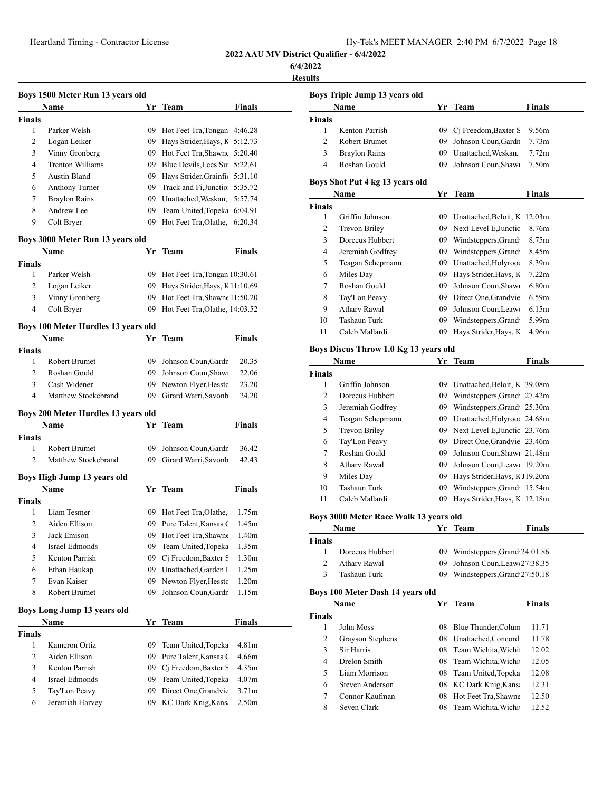**6/4/2022**

|                              | Boys 1500 Meter Run 13 years old    |          |                                               |                                                                                                        |
|------------------------------|-------------------------------------|----------|-----------------------------------------------|--------------------------------------------------------------------------------------------------------|
|                              | Name                                |          | Yr Team                                       | <b>Finals</b>                                                                                          |
| Finals<br>1                  | Parker Welsh                        |          |                                               | 4:46.28                                                                                                |
| 2                            | Logan Leiker                        | 09<br>09 | Hot Feet Tra, Tongan<br>Hays Strider, Hays, K | 5:12.73                                                                                                |
| 3                            | Vinny Gronberg                      | 09.      | Hot Feet Tra, Shawne                          | 5:20.40                                                                                                |
| 4                            | <b>Trenton Williams</b>             |          | 09 Blue Devils, Lees Su                       | 5:22.61                                                                                                |
| 5                            | Austin Bland                        |          | 09 Hays Strider, Grainfic                     | 5:31.10                                                                                                |
| 6                            | <b>Anthony Turner</b>               |          | 09 Track and Fi, Junctio                      | 5:35.72                                                                                                |
| 7                            | <b>Braylon Rains</b>                |          | 09 Unattached, Weskan,                        | 5:57.74                                                                                                |
| 8                            | Andrew Lee                          | 09       | Team United, Topeka                           | 6:04.91                                                                                                |
| 9                            | Colt Bryer                          | 09       | Hot Feet Tra, Olathe,                         | 6:20.34                                                                                                |
|                              |                                     |          |                                               |                                                                                                        |
|                              | Boys 3000 Meter Run 13 years old    |          |                                               |                                                                                                        |
|                              | Name                                | Yr       | Team                                          | Finals                                                                                                 |
| <b>Finals</b><br>1           | Parker Welsh                        | 09       |                                               |                                                                                                        |
| $\overline{2}$               |                                     |          | Hot Feet Tra, Tongan 10:30.61                 |                                                                                                        |
|                              | Logan Leiker                        | 09       | Hays Strider, Hays, K 11:10.69                |                                                                                                        |
| 3                            | Vinny Gronberg                      | 09       | Hot Feet Tra, Shawne 11:50.20                 |                                                                                                        |
| 4                            | Colt Bryer                          | 09.      | Hot Feet Tra, Olathe, 14:03.52                |                                                                                                        |
|                              | Boys 100 Meter Hurdles 13 years old |          |                                               |                                                                                                        |
|                              | Name                                | Yr       | Team                                          | Finals                                                                                                 |
| <b>Finals</b>                |                                     |          |                                               |                                                                                                        |
| 1                            | <b>Robert Brumet</b>                | 09       | Johnson Coun, Gardr                           | 20.35                                                                                                  |
| 2                            | Roshan Gould                        |          | 09 Johnson Coun, Shaw                         | 22.06                                                                                                  |
| 3                            | Cash Widener                        |          | 09 Newton Flyer, Hessto                       | 23.20                                                                                                  |
| $\overline{4}$               | Matthew Stockebrand                 | 09 -     | Girard Warri, Savonb                          | 24.20                                                                                                  |
|                              | Boys 200 Meter Hurdles 13 years old |          |                                               |                                                                                                        |
|                              |                                     |          |                                               |                                                                                                        |
|                              | Name                                | Yr       | Team                                          |                                                                                                        |
|                              |                                     |          |                                               |                                                                                                        |
| 1                            | Robert Brumet                       | 09       | Johnson Coun, Gardr                           |                                                                                                        |
| 2                            | Matthew Stockebrand                 | 09       | Girard Warri, Savonb                          | <b>Finals</b><br>36.42<br>42.43                                                                        |
|                              | Boys High Jump 13 years old         |          |                                               |                                                                                                        |
|                              | Name                                |          | Yr Team                                       |                                                                                                        |
|                              |                                     |          |                                               |                                                                                                        |
| 1                            | Liam Tesmer                         | 09       | Hot Feet Tra, Olathe,                         |                                                                                                        |
| 2                            | Aiden Ellison                       | 09       | Pure Talent, Kansas (                         |                                                                                                        |
| 3                            | Jack Emison                         | 09       | Hot Feet Tra, Shawne                          |                                                                                                        |
| 4                            | <b>Israel Edmonds</b>               | 09       | Team United, Topeka                           |                                                                                                        |
| 5                            | Kenton Parrish                      | 09       | Ci Freedom, Baxter S                          |                                                                                                        |
| <b>Finals</b><br>Finals<br>6 | Ethan Haukap                        |          | 09 Unattached, Garden I                       |                                                                                                        |
| 7                            | Evan Kaiser                         | 09       | Newton Flyer, Hessto                          |                                                                                                        |
| 8                            | Robert Brumet                       | 09       | Johnson Coun, Gardr                           |                                                                                                        |
|                              |                                     |          |                                               | Finals<br>1.75m<br>1.45m<br>1.40m<br>1.35m<br>1.30 <sub>m</sub><br>1.25m<br>1.20 <sub>m</sub><br>1.15m |
|                              | Boys Long Jump 13 years old<br>Name | Yr       | <b>Team</b>                                   |                                                                                                        |
|                              |                                     |          |                                               |                                                                                                        |
| $\mathbf{1}$                 | Kameron Ortiz                       | 09       | Team United, Topeka                           |                                                                                                        |
| <b>Finals</b><br>2           | Aiden Ellison                       | 09       | Pure Talent, Kansas (                         | <b>Finals</b><br>4.81m<br>4.66m                                                                        |
| 3                            | Kenton Parrish                      | 09       | Cj Freedom, Baxter S                          | 4.35m                                                                                                  |
| 4                            | Israel Edmonds                      | 09       | Team United, Topeka                           | 4.07 <sub>m</sub>                                                                                      |
| 5                            | Tay'Lon Peavy                       | 09       | Direct One, Grandvie                          | 3.71 <sub>m</sub>                                                                                      |

|                | Boys Triple Jump 13 years old          |    |                                                      |                   |
|----------------|----------------------------------------|----|------------------------------------------------------|-------------------|
|                | Name                                   |    | Yr Team                                              | <b>Finals</b>     |
| <b>Finals</b>  |                                        |    |                                                      |                   |
| $\mathbf{1}$   | Kenton Parrish                         | 09 | Cj Freedom, Baxter S                                 | 9.56m             |
| 2              | Robert Brumet                          | 09 | Johnson Coun, Gardr                                  | 7.73 <sub>m</sub> |
| 3              | <b>Braylon Rains</b>                   | 09 | Unattached, Weskan,                                  | 7.72m             |
| $\overline{4}$ | Roshan Gould                           | 09 | Johnson Coun, Shaw                                   | 7.50m             |
|                |                                        |    |                                                      |                   |
|                | Boys Shot Put 4 kg 13 years old        |    |                                                      |                   |
|                | Name                                   |    | Yr Team                                              | <b>Finals</b>     |
| Finals<br>1    | Griffin Johnson                        |    |                                                      | 12.03m            |
| 2              | Trevon Briley                          |    | 09 Unattached, Beloit, K<br>09 Next Level E, Junctic | 8.76m             |
| 3              | Dorceus Hubbert                        |    | 09 Windsteppers, Grand                               | 8.75m             |
| 4              | Jeremiah Godfrey                       |    | 09 Windsteppers, Grand                               | 8.45m             |
| 5              | Teagan Schepmann                       |    | 09 Unattached, Holyroo                               | 8.39m             |
| 6              | Miles Day                              |    | 09 Hays Strider, Hays, K                             | 7.22m             |
| 7              | Roshan Gould                           | 09 | Johnson Coun, Shaw                                   | 6.80 <sub>m</sub> |
| 8              | Tay'Lon Peavy                          | 09 | Direct One, Grandvie                                 | 6.59 <sub>m</sub> |
| 9              | <b>Athary Rawal</b>                    | 09 | Johnson Coun, Leaw                                   | 6.15m             |
| 10             | Tashaun Turk                           | 09 | Windsteppers, Grand                                  | 5.99m             |
| 11             | Caleb Mallardi                         | 09 | Hays Strider, Hays, K                                | 4.96m             |
|                |                                        |    |                                                      |                   |
|                | Boys Discus Throw 1.0 Kg 13 years old  |    |                                                      |                   |
|                | Name                                   | Yr | Team                                                 | <b>Finals</b>     |
| <b>Finals</b>  |                                        |    |                                                      |                   |
| 1              | Griffin Johnson                        |    | 09 Unattached, Beloit, K 39.08m                      |                   |
| 2              | Dorceus Hubbert                        |    | 09 Windsteppers, Grand 27.42m                        |                   |
| 3              | Jeremiah Godfrey                       |    | 09 Windsteppers, Grand 25.30m                        |                   |
| 4              | Teagan Schepmann                       |    | 09 Unattached, Holyroo 24.68m                        |                   |
| 5              | Trevon Briley                          | 09 | Next Level E, Junctic 23.76m                         |                   |
| 6              | Tay'Lon Peavy                          | 09 | Direct One, Grandvie 23.46m                          |                   |
| 7              | Roshan Gould                           | 09 | Johnson Coun, Shaw: 21.48m                           |                   |
| 8              | <b>Athary Rawal</b>                    | 09 | Johnson Coun, Leaw 19.20m                            |                   |
| 9              | Miles Day                              | 09 | Hays Strider, Hays, K J19.20m                        |                   |
| 10             | Tashaun Turk                           | 09 | Windsteppers, Grand 15.54m                           |                   |
| 11             | Caleb Mallardi                         | 09 | Hays Strider, Hays, K 12.18m                         |                   |
|                | Boys 3000 Meter Race Walk 13 years old |    |                                                      |                   |
|                | <b>Name</b>                            | Yr | · Team                                               | Finals            |
| Finals         |                                        |    |                                                      |                   |
| 1              | Dorceus Hubbert                        | 09 | Windsteppers, Grand 24:01.86                         |                   |
| $\overline{c}$ | <b>Atharv Rawal</b>                    | 09 | Johnson Coun, Leaw 27:38.35                          |                   |
| 3              | Tashaun Turk                           | 09 | Windsteppers, Grand 27:50.18                         |                   |
|                | Boys 100 Meter Dash 14 years old       |    |                                                      |                   |
|                | Name                                   | Yr | <b>Team</b>                                          | <b>Finals</b>     |
| <b>Finals</b>  |                                        |    |                                                      |                   |
| $\mathbf{1}$   | John Moss                              | 08 | Blue Thunder, Colum                                  | 11.71             |
|                | Grayson Stephens                       | 08 | Unattached, Concord                                  | 11.78             |
| 2              | Sir Harris                             | 08 | Team Wichita, Wichi                                  | 12.02             |
| 3              |                                        |    |                                                      |                   |
| $\overline{4}$ | Drelon Smith                           |    | 08 Team Wichita, Wichi                               | 12.05             |
| 5              | Liam Morrison                          |    | 08 Team United, Topeka                               | 12.08             |
| 6              | Steven Anderson                        | 08 | KC Dark Knig, Kans                                   | 12.31             |
| 7              | Connor Kaufman                         | 08 | Hot Feet Tra, Shawne                                 | 12.50             |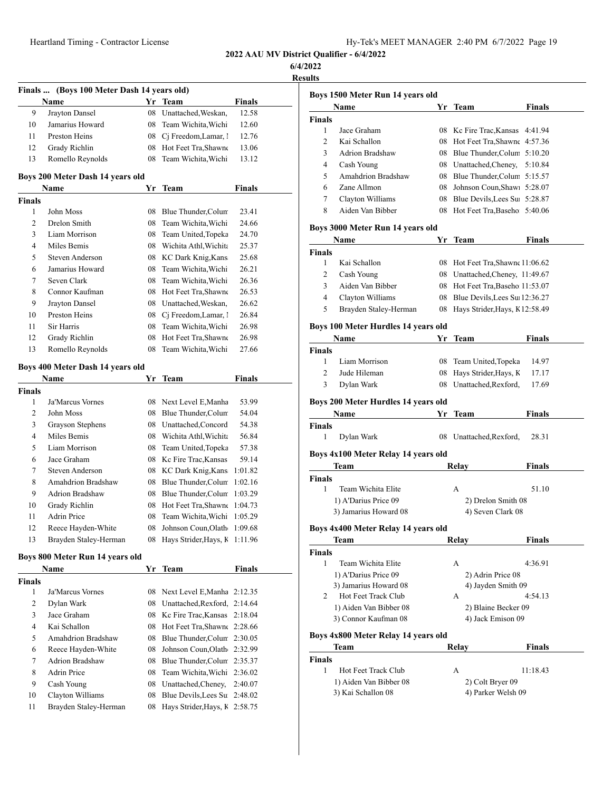| Hy-Tek's MEET MANAGER 2:40 PM 6/7/2022 Page 19 |  |  |  |
|------------------------------------------------|--|--|--|
|------------------------------------------------|--|--|--|

**6/4/2022**

| Finals …    | (Boys 100 Meter Dash 14 years old) |    |                                               |                |
|-------------|------------------------------------|----|-----------------------------------------------|----------------|
|             | Name                               |    | Yr Team                                       | <b>Finals</b>  |
| 9           | Jrayton Dansel                     | 08 | Unattached, Weskan,                           | 12.58          |
| 10          | Jamarius Howard                    |    | 08 Team Wichita, Wichi                        | 12.60          |
| 11          | Preston Heins                      |    | 08 Cj Freedom, Lamar, 1                       | 12.76          |
| 12          | Grady Richlin                      |    | 08 Hot Feet Tra, Shawne                       | 13.06          |
| 13          | Romello Reynolds                   | 08 | Team Wichita, Wichi                           | 13.12          |
|             | Boys 200 Meter Dash 14 years old   |    |                                               |                |
|             | Name                               | Yr | Team                                          | <b>Finals</b>  |
| Finals      |                                    |    |                                               |                |
| 1           | John Moss                          | 08 | Blue Thunder, Colum                           | 23.41          |
| 2           | Drelon Smith                       | 08 | Team Wichita, Wichi                           | 24.66          |
| 3           | Liam Morrison                      | 08 | Team United, Topeka                           | 24.70          |
| 4           | Miles Bemis                        |    | 08 Wichita Athl, Wichita                      | 25.37          |
| 5           | Steven Anderson                    |    | 08 KC Dark Knig, Kans                         | 25.68          |
| 6           | Jamarius Howard                    |    | 08 Team Wichita, Wichi                        | 26.21          |
| 7           | Seven Clark                        |    | 08 Team Wichita, Wichi                        | 26.36          |
| 8           | Connor Kaufman                     |    | 08 Hot Feet Tra, Shawne                       | 26.53          |
| 9           | Jrayton Dansel                     |    | 08 Unattached, Weskan,                        | 26.62          |
| 10          | Preston Heins                      |    | 08 Cj Freedom, Lamar, 1                       | 26.84          |
| 11          | Sir Harris                         | 08 | Team Wichita, Wichi                           | 26.98          |
| 12          | Grady Richlin                      | 08 | Hot Feet Tra, Shawne                          | 26.98          |
| 13          | Romello Reynolds                   | 08 | Team Wichita, Wichi                           | 27.66          |
|             |                                    |    |                                               |                |
|             | Boys 400 Meter Dash 14 years old   |    |                                               |                |
|             | Name                               |    | Yr Team                                       | <b>Finals</b>  |
| Finals<br>1 | Ja'Marcus Vornes                   |    |                                               |                |
|             | John Moss                          | 08 | 08 Next Level E, Manha<br>Blue Thunder, Colum | 53.99          |
| 2<br>3      | Grayson Stephens                   |    | 08 Unattached, Concord                        | 54.04<br>54.38 |
| 4           | Miles Bemis                        |    | 08 Wichita Athl, Wichita                      | 56.84          |
| 5           | Liam Morrison                      |    | 08 Team United, Topeka                        | 57.38          |
| 6           | Jace Graham                        |    | 08 Kc Fire Trac, Kansas                       | 59.14          |
| 7           | Steven Anderson                    |    | 08 KC Dark Knig, Kans                         | 1:01.82        |
| 8           | Amahdrion Bradshaw                 |    | 08 Blue Thunder, Colum                        | 1:02.16        |
| 9           | <b>Adrion Bradshaw</b>             |    | 08 Blue Thunder, Colum                        | 1:03.29        |
| 10          | Grady Richlin                      | 08 | Hot Feet Tra, Shawne                          | 1:04.73        |
| 11          | Adrin Price                        | 08 | Team Wichita, Wichi                           | 1:05.29        |
| 12          | Reece Hayden-White                 |    | 08 Johnson Coun, Olath                        | 1:09.68        |
| 13          | Brayden Staley-Herman              | 08 | Hays Strider, Hays, K 1:11.96                 |                |
|             |                                    |    |                                               |                |
|             | Boys 800 Meter Run 14 years old    |    |                                               |                |
|             | Name                               | Yr | Team                                          | <b>Finals</b>  |
| Finals      |                                    |    |                                               |                |
| 1           | Ja'Marcus Vornes                   | 08 | Next Level E, Manha                           | 2:12.35        |
| 2           | Dylan Wark                         | 08 | Unattached, Rexford,                          | 2:14.64        |
| 3           | Jace Graham                        |    | 08 Kc Fire Trac, Kansas                       | 2:18.04        |
| 4           | Kai Schallon                       | 08 | Hot Feet Tra, Shawne 2:28.66                  |                |
| 5           | <b>Amahdrion Bradshaw</b>          | 08 | Blue Thunder, Colum                           | 2:30.05        |
| 6           | Reece Hayden-White                 | 08 | Johnson Coun, Olath                           | 2:32.99        |
| 7           | <b>Adrion Bradshaw</b>             | 08 | Blue Thunder, Colum                           | 2:35.37        |
| 8           | Adrin Price                        | 08 | Team Wichita, Wichi                           | 2:36.02        |
| 9           | Cash Young                         |    | 08 Unattached, Cheney,                        | 2:40.07        |
| 10          | Clayton Williams                   | 08 | Blue Devils, Lees Su                          | 2:48.02        |
| 11          | Brayden Staley-Herman              | 08 | Hays Strider, Hays, K                         | 2:58.75        |
|             |                                    |    |                                               |                |

|                        | Boys 1500 Meter Run 14 years old    |    |                                         |               |
|------------------------|-------------------------------------|----|-----------------------------------------|---------------|
|                        | <b>Name</b>                         |    | Yr Team                                 | Finals        |
| Finals                 |                                     |    |                                         |               |
| 1                      | Jace Graham                         |    | 08 Kc Fire Trac, Kansas 4:41.94         |               |
| $\overline{c}$         | Kai Schallon                        |    | 08 Hot Feet Tra, Shawne                 | 4:57.36       |
| 3                      | <b>Adrion Bradshaw</b>              |    | 08 Blue Thunder, Colum 5:10.20          |               |
| 4                      | Cash Young                          |    | 08 Unattached, Cheney,                  | 5:10.84       |
| 5                      | <b>Amahdrion Bradshaw</b>           |    | 08 Blue Thunder, Colum 5:15.57          |               |
| 6                      | Zane Allmon                         |    | 08 Johnson Coun, Shaw 5:28.07           |               |
| 7                      | Clayton Williams                    |    | 08 Blue Devils, Lees Su 5:28.87         |               |
| 8                      | Aiden Van Bibber                    |    | 08 Hot Feet Tra, Baseho 5:40.06         |               |
|                        | Boys 3000 Meter Run 14 years old    |    |                                         |               |
|                        | Name                                | Yr | Team                                    | Finals        |
| Finals                 |                                     |    |                                         |               |
| 1                      | Kai Schallon                        |    | 08 Hot Feet Tra, Shawne 11:06.62        |               |
| 2                      | Cash Young                          |    | 08 Unattached, Cheney, 11:49.67         |               |
| 3                      | Aiden Van Bibber                    |    | 08 Hot Feet Tra, Baseho 11:53.07        |               |
| 4                      | Clayton Williams                    |    | 08 Blue Devils, Lees Su 12:36.27        |               |
| 5                      | Brayden Staley-Herman               |    | 08 Hays Strider, Hays, K12:58.49        |               |
|                        |                                     |    |                                         |               |
|                        | Boys 100 Meter Hurdles 14 years old |    |                                         |               |
|                        | Name                                | Yr | <b>Team</b>                             | <b>Finals</b> |
| <b>Finals</b>          |                                     |    |                                         |               |
| 1                      | Liam Morrison                       |    | 08 Team United, Topeka                  | 14.97         |
| 2                      | Jude Hileman                        | 08 | Hays Strider, Hays, K                   | 17.17         |
| 3                      | Dylan Wark                          | 08 | Unattached, Rexford,                    | 17.69         |
|                        | Boys 200 Meter Hurdles 14 years old |    |                                         |               |
|                        | Name                                | Yr | <b>Team</b>                             | Finals        |
| Finals                 |                                     |    |                                         |               |
| 1                      | Dylan Wark                          |    | 08 Unattached, Rexford,                 | 28.31         |
|                        | Boys 4x100 Meter Relay 14 years old |    |                                         |               |
|                        | Team                                |    | Relay                                   | Finals        |
| Finals                 |                                     |    |                                         |               |
| 1                      | Team Wichita Elite                  |    | A                                       | 51.10         |
|                        | 1) A'Darius Price 09                |    | 2) Drelon Smith 08                      |               |
|                        | 3) Jamarius Howard 08               |    | 4) Seven Clark 08                       |               |
|                        |                                     |    |                                         |               |
|                        | Boys 4x400 Meter Relay 14 years old |    | Relay                                   | <b>Finals</b> |
| <b>Finals</b>          | Team                                |    |                                         |               |
| 1                      | Team Wichita Elite                  |    | А                                       | 4:36.91       |
|                        | 1) A'Darius Price 09                |    |                                         |               |
|                        | 3) Jamarius Howard 08               |    | 2) Adrin Price 08<br>4) Jayden Smith 09 |               |
| 2                      | Hot Feet Track Club                 |    | А                                       | 4:54.13       |
|                        | 1) Aiden Van Bibber 08              |    | 2) Blaine Becker 09                     |               |
|                        | 3) Connor Kaufman 08                |    | 4) Jack Emison 09                       |               |
|                        |                                     |    |                                         |               |
|                        | Boys 4x800 Meter Relay 14 years old |    |                                         |               |
|                        | Team                                |    | Relay                                   | Finals        |
| Finals<br>$\mathbf{1}$ | Hot Feet Track Club                 |    |                                         |               |
|                        |                                     |    | А                                       | 11:18.43      |
|                        | 1) Aiden Van Bibber 08              |    | 2) Colt Bryer 09<br>4) Parker Welsh 09  |               |
|                        | 3) Kai Schallon 08                  |    |                                         |               |
|                        |                                     |    |                                         |               |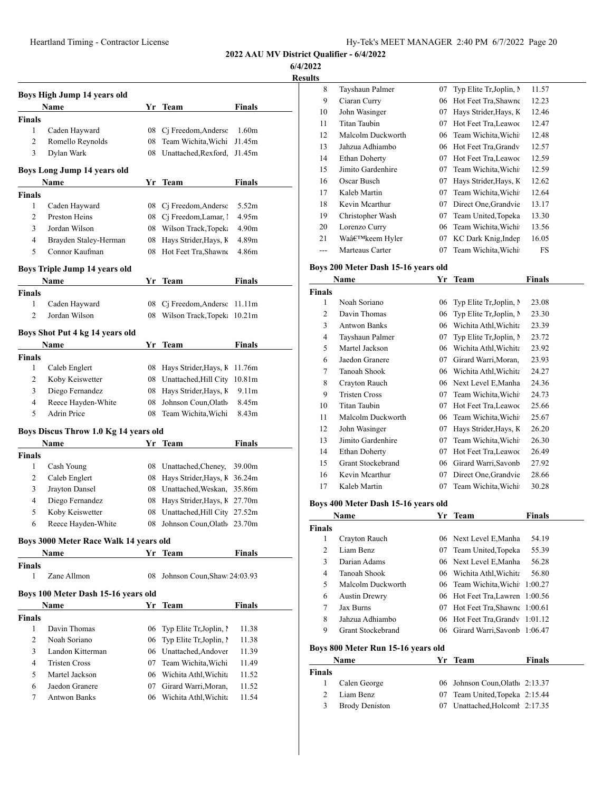**6/4/2022**

**Results**

| Boys High Jump 14 years old |                                        |          |                              |                    |  |
|-----------------------------|----------------------------------------|----------|------------------------------|--------------------|--|
|                             | Name                                   |          | Yr Team                      | Finals             |  |
| <b>Finals</b>               |                                        |          |                              |                    |  |
| 1                           | Caden Hayward                          | 08       | Cj Freedom, Andersc          | 1.60 <sub>m</sub>  |  |
| 2                           | Romello Reynolds                       | 08       | Team Wichita, Wichi          | J1.45m             |  |
| 3                           | Dylan Wark                             | 08       | Unattached, Rexford,         | J1.45m             |  |
|                             |                                        |          |                              |                    |  |
|                             | Boys Long Jump 14 years old            |          |                              |                    |  |
|                             | Name                                   | Yr       | Team                         | Finals             |  |
| <b>Finals</b><br>1          |                                        |          | Ci Freedom, Andersc          | 5.52m              |  |
| 2                           | Caden Hayward<br>Preston Heins         | 08       | Cj Freedom, Lamar, 1         | 4.95m              |  |
| 3                           | Jordan Wilson                          | 08<br>08 | Wilson Track, Topek:         | 4.90m              |  |
| 4                           | Brayden Staley-Herman                  | 08       | Hays Strider, Hays, K        | 4.89m              |  |
| 5                           | Connor Kaufman                         | 08       | Hot Feet Tra, Shawne         | 4.86m              |  |
|                             |                                        |          |                              |                    |  |
|                             | Boys Triple Jump 14 years old          |          |                              |                    |  |
|                             | Name                                   |          | Yr Team                      | Finals             |  |
| <b>Finals</b>               |                                        |          |                              |                    |  |
| 1                           | Caden Hayward                          | 08       | Cj Freedom, Andersc          | 11.11m             |  |
| $\overline{c}$              | Jordan Wilson                          | 08       | Wilson Track, Topek:         | 10.21m             |  |
|                             | Boys Shot Put 4 kg 14 years old        |          |                              |                    |  |
|                             | Name                                   |          | Yr Team                      | Finals             |  |
| Finals                      |                                        |          |                              |                    |  |
| 1                           | Caleb Englert                          | 08       | Hays Strider, Hays, K        | 11.76m             |  |
| 2                           | Koby Keiswetter                        | 08       | Unattached, Hill City        | 10.81 <sub>m</sub> |  |
| 3                           | Diego Fernandez                        | 08       | Hays Strider, Hays, K        | 9.11 <sub>m</sub>  |  |
| 4                           | Reece Hayden-White                     | 08       | Johnson Coun, Olath          | 8.45m              |  |
| 5                           | <b>Adrin Price</b>                     | 08       | Team Wichita, Wichi          | 8.43m              |  |
|                             | Boys Discus Throw 1.0 Kg 14 years old  |          |                              |                    |  |
|                             | Name                                   | Yr       | Team                         | <b>Finals</b>      |  |
| Finals                      |                                        |          |                              |                    |  |
| 1                           | Cash Young                             | 08       | Unattached, Cheney,          | 39.00m             |  |
| 2                           | Caleb Englert                          | 08       | Hays Strider, Hays, K 36.24m |                    |  |
| 3                           | Jrayton Dansel                         | 08       | Unattached, Weskan,          | 35.86m             |  |
| 4                           | Diego Fernandez                        | 08       | Hays Strider, Hays, K 27.70m |                    |  |
| 5                           | Koby Keiswetter                        | 08       | Unattached, Hill City        | 27.52m             |  |
| 6                           | Reece Hayden-White                     | 08       | Johnson Coun,Olath           | 23.70m             |  |
|                             |                                        |          |                              |                    |  |
|                             | Boys 3000 Meter Race Walk 14 years old |          |                              |                    |  |
|                             | Name                                   |          | Yr Team                      | Finals             |  |
| <b>Finals</b>               |                                        |          |                              |                    |  |
| 1                           | Zane Allmon                            | 08       | Johnson Coun, Shaw: 24:03.93 |                    |  |
|                             | Boys 100 Meter Dash 15-16 years old    |          |                              |                    |  |
|                             | Name                                   |          | Yr Team                      | <b>Finals</b>      |  |
| <b>Finals</b>               |                                        |          |                              |                    |  |
| 1                           | Davin Thomas                           | 06       | Typ Elite Tr, Joplin, I      | 11.38              |  |
| $\overline{c}$              | Noah Soriano                           | 06       | Typ Elite Tr, Joplin, I      | 11.38              |  |
| 3                           | Landon Kitterman                       | 06       | Unattached, Andover          | 11.39              |  |
| $\overline{4}$              | <b>Tristen Cross</b>                   | 07       | Team Wichita, Wichi          | 11.49              |  |
| 5                           | Martel Jackson                         |          | 06 Wichita Athl, Wichita     | 11.52              |  |
| 6                           | Jaedon Granere                         | 07       | Girard Warri, Moran,         | 11.52              |  |
| 7                           | <b>Antwon Banks</b>                    | 06       | Wichita Athl, Wichita        | 11.54              |  |
|                             |                                        |          |                              |                    |  |

| 8  | Tayshaun Palmer      | 07 | Typ Elite Tr, Joplin, N | 11.57 |
|----|----------------------|----|-------------------------|-------|
| 9  | Ciaran Curry         | 06 | Hot Feet Tra, Shawne    | 12.23 |
| 10 | John Wasinger        | 07 | Hays Strider, Hays, K   | 12.46 |
| 11 | Titan Taubin         | 07 | Hot Feet Tra, Leawoo    | 12.47 |
| 12 | Malcolm Duckworth    | 06 | Team Wichita, Wichi     | 12.48 |
| 13 | Jahzua Adhiambo      |    | 06 Hot Feet Tra, Grandv | 12.57 |
| 14 | <b>Ethan Doherty</b> | 07 | Hot Feet Tra, Leawoo    | 12.59 |
| 15 | Jimito Gardenhire    | 07 | Team Wichita, Wichi     | 12.59 |
| 16 | Oscar Busch          | 07 | Hays Strider, Hays, K   | 12.62 |
| 17 | Kaleb Martin         | 07 | Team Wichita, Wichi     | 12.64 |
| 18 | Kevin Mearthur       | 07 | Direct One Grandvie     | 13.17 |
| 19 | Christopher Wash     | 07 | Team United, Topeka     | 13.30 |
| 20 | Lorenzo Curry        | 06 | Team Wichita, Wichi     | 13.56 |
| 21 | Wa'keem Hyler        | 07 | KC Dark Knig, Inder     | 16.05 |
|    | Marteaus Carter      | 07 | Team Wichita, Wichi     | FS    |

#### **Boys 200 Meter Dash 15-16 years old**

|                | Name                 | Yr | <b>Team</b>             | Finals |
|----------------|----------------------|----|-------------------------|--------|
| <b>Finals</b>  |                      |    |                         |        |
| 1              | Noah Soriano         | 06 | Typ Elite Tr, Joplin, N | 23.08  |
| $\overline{c}$ | Davin Thomas         | 06 | Typ Elite Tr, Joplin, N | 23.30  |
| 3              | <b>Antwon Banks</b>  | 06 | Wichita Athl, Wichita   | 23.39  |
| 4              | Tayshaun Palmer      | 07 | Typ Elite Tr, Joplin, N | 23.72  |
| 5              | Martel Jackson       | 06 | Wichita Athl, Wichita   | 23.92  |
| 6              | Jaedon Granere       | 07 | Girard Warri, Moran,    | 23.93  |
| 7              | Tanoah Shook         | 06 | Wichita Athl, Wichita   | 24.27  |
| 8              | Crayton Rauch        | 06 | Next Level E, Manha     | 24.36  |
| 9              | <b>Tristen Cross</b> | 07 | Team Wichita, Wichi     | 24.73  |
| 10             | Titan Taubin         | 07 | Hot Feet Tra, Leawoo    | 25.66  |
| 11             | Malcolm Duckworth    | 06 | Team Wichita, Wichi     | 25.67  |
| 12             | John Wasinger        | 07 | Hays Strider, Hays, K   | 26.20  |
| 13             | Jimito Gardenhire    | 07 | Team Wichita, Wichi     | 26.30  |
| 14             | <b>Ethan Doherty</b> | 07 | Hot Feet Tra, Leawoo    | 26.49  |
| 15             | Grant Stockebrand    | 06 | Girard Warri, Savonb    | 27.92  |
| 16             | Kevin Mcarthur       | 07 | Direct One Grandvie     | 28.66  |
| 17             | Kaleb Martin         | 07 | Team Wichita, Wichi     | 30.28  |
|                |                      |    |                         |        |

#### **Boys 400 Meter Dash 15-16 years old**

|               | Name                               |    | Yr Team                         | <b>Finals</b> |
|---------------|------------------------------------|----|---------------------------------|---------------|
| <b>Finals</b> |                                    |    |                                 |               |
| 1             | Crayton Rauch                      |    | 06 Next Level E.Manha           | 54.19         |
| 2             | Liam Benz                          | 07 | Team United, Topeka             | 55.39         |
| 3             | Darian Adams                       |    | 06 Next Level E, Manha          | 56.28         |
| 4             | Tanoah Shook                       |    | 06 Wichita Athl, Wichita        | 56.80         |
| 5             | Malcolm Duckworth                  |    | 06 Team Wichita, Wichi          | 1:00.27       |
| 6             | <b>Austin Drewry</b>               |    | 06 Hot Feet Tra, Lawren         | 1:00.56       |
| 7             | <b>Jax Burns</b>                   | 07 | Hot Feet Tra, Shawne 1:00.61    |               |
| 8             | Jahzua Adhiambo                    |    | 06 Hot Feet Tra, Grandy 1:01.12 |               |
| 9             | Grant Stockebrand                  |    | 06 Girard Warri, Savonb 1:06.47 |               |
|               | Boys 800 Meter Run 15-16 years old |    |                                 |               |
|               | <b>Name</b>                        | Yr | Team                            | <b>Finals</b> |

|               | <b>Name</b>           | Yr. | Team                           | Finals |  |
|---------------|-----------------------|-----|--------------------------------|--------|--|
| <b>Finals</b> |                       |     |                                |        |  |
| $\mathbf{1}$  | Calen George          |     | 06 Johnson Coun, Olath 2:13.37 |        |  |
| $\mathcal{D}$ | Liam Benz             |     | 07 Team United, Topeka 2:15.44 |        |  |
| 3             | <b>Brody Deniston</b> |     | 07 Unattached, Holcoml 2:17.35 |        |  |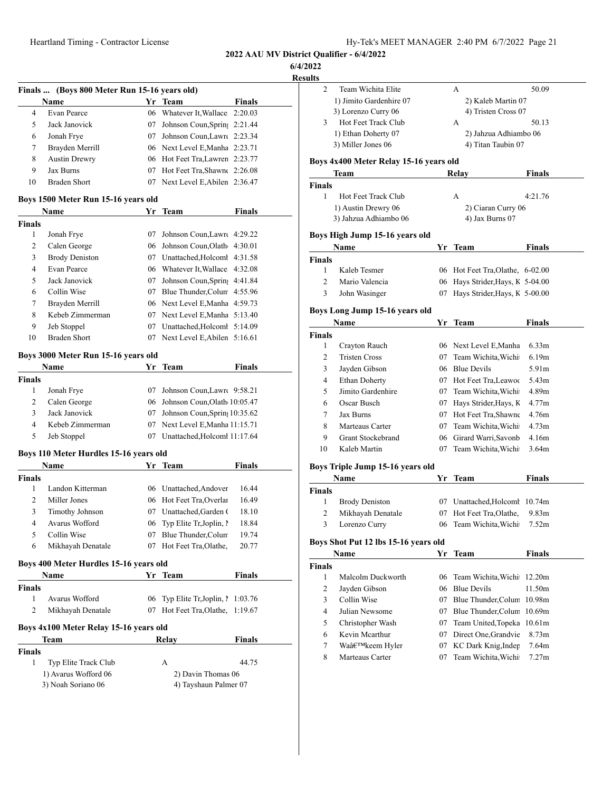**6/4/2022**

**Result** 

|    | Name                 |     | Yr Team                         | <b>Finals</b> |
|----|----------------------|-----|---------------------------------|---------------|
| 4  | Evan Pearce          |     | 06 Whatever It, Wallace 2:20.03 |               |
| 5  | Jack Janovick        | 07  | Johnson Coun, Sprin, 2:21.44    |               |
| 6  | Jonah Frye           | 07. | Johnson Coun, Lawre 2:23.34     |               |
| 7  | Brayden Merrill      |     | 06 Next Level E, Manha 2:23.71  |               |
| 8  | <b>Austin Drewry</b> |     | 06 Hot Feet Tra, Lawren 2:23.77 |               |
| 9  | Jax Burns            |     | 07 Hot Feet Tra, Shawne 2:26.08 |               |
| 10 | Braden Short         |     | 07 Next Level E, Abilen 2:36.47 |               |

#### **Boys 1500 Meter Run 15-16 years old**

|        | Name                  |    | Yr Team                         | <b>Finals</b> |  |
|--------|-----------------------|----|---------------------------------|---------------|--|
| Finals |                       |    |                                 |               |  |
| 1      | Jonah Frye            | 07 | Johnson Coun, Lawre 4:29.22     |               |  |
| 2      | Calen George          |    | 06 Johnson Coun, Olath 4:30.01  |               |  |
| 3      | <b>Brody Deniston</b> | 07 | Unattached.Holcoml 4:31.58      |               |  |
| 4      | Evan Pearce           |    | 06 Whatever It, Wallace 4:32.08 |               |  |
| 5      | Jack Janovick         | 07 | Johnson Coun, Sprin, 4:41.84    |               |  |
| 6      | Collin Wise           | 07 | Blue Thunder, Colum 4:55.96     |               |  |
| 7      | Brayden Merrill       |    | 06 Next Level E, Manha 4:59.73  |               |  |
| 8      | Kebeb Zimmerman       |    | 07 Next Level E, Manha 5:13.40  |               |  |
| 9      | Jeb Stoppel           | 07 | Unattached.Holcoml 5:14.09      |               |  |
| 10     | <b>Braden Short</b>   |    | 07 Next Level E, Abilen 5:16.61 |               |  |

#### **Boys 3000 Meter Run 15-16 years old**

| Name          |                 |    | Yr Team                          | <b>Finals</b> |
|---------------|-----------------|----|----------------------------------|---------------|
| <b>Finals</b> |                 |    |                                  |               |
|               | Jonah Frye      |    | 07 Johnson Coun, Lawre 9:58.21   |               |
| 2             | Calen George    |    | 06 Johnson Coun, Olath 10:05.47  |               |
| 3             | Jack Janovick   |    | 07 Johnson Coun, Sprin, 10:35.62 |               |
| 4             | Kebeb Zimmerman |    | 07 Next Level E, Manha 11:15.71  |               |
| 5             | Jeb Stoppel     | 07 | Unattached, Holcom 11:17.64      |               |

#### **Boys 110 Meter Hurdles 15-16 years old**

| Name          |                        |    | Yr Team                     | <b>Finals</b> |
|---------------|------------------------|----|-----------------------------|---------------|
| <b>Finals</b> |                        |    |                             |               |
|               | Landon Kitterman       |    | 06 Unattached, Andover      | 16.44         |
| 2             | Miller Jones           |    | 06 Hot Feet Tra, Overlar    | 16.49         |
| 3             | <b>Timothy Johnson</b> | 07 | Unattached, Garden (        | 18.10         |
| 4             | Avarus Wofford         |    | 06 Typ Elite Tr. Joplin, l. | 18.84         |
| 5             | Collin Wise            | 07 | Blue Thunder, Colum         | 19.74         |
| 6             | Mikhayah Denatale      |    | Hot Feet Tra, Olathe,       | 20.77         |

# **Boys 400 Meter Hurdles 15-16 years old**

| <b>Name</b>   |                   | Yr Team                            | <b>Finals</b> |  |
|---------------|-------------------|------------------------------------|---------------|--|
| <b>Finals</b> |                   |                                    |               |  |
|               | Avarus Wofford    | 06 Typ Elite Tr, Joplin, 1 1:03.76 |               |  |
|               | Mikhayah Denatale | 07 Hot Feet Tra, Olathe, 1:19.67   |               |  |

### **Boys 4x100 Meter Relay 15-16 years old**

| <b>Finals</b>             |                    |                       |
|---------------------------|--------------------|-----------------------|
| Typ Elite Track Club<br>1 | А                  | 44.75                 |
| 1) Avarus Wofford 06      | 2) Davin Thomas 06 |                       |
| 3) Noah Soriano 06        |                    | 4) Tayshaun Palmer 07 |

**Team Relay Finals**

| Team Wichita Elite<br>1) Jimito Gardenhire 07<br>3) Lorenzo Curry 06<br>Hot Feet Track Club<br>1) Ethan Doherty 07<br>3) Miller Jones 06<br>Boys 4x400 Meter Relay 15-16 years old<br>Team<br>Hot Feet Track Club<br>1) Austin Drewry 06<br>3) Jahzua Adhiambo 06<br>Boys High Jump 15-16 years old<br>Name |      | А<br>2) Kaleb Martin 07<br>4) Tristen Cross 07<br>А<br>2) Jahzua Adhiambo 06<br>4) Titan Taubin 07<br>Relay<br>А<br>2) Ciaran Curry 06 | 50.09<br>50.13<br>Finals                                                                                                                                                                                                                                                                                                                                                         |
|-------------------------------------------------------------------------------------------------------------------------------------------------------------------------------------------------------------------------------------------------------------------------------------------------------------|------|----------------------------------------------------------------------------------------------------------------------------------------|----------------------------------------------------------------------------------------------------------------------------------------------------------------------------------------------------------------------------------------------------------------------------------------------------------------------------------------------------------------------------------|
|                                                                                                                                                                                                                                                                                                             |      |                                                                                                                                        |                                                                                                                                                                                                                                                                                                                                                                                  |
|                                                                                                                                                                                                                                                                                                             |      |                                                                                                                                        |                                                                                                                                                                                                                                                                                                                                                                                  |
|                                                                                                                                                                                                                                                                                                             |      |                                                                                                                                        |                                                                                                                                                                                                                                                                                                                                                                                  |
|                                                                                                                                                                                                                                                                                                             |      |                                                                                                                                        |                                                                                                                                                                                                                                                                                                                                                                                  |
|                                                                                                                                                                                                                                                                                                             |      |                                                                                                                                        |                                                                                                                                                                                                                                                                                                                                                                                  |
|                                                                                                                                                                                                                                                                                                             |      |                                                                                                                                        |                                                                                                                                                                                                                                                                                                                                                                                  |
|                                                                                                                                                                                                                                                                                                             |      |                                                                                                                                        |                                                                                                                                                                                                                                                                                                                                                                                  |
|                                                                                                                                                                                                                                                                                                             |      |                                                                                                                                        |                                                                                                                                                                                                                                                                                                                                                                                  |
|                                                                                                                                                                                                                                                                                                             |      |                                                                                                                                        | 4:21.76                                                                                                                                                                                                                                                                                                                                                                          |
|                                                                                                                                                                                                                                                                                                             |      |                                                                                                                                        |                                                                                                                                                                                                                                                                                                                                                                                  |
|                                                                                                                                                                                                                                                                                                             |      | 4) Jax Burns 07                                                                                                                        |                                                                                                                                                                                                                                                                                                                                                                                  |
|                                                                                                                                                                                                                                                                                                             |      |                                                                                                                                        |                                                                                                                                                                                                                                                                                                                                                                                  |
|                                                                                                                                                                                                                                                                                                             |      | Yr Team                                                                                                                                | Finals                                                                                                                                                                                                                                                                                                                                                                           |
|                                                                                                                                                                                                                                                                                                             |      |                                                                                                                                        |                                                                                                                                                                                                                                                                                                                                                                                  |
| Kaleb Tesmer                                                                                                                                                                                                                                                                                                | 06   | Hot Feet Tra, Olathe, 6-02.00                                                                                                          |                                                                                                                                                                                                                                                                                                                                                                                  |
| Mario Valencia                                                                                                                                                                                                                                                                                              | 06   | Hays Strider, Hays, K 5-04.00                                                                                                          |                                                                                                                                                                                                                                                                                                                                                                                  |
| John Wasinger                                                                                                                                                                                                                                                                                               | 07   | Hays Strider, Hays, K 5-00.00                                                                                                          |                                                                                                                                                                                                                                                                                                                                                                                  |
| Boys Long Jump 15-16 years old                                                                                                                                                                                                                                                                              |      |                                                                                                                                        |                                                                                                                                                                                                                                                                                                                                                                                  |
| Name                                                                                                                                                                                                                                                                                                        |      |                                                                                                                                        | Finals                                                                                                                                                                                                                                                                                                                                                                           |
|                                                                                                                                                                                                                                                                                                             |      |                                                                                                                                        |                                                                                                                                                                                                                                                                                                                                                                                  |
| Crayton Rauch                                                                                                                                                                                                                                                                                               |      |                                                                                                                                        | 6.33m                                                                                                                                                                                                                                                                                                                                                                            |
| <b>Tristen Cross</b>                                                                                                                                                                                                                                                                                        |      |                                                                                                                                        | 6.19m                                                                                                                                                                                                                                                                                                                                                                            |
| Jayden Gibson                                                                                                                                                                                                                                                                                               |      |                                                                                                                                        | 5.91m                                                                                                                                                                                                                                                                                                                                                                            |
| <b>Ethan Doherty</b>                                                                                                                                                                                                                                                                                        |      |                                                                                                                                        | 5.43m                                                                                                                                                                                                                                                                                                                                                                            |
| Jimito Gardenhire                                                                                                                                                                                                                                                                                           |      |                                                                                                                                        | 4.89m                                                                                                                                                                                                                                                                                                                                                                            |
| Oscar Busch                                                                                                                                                                                                                                                                                                 |      |                                                                                                                                        | 4.77m                                                                                                                                                                                                                                                                                                                                                                            |
| Jax Burns                                                                                                                                                                                                                                                                                                   |      |                                                                                                                                        | 4.76m                                                                                                                                                                                                                                                                                                                                                                            |
| Marteaus Carter                                                                                                                                                                                                                                                                                             |      |                                                                                                                                        | 4.73m                                                                                                                                                                                                                                                                                                                                                                            |
| <b>Grant Stockebrand</b>                                                                                                                                                                                                                                                                                    |      |                                                                                                                                        | 4.16m                                                                                                                                                                                                                                                                                                                                                                            |
| Kaleb Martin                                                                                                                                                                                                                                                                                                | 07   | Team Wichita, Wichi                                                                                                                    | 3.64m                                                                                                                                                                                                                                                                                                                                                                            |
|                                                                                                                                                                                                                                                                                                             |      |                                                                                                                                        |                                                                                                                                                                                                                                                                                                                                                                                  |
|                                                                                                                                                                                                                                                                                                             |      |                                                                                                                                        | Finals                                                                                                                                                                                                                                                                                                                                                                           |
|                                                                                                                                                                                                                                                                                                             |      |                                                                                                                                        |                                                                                                                                                                                                                                                                                                                                                                                  |
| <b>Brody Deniston</b>                                                                                                                                                                                                                                                                                       |      |                                                                                                                                        | 10.74m                                                                                                                                                                                                                                                                                                                                                                           |
| Mikhayah Denatale                                                                                                                                                                                                                                                                                           | 07   | Hot Feet Tra, Olathe,                                                                                                                  | 9.83m                                                                                                                                                                                                                                                                                                                                                                            |
| Lorenzo Curry                                                                                                                                                                                                                                                                                               | 06   | Team Wichita, Wichi                                                                                                                    | 7.52m                                                                                                                                                                                                                                                                                                                                                                            |
|                                                                                                                                                                                                                                                                                                             |      |                                                                                                                                        |                                                                                                                                                                                                                                                                                                                                                                                  |
| Name                                                                                                                                                                                                                                                                                                        | Yr   | Team                                                                                                                                   | <b>Finals</b>                                                                                                                                                                                                                                                                                                                                                                    |
|                                                                                                                                                                                                                                                                                                             |      |                                                                                                                                        |                                                                                                                                                                                                                                                                                                                                                                                  |
| Malcolm Duckworth                                                                                                                                                                                                                                                                                           | 06   | Team Wichita, Wichi                                                                                                                    | 12.20m                                                                                                                                                                                                                                                                                                                                                                           |
| Jayden Gibson                                                                                                                                                                                                                                                                                               |      | <b>Blue Devils</b>                                                                                                                     | 11.50m                                                                                                                                                                                                                                                                                                                                                                           |
| Collin Wise                                                                                                                                                                                                                                                                                                 |      |                                                                                                                                        | 10.98m                                                                                                                                                                                                                                                                                                                                                                           |
| Julian Newsome                                                                                                                                                                                                                                                                                              |      | Blue Thunder, Colum                                                                                                                    | 10.69m                                                                                                                                                                                                                                                                                                                                                                           |
| Christopher Wash                                                                                                                                                                                                                                                                                            |      |                                                                                                                                        | 10.61m                                                                                                                                                                                                                                                                                                                                                                           |
| Kevin Mcarthur                                                                                                                                                                                                                                                                                              |      | Direct One, Grandvie                                                                                                                   | 8.73m                                                                                                                                                                                                                                                                                                                                                                            |
| Wa'keem Hyler                                                                                                                                                                                                                                                                                               |      | KC Dark Knig, Inder                                                                                                                    | 7.64m                                                                                                                                                                                                                                                                                                                                                                            |
| Marteaus Carter                                                                                                                                                                                                                                                                                             | 07   |                                                                                                                                        | 7.27m                                                                                                                                                                                                                                                                                                                                                                            |
|                                                                                                                                                                                                                                                                                                             | Name | Boys Triple Jump 15-16 years old<br>Boys Shot Put 12 lbs 15-16 years old<br>06                                                         | Yr Team<br>06 Next Level E, Manha<br>07 Team Wichita, Wichi<br>06 Blue Devils<br>07 Hot Feet Tra, Leawoo<br>07 Team Wichita, Wichi<br>07 Hays Strider, Hays, K<br>07 Hot Feet Tra, Shawne<br>07 Team Wichita, Wichi<br>06 Girard Warri, Savonb<br>Yr Team<br>07 Unattached, Holcoml<br>07 Blue Thunder, Colum<br>07<br>07 Team United, Topeka<br>07<br>07<br>Team Wichita, Wichi |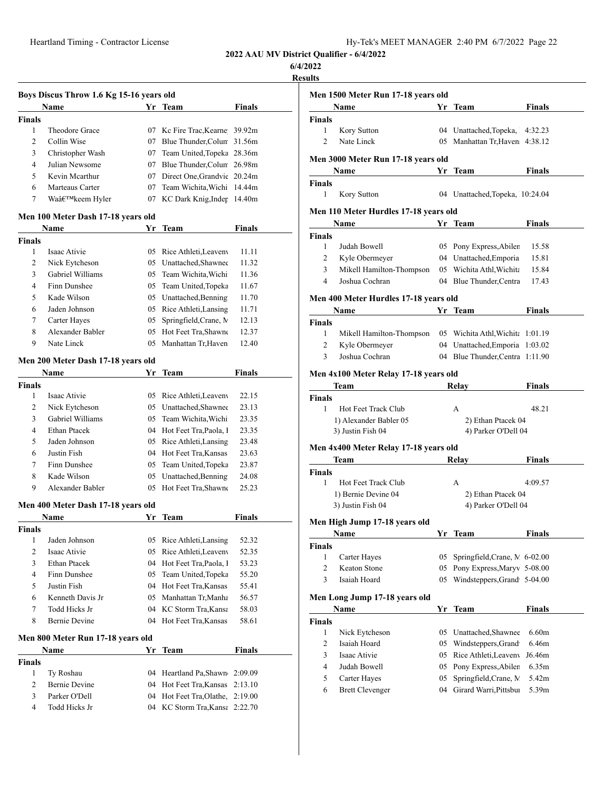#### **6/4/2022**

**Result** 

l,

|                | Boys Discus Throw 1.6 Kg 15-16 years old |    |                                |               |
|----------------|------------------------------------------|----|--------------------------------|---------------|
|                | Name                                     |    | Yr Team                        | <b>Finals</b> |
| <b>Finals</b>  |                                          |    |                                |               |
| 1              | Theodore Grace                           |    | 07 Kc Fire Trac, Kearne 39.92m |               |
| 2              | Collin Wise                              |    | 07 Blue Thunder, Colum 31.56m  |               |
| 3              | Christopher Wash                         |    | 07 Team United, Topeka 28.36m  |               |
| $\overline{4}$ | Julian Newsome                           |    | 07 Blue Thunder, Colum 26.98m  |               |
| 5              | Kevin Mcarthur                           |    | 07 Direct One, Grandvie 20.24m |               |
| 6              | Marteaus Carter                          |    | 07 Team Wichita, Wichi 14.44m  |               |
| 7              | Wa'keem Hyler                            | 07 | KC Dark Knig, Inder 14.40m     |               |
|                | Men 100 Meter Dash 17-18 years old       |    |                                |               |
|                | Name                                     | Yr | Team                           | Finals        |
| <b>Finals</b>  |                                          |    |                                |               |
| 1              | Isaac Ativie                             |    | 05 Rice Athleti, Leaveny       | 11.11         |
| 2              | Nick Eytcheson                           |    | 05 Unattached, Shawnee         | 11.32         |
| 3              | Gabriel Williams                         |    | 05 Team Wichita, Wichi         | 11.36         |
| 4              | Finn Dunshee                             |    | 05 Team United, Topeka         | 11.67         |
| 5              | Kade Wilson                              |    | 05 Unattached, Benning         | 11.70         |
| 6              | Jaden Johnson                            |    | 05 Rice Athleti, Lansing       | 11.71         |
| 7              | Carter Hayes                             | 05 | Springfield, Crane, M          | 12.13         |
| 8              | Alexander Babler                         |    | 05 Hot Feet Tra, Shawne        | 12.37         |
| 9              | Nate Linck                               | 05 | Manhattan Tr, Haven            | 12.40         |
|                | Men 200 Meter Dash 17-18 years old       |    |                                |               |
|                | Name                                     | Yr | Team                           | <b>Finals</b> |
| <b>Finals</b>  |                                          |    |                                |               |
| 1              | Isaac Ativie                             |    | 05 Rice Athleti, Leaveny       | 22.15         |
| 2              | Nick Eytcheson                           |    | 05 Unattached, Shawnee         | 23.13         |
| 3              | Gabriel Williams                         |    | 05 Team Wichita, Wichi         | 23.35         |
| 4              | <b>Ethan Ptacek</b>                      |    | 04 Hot Feet Tra, Paola, 1      | 23.35         |
| 5              | Jaden Johnson                            |    | 05 Rice Athleti, Lansing       | 23.48         |
| 6              | Justin Fish                              |    | 04 Hot Feet Tra, Kansas        | 23.63         |
| 7              | Finn Dunshee                             |    | 05 Team United, Topeka         | 23.87         |
| 8              | Kade Wilson                              |    | 05 Unattached, Benning         | 24.08         |
| 9              | Alexander Babler                         |    | 05 Hot Feet Tra, Shawne        | 25.23         |
|                | Men 400 Meter Dash 17-18 years old       |    |                                |               |
|                | Name                                     | Yr | Team                           | Finals        |
| Finals         |                                          |    |                                |               |
| 1              | Jaden Johnson                            | 05 | Rice Athleti, Lansing          | 52.32         |
| $\mathbf{2}$   | Isaac Ativie                             | 05 | Rice Athleti, Leaveny          | 52.35         |
| 3              | Ethan Ptacek                             | 04 | Hot Feet Tra, Paola, I         | 53.23         |
| 4              | Finn Dunshee                             | 05 | Team United, Topeka            | 55.20         |
| 5              | Justin Fish                              | 04 | Hot Feet Tra, Kansas           | 55.41         |
| 6              | Kenneth Davis Jr                         | 05 | Manhattan Tr, Manha            | 56.57         |
| $\tau$         | Todd Hicks Jr                            |    | 04 KC Storm Tra, Kansa         | 58.03         |

## **Men 800 Meter Run 17-18 years old**

| Name          |                      | Yr Team |                                  | <b>Finals</b> |  |
|---------------|----------------------|---------|----------------------------------|---------------|--|
| <b>Finals</b> |                      |         |                                  |               |  |
|               | Ty Roshau            |         | 04 Heartland Pa, Shawn 2:09.09   |               |  |
| 2             | <b>Bernie Devine</b> |         | 04 Hot Feet Tra, Kansas 2:13.10  |               |  |
| 3             | Parker O'Dell        |         | 04 Hot Feet Tra, Olathe, 2:19.00 |               |  |
|               | Todd Hicks Jr        |         | 04 KC Storm Tra, Kansa 2:22.70   |               |  |

8 Bernie Devine 04 Hot Feet Tra, Kansas 58.61

|                                      | Men 1500 Meter Run 17-18 years old     |          |                                                 |               |
|--------------------------------------|----------------------------------------|----------|-------------------------------------------------|---------------|
|                                      | Name                                   | Yr       | Team                                            | <b>Finals</b> |
| Finals                               |                                        |          |                                                 |               |
| 1                                    | Kory Sutton                            |          | 04 Unattached, Topeka, 4:32.23                  |               |
| $\overline{c}$                       | Nate Linck                             |          | 05 Manhattan Tr, Haven 4:38.12                  |               |
|                                      |                                        |          |                                                 |               |
|                                      | Men 3000 Meter Run 17-18 years old     |          |                                                 |               |
|                                      | Name                                   |          | Yr Team                                         | Finals        |
| Finals<br>1                          |                                        |          | 04 Unattached, Topeka, 10:24.04                 |               |
|                                      | Kory Sutton                            |          |                                                 |               |
|                                      | Men 110 Meter Hurdles 17-18 years old  |          |                                                 |               |
|                                      | Name                                   |          | Yr Team                                         | Finals        |
| Finals                               |                                        |          |                                                 |               |
| 1                                    | Judah Bowell                           |          | 05 Pony Express, Abiler                         | 15.58         |
| 2                                    | Kyle Obermeyer                         |          | 04 Unattached, Emporia                          | 15.81         |
| 3                                    | Mikell Hamilton-Thompson               |          | 05 Wichita Athl, Wichita                        | 15.84         |
| 4                                    | Joshua Cochran                         |          | 04 Blue Thunder, Centra                         | 17.43         |
|                                      | Men 400 Meter Hurdles 17-18 years old  |          |                                                 |               |
|                                      | Name                                   |          | Yr Team                                         | <b>Finals</b> |
| Finals                               |                                        |          |                                                 |               |
| 1                                    | Mikell Hamilton-Thompson               |          | 05 Wichita Athl, Wichita 1:01.19                |               |
| 2                                    | Kyle Obermeyer                         |          | 04 Unattached, Emporia 1:03.02                  |               |
| 3                                    | Joshua Cochran                         |          | 04 Blue Thunder, Centra 1:11.90                 |               |
|                                      |                                        |          |                                                 |               |
|                                      | Men 4x100 Meter Relay 17-18 years old  |          |                                                 |               |
|                                      | Team                                   |          | Relay                                           | Finals        |
| Finals                               |                                        |          |                                                 |               |
| 1                                    | Hot Feet Track Club                    |          | А                                               | 48.21         |
|                                      | 1) Alexander Babler 05                 |          | 2) Ethan Ptacek 04                              |               |
|                                      | 3) Justin Fish 04                      |          | 4) Parker O'Dell 04                             |               |
|                                      |                                        |          |                                                 |               |
|                                      | Men 4x400 Meter Relay 17-18 years old  |          |                                                 |               |
|                                      | Team                                   |          | Relay                                           | Finals        |
|                                      |                                        |          |                                                 |               |
| 1                                    | Hot Feet Track Club                    |          | А                                               | 4:09.57       |
|                                      | 1) Bernie Devine 04                    |          | 2) Ethan Ptacek 04                              |               |
|                                      | 3) Justin Fish 04                      |          | 4) Parker O'Dell 04                             |               |
|                                      |                                        |          |                                                 |               |
|                                      | Men High Jump 17-18 years old          |          |                                                 |               |
|                                      | Name                                   | Yr       | <b>Team</b>                                     |               |
| 1                                    |                                        | 05       | Springfield, Crane, N 6-02.00                   |               |
| $\overline{c}$                       | Carter Hayes                           | 05       |                                                 |               |
| 3                                    | Keaton Stone<br>Isaiah Hoard           |          | Pony Express, Maryv 5-08.00                     |               |
|                                      |                                        | 05       | Windsteppers, Grand 5-04.00                     | Finals        |
|                                      | Men Long Jump 17-18 years old          |          |                                                 |               |
|                                      | Name                                   | Yr       | <b>Team</b>                                     | Finals        |
|                                      |                                        |          |                                                 |               |
| 1                                    | Nick Eytcheson                         | 05       | Unattached, Shawnee                             | 6.60m         |
| 2                                    | Isaiah Hoard                           | 05       | Windsteppers, Grand                             | 6.46m         |
| 3                                    | Isaac Ativie                           | 05       | Rice Athleti, Leaveny                           | J6.46m        |
| 4                                    | Judah Bowell                           | 05       | Pony Express, Abiler                            | 6.35m         |
| Finals<br>Finals<br>Finals<br>5<br>6 | Carter Hayes<br><b>Brett Clevenger</b> | 05<br>04 | Springfield, Crane, M<br>Girard Warri, Pittsbui | 5.42m         |